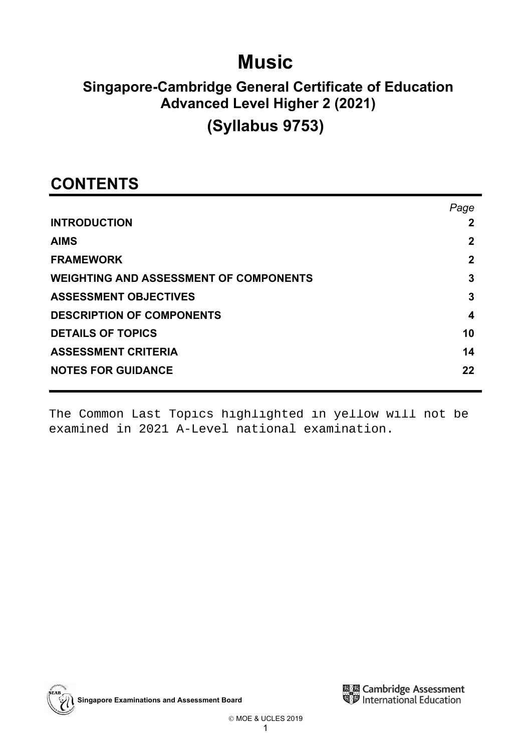# **Music**

# **Singapore-Cambridge General Certificate of Education Advanced Level Higher 2 (2021)**

# **(Syllabus 9753)**

# **CONTENTS**

|                                               | Page         |
|-----------------------------------------------|--------------|
| <b>INTRODUCTION</b>                           | 2            |
| <b>AIMS</b>                                   | 2            |
| <b>FRAMEWORK</b>                              | $\mathbf{2}$ |
| <b>WEIGHTING AND ASSESSMENT OF COMPONENTS</b> | 3            |
| <b>ASSESSMENT OBJECTIVES</b>                  | 3            |
| <b>DESCRIPTION OF COMPONENTS</b>              | 4            |
| <b>DETAILS OF TOPICS</b>                      | 10           |
| <b>ASSESSMENT CRITERIA</b>                    | 14           |
| <b>NOTES FOR GUIDANCE</b>                     | 22           |

The Common Last Topics highlighted in yellow will not be examined in 2021 A-Level national examination.



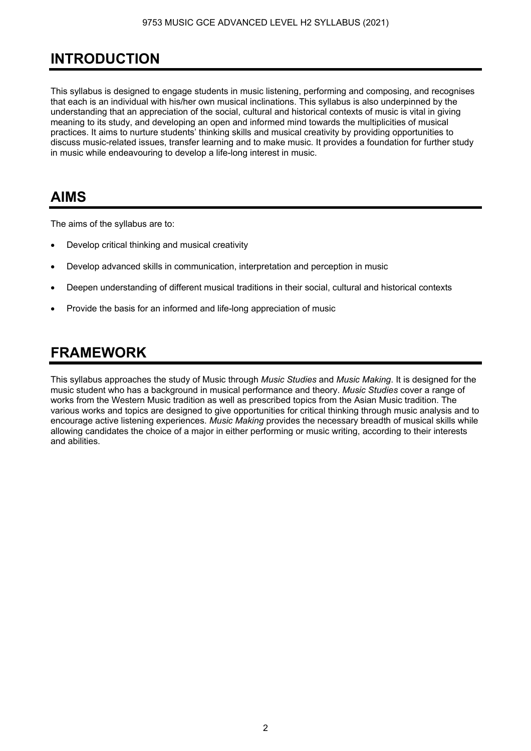# **INTRODUCTION**

This syllabus is designed to engage students in music listening, performing and composing, and recognises that each is an individual with his/her own musical inclinations. This syllabus is also underpinned by the understanding that an appreciation of the social, cultural and historical contexts of music is vital in giving meaning to its study, and developing an open and informed mind towards the multiplicities of musical practices. It aims to nurture students' thinking skills and musical creativity by providing opportunities to discuss music-related issues, transfer learning and to make music. It provides a foundation for further study in music while endeavouring to develop a life-long interest in music.

## **AIMS**

The aims of the syllabus are to:

- Develop critical thinking and musical creativity
- Develop advanced skills in communication, interpretation and perception in music
- Deepen understanding of different musical traditions in their social, cultural and historical contexts
- Provide the basis for an informed and life-long appreciation of music

## **FRAMEWORK**

This syllabus approaches the study of Music through *Music Studies* and *Music Making*. It is designed for the music student who has a background in musical performance and theory. *Music Studies* cover a range of works from the Western Music tradition as well as prescribed topics from the Asian Music tradition. The various works and topics are designed to give opportunities for critical thinking through music analysis and to encourage active listening experiences. *Music Making* provides the necessary breadth of musical skills while allowing candidates the choice of a major in either performing or music writing, according to their interests and abilities.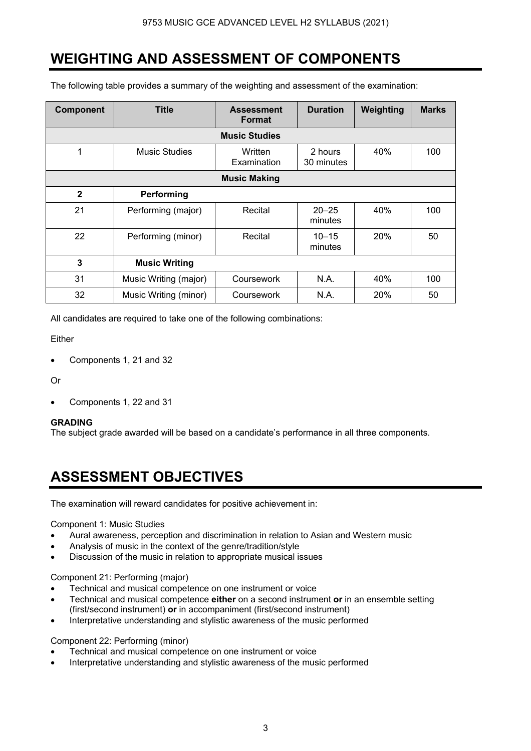## **WEIGHTING AND ASSESSMENT OF COMPONENTS**

The following table provides a summary of the weighting and assessment of the examination:

| Component    | Title                 | <b>Assessment</b><br><b>Format</b> | <b>Duration</b>       | Weighting  | <b>Marks</b> |
|--------------|-----------------------|------------------------------------|-----------------------|------------|--------------|
|              |                       | <b>Music Studies</b>               |                       |            |              |
| 1            | <b>Music Studies</b>  | Written<br>Examination             | 2 hours<br>30 minutes | 40%        | 100          |
|              |                       | <b>Music Making</b>                |                       |            |              |
| $\mathbf{2}$ | Performing            |                                    |                       |            |              |
| 21           | Performing (major)    | Recital                            | $20 - 25$<br>minutes  | 40%        | 100          |
| 22           | Performing (minor)    | Recital                            | $10 - 15$<br>minutes  | <b>20%</b> | 50           |
| 3            | <b>Music Writing</b>  |                                    |                       |            |              |
| 31           | Music Writing (major) | Coursework                         | N.A.                  | 40%        | 100          |
| 32           | Music Writing (minor) | Coursework                         | N.A.                  | <b>20%</b> | 50           |

All candidates are required to take one of the following combinations:

Either

• Components 1, 21 and 32

Or

• Components 1, 22 and 31

## **GRADING**

The subject grade awarded will be based on a candidate's performance in all three components.

## **ASSESSMENT OBJECTIVES**

The examination will reward candidates for positive achievement in:

## Component 1: Music Studies

- Aural awareness, perception and discrimination in relation to Asian and Western music
- Analysis of music in the context of the genre/tradition/style
- Discussion of the music in relation to appropriate musical issues

## Component 21: Performing (major)

- Technical and musical competence on one instrument or voice
- Technical and musical competence **either** on a second instrument **or** in an ensemble setting (first/second instrument) **or** in accompaniment (first/second instrument)
- Interpretative understanding and stylistic awareness of the music performed

## Component 22: Performing (minor)

- Technical and musical competence on one instrument or voice
- Interpretative understanding and stylistic awareness of the music performed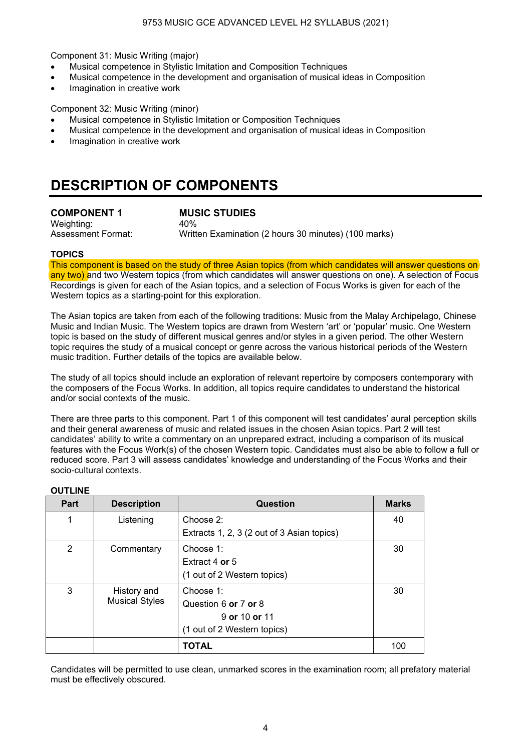Component 31: Music Writing (major)

- Musical competence in Stylistic Imitation and Composition Techniques
- Musical competence in the development and organisation of musical ideas in Composition
- Imagination in creative work

Component 32: Music Writing (minor)

- Musical competence in Stylistic Imitation or Composition Techniques
- Musical competence in the development and organisation of musical ideas in Composition
- Imagination in creative work

## **DESCRIPTION OF COMPONENTS**

**COMPONENT 1 MUSIC STUDIES**  Weighting: 40%

Assessment Format: Written Examination (2 hours 30 minutes) (100 marks)

#### **TOPICS**

This component is based on the study of three Asian topics (from which candidates will answer questions on any two) and two Western topics (from which candidates will answer questions on one). A selection of Focus Recordings is given for each of the Asian topics, and a selection of Focus Works is given for each of the Western topics as a starting-point for this exploration.

The Asian topics are taken from each of the following traditions: Music from the Malay Archipelago, Chinese Music and Indian Music. The Western topics are drawn from Western 'art' or 'popular' music. One Western topic is based on the study of different musical genres and/or styles in a given period. The other Western topic requires the study of a musical concept or genre across the various historical periods of the Western music tradition. Further details of the topics are available below.

The study of all topics should include an exploration of relevant repertoire by composers contemporary with the composers of the Focus Works. In addition, all topics require candidates to understand the historical and/or social contexts of the music.

There are three parts to this component. Part 1 of this component will test candidates' aural perception skills and their general awareness of music and related issues in the chosen Asian topics. Part 2 will test candidates' ability to write a commentary on an unprepared extract, including a comparison of its musical features with the Focus Work(s) of the chosen Western topic. Candidates must also be able to follow a full or reduced score. Part 3 will assess candidates' knowledge and understanding of the Focus Works and their socio-cultural contexts.

#### **OUTLINE**

| Part | <b>Description</b>    | <b>Question</b>                            | <b>Marks</b> |
|------|-----------------------|--------------------------------------------|--------------|
| 1    | Listening             | Choose $2$ :                               | 40           |
|      |                       | Extracts 1, 2, 3 (2 out of 3 Asian topics) |              |
| 2    | Commentary            | Choose 1:                                  | 30           |
|      |                       | Extract 4 or 5                             |              |
|      |                       | (1 out of 2 Western topics)                |              |
| 3    | History and           | Choose 1:                                  | 30           |
|      | <b>Musical Styles</b> | Question 6 or 7 or 8                       |              |
|      |                       | 9 or 10 or 11                              |              |
|      |                       | (1 out of 2 Western topics)                |              |
|      |                       | <b>TOTAL</b>                               | 100          |

Candidates will be permitted to use clean, unmarked scores in the examination room; all prefatory material must be effectively obscured.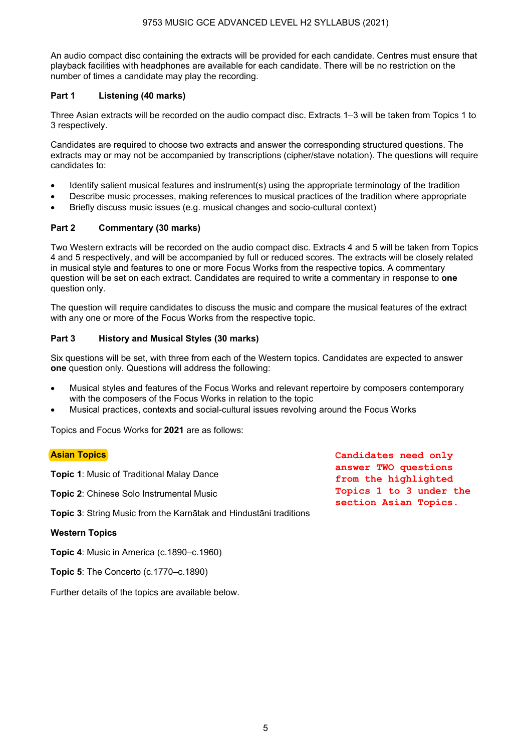An audio compact disc containing the extracts will be provided for each candidate. Centres must ensure that playback facilities with headphones are available for each candidate. There will be no restriction on the number of times a candidate may play the recording.

## **Part 1 Listening (40 marks)**

Three Asian extracts will be recorded on the audio compact disc. Extracts 1–3 will be taken from Topics 1 to 3 respectively.

Candidates are required to choose two extracts and answer the corresponding structured questions. The extracts may or may not be accompanied by transcriptions (cipher/stave notation). The questions will require candidates to:

- Identify salient musical features and instrument(s) using the appropriate terminology of the tradition
- Describe music processes, making references to musical practices of the tradition where appropriate
- Briefly discuss music issues (e.g. musical changes and socio-cultural context)

## **Part 2 Commentary (30 marks)**

Two Western extracts will be recorded on the audio compact disc. Extracts 4 and 5 will be taken from Topics 4 and 5 respectively, and will be accompanied by full or reduced scores. The extracts will be closely related in musical style and features to one or more Focus Works from the respective topics. A commentary question will be set on each extract. Candidates are required to write a commentary in response to **one** question only.

The question will require candidates to discuss the music and compare the musical features of the extract with any one or more of the Focus Works from the respective topic.

## **Part 3 History and Musical Styles (30 marks)**

Six questions will be set, with three from each of the Western topics. Candidates are expected to answer **one** question only. Questions will address the following:

- Musical styles and features of the Focus Works and relevant repertoire by composers contemporary with the composers of the Focus Works in relation to the topic
- Musical practices, contexts and social-cultural issues revolving around the Focus Works

Topics and Focus Works for **2021** are as follows:

## **Asian Topics**

**Topic 1**: Music of Traditional Malay Dance

**Topic 2**: Chinese Solo Instrumental Music

**Topic 3**: String Music from the Karnātak and Hindustāni traditions

## **Western Topics**

**Topic 4**: Music in America (c.1890–c.1960)

**Topic 5**: The Concerto (c.1770–c.1890)

Further details of the topics are available below.

**Candidates need only answer TWO questions from the highlighted Topics 1 to 3 under the section Asian Topics.**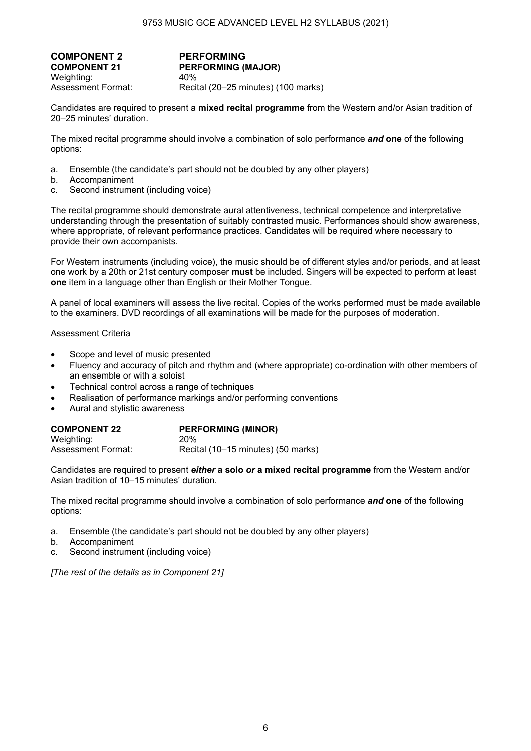**COMPONENT 2 PERFORMING**<br>COMPONENT 21 PERFORMING ( Weighting: 40% Assessment Format: Recital (20–25 minutes) (100 marks)

**PERFORMING (MAJOR)** 

Candidates are required to present a **mixed recital programme** from the Western and/or Asian tradition of 20–25 minutes' duration.

The mixed recital programme should involve a combination of solo performance *and* **one** of the following options:

- a. Ensemble (the candidate's part should not be doubled by any other players)
- b. Accompaniment
- c. Second instrument (including voice)

The recital programme should demonstrate aural attentiveness, technical competence and interpretative understanding through the presentation of suitably contrasted music. Performances should show awareness, where appropriate, of relevant performance practices. Candidates will be required where necessary to provide their own accompanists.

For Western instruments (including voice), the music should be of different styles and/or periods, and at least one work by a 20th or 21st century composer **must** be included. Singers will be expected to perform at least **one** item in a language other than English or their Mother Tongue.

A panel of local examiners will assess the live recital. Copies of the works performed must be made available to the examiners. DVD recordings of all examinations will be made for the purposes of moderation.

Assessment Criteria

- Scope and level of music presented
- Fluency and accuracy of pitch and rhythm and (where appropriate) co-ordination with other members of an ensemble or with a soloist
- Technical control across a range of techniques
- Realisation of performance markings and/or performing conventions
- Aural and stylistic awareness

| <b>COMPONENT 22</b> | <b>PERFORMING (MINOR)</b>          |
|---------------------|------------------------------------|
| Weighting:          | 20 <sub>%</sub>                    |
| Assessment Format:  | Recital (10–15 minutes) (50 marks) |

Candidates are required to present *either* **a solo** *or* **a mixed recital programme** from the Western and/or Asian tradition of 10–15 minutes' duration.

The mixed recital programme should involve a combination of solo performance *and* **one** of the following options:

- a. Ensemble (the candidate's part should not be doubled by any other players)
- b. Accompaniment
- c. Second instrument (including voice)

*[The rest of the details as in Component 21]*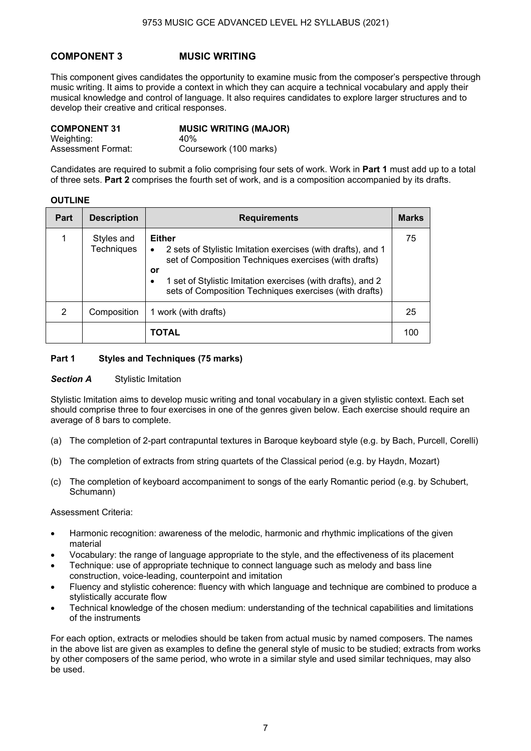## **COMPONENT 3 MUSIC WRITING**

This component gives candidates the opportunity to examine music from the composer's perspective through music writing. It aims to provide a context in which they can acquire a technical vocabulary and apply their musical knowledge and control of language. It also requires candidates to explore larger structures and to develop their creative and critical responses.

| <b>COMPONENT 31</b> | <b>MUSIC WRITING (MAJOR)</b> |
|---------------------|------------------------------|
| Weighting:          | 40%                          |
| Assessment Format:  | Coursework (100 marks)       |

Candidates are required to submit a folio comprising four sets of work. Work in **Part 1** must add up to a total of three sets. **Part 2** comprises the fourth set of work, and is a composition accompanied by its drafts.

#### **OUTLINE**

| <b>Part</b> | <b>Description</b>              | <b>Requirements</b>                                                                                                                                                                                                                                                                     | <b>Marks</b> |
|-------------|---------------------------------|-----------------------------------------------------------------------------------------------------------------------------------------------------------------------------------------------------------------------------------------------------------------------------------------|--------------|
| 1           | Styles and<br><b>Techniques</b> | <b>Either</b><br>2 sets of Stylistic Imitation exercises (with drafts), and 1<br>٠<br>set of Composition Techniques exercises (with drafts)<br>or<br>1 set of Stylistic Imitation exercises (with drafts), and 2<br>$\bullet$<br>sets of Composition Techniques exercises (with drafts) | 75           |
| 2           | Composition                     | 1 work (with drafts)                                                                                                                                                                                                                                                                    | 25           |
|             |                                 | TOTAL                                                                                                                                                                                                                                                                                   | 100          |

#### **Part 1 Styles and Techniques (75 marks)**

#### **Section A** Stylistic Imitation

Stylistic Imitation aims to develop music writing and tonal vocabulary in a given stylistic context. Each set should comprise three to four exercises in one of the genres given below. Each exercise should require an average of 8 bars to complete.

- (a) The completion of 2-part contrapuntal textures in Baroque keyboard style (e.g. by Bach, Purcell, Corelli)
- (b) The completion of extracts from string quartets of the Classical period (e.g. by Haydn, Mozart)
- (c) The completion of keyboard accompaniment to songs of the early Romantic period (e.g. by Schubert, Schumann)

#### Assessment Criteria:

- Harmonic recognition: awareness of the melodic, harmonic and rhythmic implications of the given material
- Vocabulary: the range of language appropriate to the style, and the effectiveness of its placement
- Technique: use of appropriate technique to connect language such as melody and bass line construction, voice-leading, counterpoint and imitation
- Fluency and stylistic coherence: fluency with which language and technique are combined to produce a stylistically accurate flow
- Technical knowledge of the chosen medium: understanding of the technical capabilities and limitations of the instruments

For each option, extracts or melodies should be taken from actual music by named composers. The names in the above list are given as examples to define the general style of music to be studied; extracts from works by other composers of the same period, who wrote in a similar style and used similar techniques, may also be used.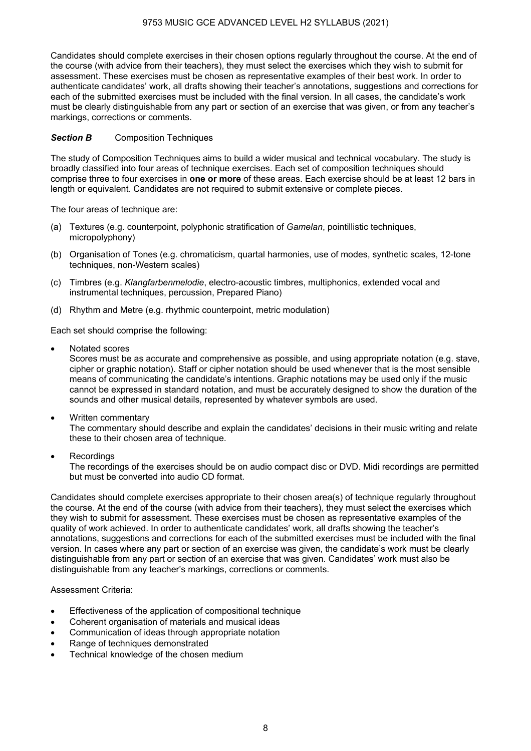Candidates should complete exercises in their chosen options regularly throughout the course. At the end of the course (with advice from their teachers), they must select the exercises which they wish to submit for assessment. These exercises must be chosen as representative examples of their best work. In order to authenticate candidates' work, all drafts showing their teacher's annotations, suggestions and corrections for each of the submitted exercises must be included with the final version. In all cases, the candidate's work must be clearly distinguishable from any part or section of an exercise that was given, or from any teacher's markings, corrections or comments.

## **Section B** Composition Techniques

The study of Composition Techniques aims to build a wider musical and technical vocabulary. The study is broadly classified into four areas of technique exercises. Each set of composition techniques should comprise three to four exercises in **one or more** of these areas. Each exercise should be at least 12 bars in length or equivalent. Candidates are not required to submit extensive or complete pieces.

The four areas of technique are:

- (a) Textures (e.g. counterpoint, polyphonic stratification of *Gamelan*, pointillistic techniques, micropolyphony)
- (b) Organisation of Tones (e.g. chromaticism, quartal harmonies, use of modes, synthetic scales, 12-tone techniques, non-Western scales)
- (c) Timbres (e.g. *Klangfarbenmelodie*, electro-acoustic timbres, multiphonics, extended vocal and instrumental techniques, percussion, Prepared Piano)
- (d) Rhythm and Metre (e.g. rhythmic counterpoint, metric modulation)

Each set should comprise the following:

• Notated scores

 Scores must be as accurate and comprehensive as possible, and using appropriate notation (e.g. stave, cipher or graphic notation). Staff or cipher notation should be used whenever that is the most sensible means of communicating the candidate's intentions. Graphic notations may be used only if the music cannot be expressed in standard notation, and must be accurately designed to show the duration of the sounds and other musical details, represented by whatever symbols are used.

- Written commentary The commentary should describe and explain the candidates' decisions in their music writing and relate these to their chosen area of technique.
- Recordings

 The recordings of the exercises should be on audio compact disc or DVD. Midi recordings are permitted but must be converted into audio CD format.

Candidates should complete exercises appropriate to their chosen area(s) of technique regularly throughout the course. At the end of the course (with advice from their teachers), they must select the exercises which they wish to submit for assessment. These exercises must be chosen as representative examples of the quality of work achieved. In order to authenticate candidates' work, all drafts showing the teacher's annotations, suggestions and corrections for each of the submitted exercises must be included with the final version. In cases where any part or section of an exercise was given, the candidate's work must be clearly distinguishable from any part or section of an exercise that was given. Candidates' work must also be distinguishable from any teacher's markings, corrections or comments.

## Assessment Criteria:

- Effectiveness of the application of compositional technique
- Coherent organisation of materials and musical ideas
- Communication of ideas through appropriate notation
- Range of techniques demonstrated
- Technical knowledge of the chosen medium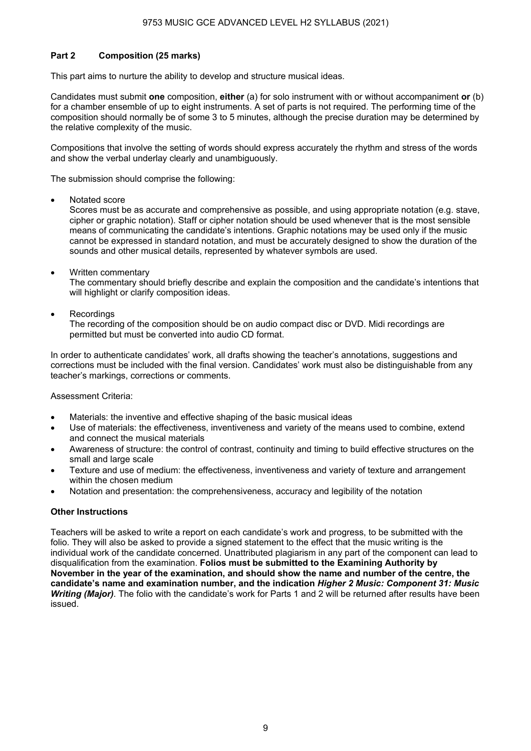## **Part 2 Composition (25 marks)**

This part aims to nurture the ability to develop and structure musical ideas.

Candidates must submit **one** composition, **either** (a) for solo instrument with or without accompaniment **or** (b) for a chamber ensemble of up to eight instruments. A set of parts is not required. The performing time of the composition should normally be of some 3 to 5 minutes, although the precise duration may be determined by the relative complexity of the music.

Compositions that involve the setting of words should express accurately the rhythm and stress of the words and show the verbal underlay clearly and unambiguously.

The submission should comprise the following:

• Notated score

 Scores must be as accurate and comprehensive as possible, and using appropriate notation (e.g. stave, cipher or graphic notation). Staff or cipher notation should be used whenever that is the most sensible means of communicating the candidate's intentions. Graphic notations may be used only if the music cannot be expressed in standard notation, and must be accurately designed to show the duration of the sounds and other musical details, represented by whatever symbols are used.

• Written commentary

 The commentary should briefly describe and explain the composition and the candidate's intentions that will highlight or clarify composition ideas.

**Recordings** 

 The recording of the composition should be on audio compact disc or DVD. Midi recordings are permitted but must be converted into audio CD format.

In order to authenticate candidates' work, all drafts showing the teacher's annotations, suggestions and corrections must be included with the final version. Candidates' work must also be distinguishable from any teacher's markings, corrections or comments.

Assessment Criteria:

- Materials: the inventive and effective shaping of the basic musical ideas
- Use of materials: the effectiveness, inventiveness and variety of the means used to combine, extend and connect the musical materials
- Awareness of structure: the control of contrast, continuity and timing to build effective structures on the small and large scale
- Texture and use of medium: the effectiveness, inventiveness and variety of texture and arrangement within the chosen medium
- Notation and presentation: the comprehensiveness, accuracy and legibility of the notation

## **Other Instructions**

Teachers will be asked to write a report on each candidate's work and progress, to be submitted with the folio. They will also be asked to provide a signed statement to the effect that the music writing is the individual work of the candidate concerned. Unattributed plagiarism in any part of the component can lead to disqualification from the examination. **Folios must be submitted to the Examining Authority by November in the year of the examination, and should show the name and number of the centre, the candidate's name and examination number, and the indication** *Higher 2 Music: Component 31: Music Writing (Major)*. The folio with the candidate's work for Parts 1 and 2 will be returned after results have been issued.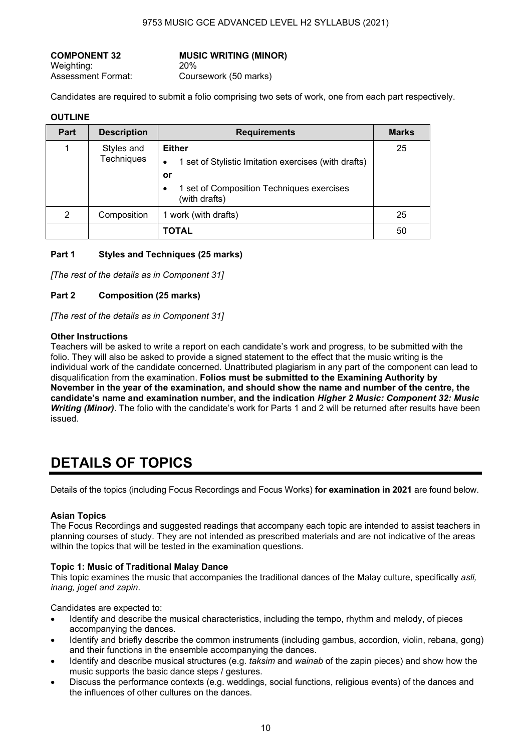Weighting: 20% Assessment Format: Coursework (50 marks)

**COMPONENT 32 MUSIC WRITING (MINOR)**

Candidates are required to submit a folio comprising two sets of work, one from each part respectively.

## **OUTLINE**

| <b>Part</b> | <b>Description</b>              | <b>Requirements</b>                                                                                                                            | <b>Marks</b> |
|-------------|---------------------------------|------------------------------------------------------------------------------------------------------------------------------------------------|--------------|
|             | Styles and<br><b>Techniques</b> | <b>Either</b><br>1 set of Stylistic Imitation exercises (with drafts)<br>٠<br>or<br>1 set of Composition Techniques exercises<br>(with drafts) | 25           |
| 2           | Composition                     | 1 work (with drafts)                                                                                                                           | 25           |
|             |                                 | <b>TOTAL</b>                                                                                                                                   | 50           |

## **Part 1 Styles and Techniques (25 marks)**

*[The rest of the details as in Component 31]* 

## **Part 2 Composition (25 marks)**

*[The rest of the details as in Component 31]* 

#### **Other Instructions**

Teachers will be asked to write a report on each candidate's work and progress, to be submitted with the folio. They will also be asked to provide a signed statement to the effect that the music writing is the individual work of the candidate concerned. Unattributed plagiarism in any part of the component can lead to disqualification from the examination. **Folios must be submitted to the Examining Authority by November in the year of the examination, and should show the name and number of the centre, the candidate's name and examination number, and the indication** *Higher 2 Music: Component 32: Music Writing (Minor)*. The folio with the candidate's work for Parts 1 and 2 will be returned after results have been issued.

## **DETAILS OF TOPICS**

Details of the topics (including Focus Recordings and Focus Works) **for examination in 2021** are found below.

## **Asian Topics**

The Focus Recordings and suggested readings that accompany each topic are intended to assist teachers in planning courses of study. They are not intended as prescribed materials and are not indicative of the areas within the topics that will be tested in the examination questions.

## **Topic 1: Music of Traditional Malay Dance**

This topic examines the music that accompanies the traditional dances of the Malay culture, specifically *asli, inang, joget and zapin*.

Candidates are expected to:

- Identify and describe the musical characteristics, including the tempo, rhythm and melody, of pieces accompanying the dances.
- Identify and briefly describe the common instruments (including gambus, accordion, violin, rebana, gong) and their functions in the ensemble accompanying the dances.
- Identify and describe musical structures (e.g. *taksim* and *wainab* of the zapin pieces) and show how the music supports the basic dance steps / gestures.
- Discuss the performance contexts (e.g. weddings, social functions, religious events) of the dances and the influences of other cultures on the dances.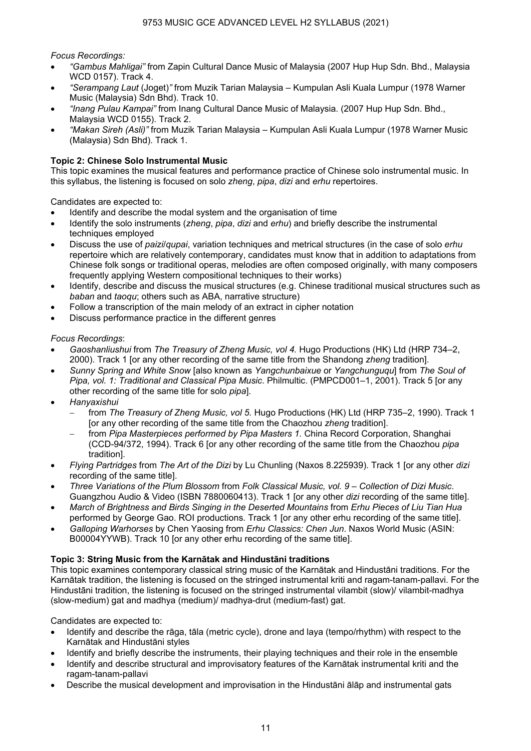*Focus Recordings:* 

- *"Gambus Mahligai"* from Zapin Cultural Dance Music of Malaysia (2007 Hup Hup Sdn. Bhd., Malaysia WCD 0157). Track 4.
- *"Serampang Laut* (Joget)*"* from Muzik Tarian Malaysia Kumpulan Asli Kuala Lumpur (1978 Warner Music (Malaysia) Sdn Bhd). Track 10.
- *"Inang Pulau Kampai"* from Inang Cultural Dance Music of Malaysia. (2007 Hup Hup Sdn. Bhd., Malaysia WCD 0155). Track 2.
- *"Makan Sireh (Asli)"* from Muzik Tarian Malaysia Kumpulan Asli Kuala Lumpur (1978 Warner Music (Malaysia) Sdn Bhd). Track 1.

## **Topic 2: Chinese Solo Instrumental Music**

This topic examines the musical features and performance practice of Chinese solo instrumental music. In this syllabus, the listening is focused on solo *zheng*, *pipa*, *dizi* and *erhu* repertoires.

Candidates are expected to:

- Identify and describe the modal system and the organisation of time
- Identify the solo instruments (*zheng*, *pipa*, *dizi* and *erhu*) and briefly describe the instrumental techniques employed
- Discuss the use of *paizi*/*qupai*, variation techniques and metrical structures (in the case of solo *erhu* repertoire which are relatively contemporary, candidates must know that in addition to adaptations from Chinese folk songs or traditional operas, melodies are often composed originally, with many composers frequently applying Western compositional techniques to their works)
- Identify, describe and discuss the musical structures (e.g. Chinese traditional musical structures such as *baban* and *taoqu*; others such as ABA, narrative structure)
- Follow a transcription of the main melody of an extract in cipher notation
- Discuss performance practice in the different genres

## *Focus Recordings*:

- *Gaoshanliushui* from *The Treasury of Zheng Music, vol 4.* Hugo Productions (HK) Ltd (HRP 734–2, 2000). Track 1 [or any other recording of the same title from the Shandong *zheng* tradition].
- *Sunny Spring and White Snow* [also known as *Yangchunbaixue* or *Yangchunguqu*] from *The Soul of Pipa, vol. 1: Traditional and Classical Pipa Music*. Philmultic. (PMPCD001–1, 2001). Track 5 [or any other recording of the same title for solo *pipa*].
- *Hanyaxishui*
	- − from *The Treasury of Zheng Music, vol 5.* Hugo Productions (HK) Ltd (HRP 735–2, 1990). Track 1 [or any other recording of the same title from the Chaozhou *zheng* tradition].
	- from Pipa Masterpieces performed by Pipa Masters 1. China Record Corporation, Shanghai (CCD-94/372, 1994). Track 6 [or any other recording of the same title from the Chaozhou *pipa* tradition].
- *Flying Partridges* from *The Art of the Dizi* by Lu Chunling (Naxos 8.225939). Track 1 [or any other *dizi* recording of the same title].
- *Three Variations of the Plum Blossom* from *Folk Classical Music, vol. 9 Collection of Dizi Music*. Guangzhou Audio & Video (ISBN 7880060413). Track 1 [or any other *dizi* recording of the same title].
- *March of Brightness and Birds Singing in the Deserted Mountains* from *Erhu Pieces of Liu Tian Hua* performed by George Gao. ROI productions. Track 1 [or any other erhu recording of the same title].
- *Galloping Warhorses* by Chen Yaosing from *Erhu Classics: Chen Jun*. Naxos World Music (ASIN: B00004YYWB). Track 10 [or any other erhu recording of the same title].

## **Topic 3: String Music from the Karnātak and Hindustāni traditions**

This topic examines contemporary classical string music of the Karnātak and Hindustāni traditions. For the Karnātak tradition, the listening is focused on the stringed instrumental kriti and ragam-tanam-pallavi. For the Hindustāni tradition, the listening is focused on the stringed instrumental vilambit (slow)/ vilambit-madhya (slow-medium) gat and madhya (medium)/ madhya-drut (medium-fast) gat.

Candidates are expected to:

- Identify and describe the rāga, tāla (metric cycle), drone and laya (tempo/rhythm) with respect to the Karnātak and Hindustāni styles
- Identify and briefly describe the instruments, their playing techniques and their role in the ensemble • Identify and describe structural and improvisatory features of the Karnātak instrumental kriti and the
- ragam-tanam-pallavi • Describe the musical development and improvisation in the Hindustāni ālāp and instrumental gats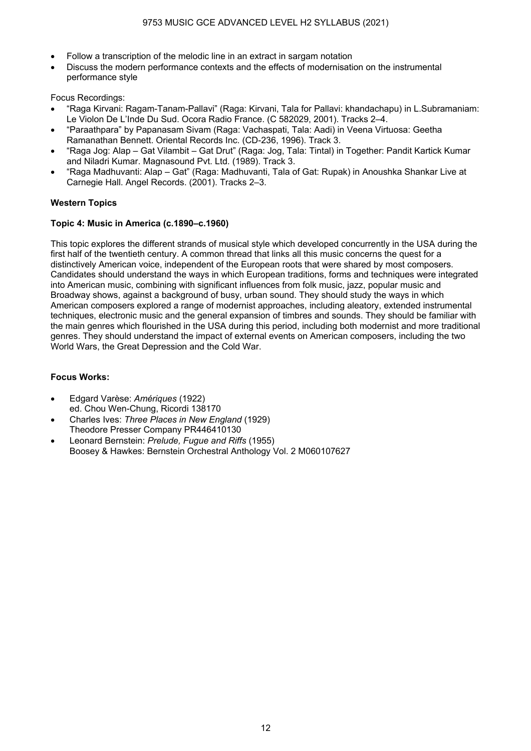- Follow a transcription of the melodic line in an extract in sargam notation
- Discuss the modern performance contexts and the effects of modernisation on the instrumental performance style

Focus Recordings:

- "Raga Kirvani: Ragam-Tanam-Pallavi" (Raga: Kirvani, Tala for Pallavi: khandachapu) in L.Subramaniam: Le Violon De L'Inde Du Sud. Ocora Radio France. (C 582029, 2001). Tracks 2–4.
- "Paraathpara" by Papanasam Sivam (Raga: Vachaspati, Tala: Aadi) in Veena Virtuosa: Geetha Ramanathan Bennett. Oriental Records Inc. (CD-236, 1996). Track 3.
- "Raga Jog: Alap Gat Vilambit Gat Drut" (Raga: Jog, Tala: Tintal) in Together: Pandit Kartick Kumar and Niladri Kumar. Magnasound Pvt. Ltd. (1989). Track 3.
- "Raga Madhuvanti: Alap Gat" (Raga: Madhuvanti, Tala of Gat: Rupak) in Anoushka Shankar Live at Carnegie Hall. Angel Records. (2001). Tracks 2–3.

## **Western Topics**

## **Topic 4: Music in America (c.1890–c.1960)**

This topic explores the different strands of musical style which developed concurrently in the USA during the first half of the twentieth century. A common thread that links all this music concerns the quest for a distinctively American voice, independent of the European roots that were shared by most composers. Candidates should understand the ways in which European traditions, forms and techniques were integrated into American music, combining with significant influences from folk music, jazz, popular music and Broadway shows, against a background of busy, urban sound. They should study the ways in which American composers explored a range of modernist approaches, including aleatory, extended instrumental techniques, electronic music and the general expansion of timbres and sounds. They should be familiar with the main genres which flourished in the USA during this period, including both modernist and more traditional genres. They should understand the impact of external events on American composers, including the two World Wars, the Great Depression and the Cold War.

## **Focus Works:**

- Edgard Varèse: *Amériques* (1922) ed. Chou Wen-Chung, Ricordi 138170
- Charles Ives: *Three Places in New England* (1929) Theodore Presser Company PR446410130
- Leonard Bernstein: *Prelude, Fugue and Riffs* (1955) Boosey & Hawkes: Bernstein Orchestral Anthology Vol. 2 M060107627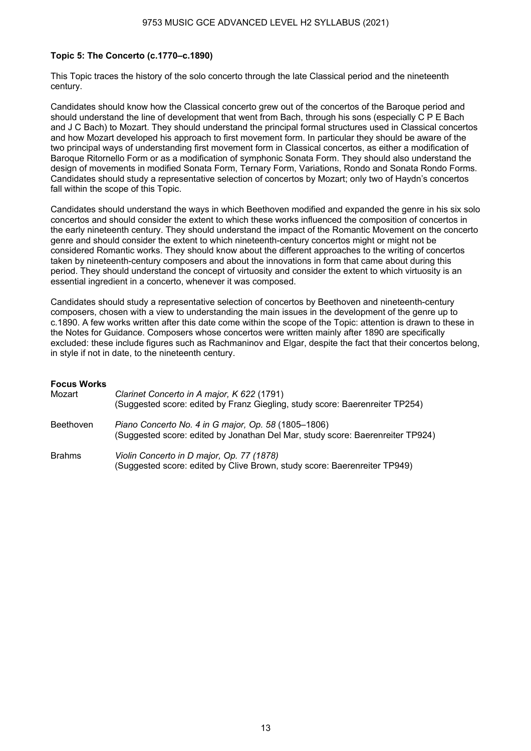## **Topic 5: The Concerto (c.1770–c.1890)**

This Topic traces the history of the solo concerto through the late Classical period and the nineteenth century.

Candidates should know how the Classical concerto grew out of the concertos of the Baroque period and should understand the line of development that went from Bach, through his sons (especially C P E Bach and J C Bach) to Mozart. They should understand the principal formal structures used in Classical concertos and how Mozart developed his approach to first movement form. In particular they should be aware of the two principal ways of understanding first movement form in Classical concertos, as either a modification of Baroque Ritornello Form or as a modification of symphonic Sonata Form. They should also understand the design of movements in modified Sonata Form, Ternary Form, Variations, Rondo and Sonata Rondo Forms. Candidates should study a representative selection of concertos by Mozart; only two of Haydn's concertos fall within the scope of this Topic.

Candidates should understand the ways in which Beethoven modified and expanded the genre in his six solo concertos and should consider the extent to which these works influenced the composition of concertos in the early nineteenth century. They should understand the impact of the Romantic Movement on the concerto genre and should consider the extent to which nineteenth-century concertos might or might not be considered Romantic works. They should know about the different approaches to the writing of concertos taken by nineteenth-century composers and about the innovations in form that came about during this period. They should understand the concept of virtuosity and consider the extent to which virtuosity is an essential ingredient in a concerto, whenever it was composed.

Candidates should study a representative selection of concertos by Beethoven and nineteenth-century composers, chosen with a view to understanding the main issues in the development of the genre up to c.1890. A few works written after this date come within the scope of the Topic: attention is drawn to these in the Notes for Guidance. Composers whose concertos were written mainly after 1890 are specifically excluded: these include figures such as Rachmaninov and Elgar, despite the fact that their concertos belong, in style if not in date, to the nineteenth century.

#### **Focus Works**

| Mozart           | Clarinet Concerto in A major, K 622 (1791)<br>(Suggested score: edited by Franz Giegling, study score: Baerenreiter TP254)            |
|------------------|---------------------------------------------------------------------------------------------------------------------------------------|
| <b>Beethoven</b> | Piano Concerto No. 4 in G major, Op. 58 (1805-1806)<br>(Suggested score: edited by Jonathan Del Mar, study score: Baerenreiter TP924) |
| <b>Brahms</b>    | Violin Concerto in D major, Op. 77 (1878)<br>(Suggested score: edited by Clive Brown, study score: Baerenreiter TP949)                |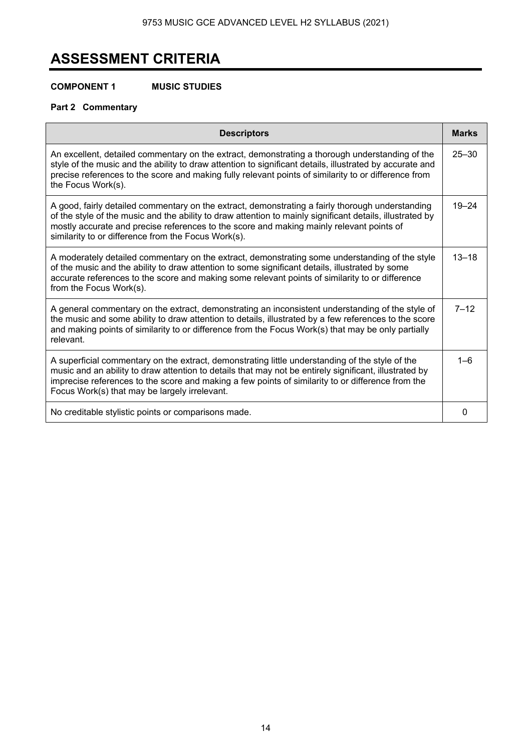# **ASSESSMENT CRITERIA**

## **COMPONENT 1 MUSIC STUDIES**

## **Part 2 Commentary**

| <b>Descriptors</b>                                                                                                                                                                                                                                                                                                                                               | <b>Marks</b> |
|------------------------------------------------------------------------------------------------------------------------------------------------------------------------------------------------------------------------------------------------------------------------------------------------------------------------------------------------------------------|--------------|
| An excellent, detailed commentary on the extract, demonstrating a thorough understanding of the<br>style of the music and the ability to draw attention to significant details, illustrated by accurate and<br>precise references to the score and making fully relevant points of similarity to or difference from<br>the Focus Work(s).                        | $25 - 30$    |
| A good, fairly detailed commentary on the extract, demonstrating a fairly thorough understanding<br>of the style of the music and the ability to draw attention to mainly significant details, illustrated by<br>mostly accurate and precise references to the score and making mainly relevant points of<br>similarity to or difference from the Focus Work(s). | $19 - 24$    |
| A moderately detailed commentary on the extract, demonstrating some understanding of the style<br>of the music and the ability to draw attention to some significant details, illustrated by some<br>accurate references to the score and making some relevant points of similarity to or difference<br>from the Focus Work(s).                                  | $13 - 18$    |
| A general commentary on the extract, demonstrating an inconsistent understanding of the style of<br>the music and some ability to draw attention to details, illustrated by a few references to the score<br>and making points of similarity to or difference from the Focus Work(s) that may be only partially<br>relevant.                                     | $7 - 12$     |
| A superficial commentary on the extract, demonstrating little understanding of the style of the<br>music and an ability to draw attention to details that may not be entirely significant, illustrated by<br>imprecise references to the score and making a few points of similarity to or difference from the<br>Focus Work(s) that may be largely irrelevant.  | $1 - 6$      |
| No creditable stylistic points or comparisons made.                                                                                                                                                                                                                                                                                                              | 0            |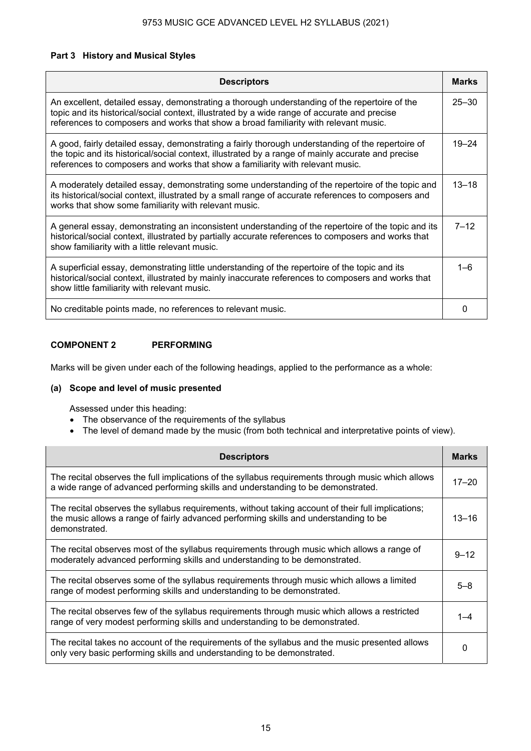## **Part 3 History and Musical Styles**

| <b>Descriptors</b>                                                                                                                                                                                                                                                                        | <b>Marks</b> |
|-------------------------------------------------------------------------------------------------------------------------------------------------------------------------------------------------------------------------------------------------------------------------------------------|--------------|
| An excellent, detailed essay, demonstrating a thorough understanding of the repertoire of the<br>topic and its historical/social context, illustrated by a wide range of accurate and precise<br>references to composers and works that show a broad familiarity with relevant music.     | $25 - 30$    |
| A good, fairly detailed essay, demonstrating a fairly thorough understanding of the repertoire of<br>the topic and its historical/social context, illustrated by a range of mainly accurate and precise<br>references to composers and works that show a familiarity with relevant music. | $19 - 24$    |
| A moderately detailed essay, demonstrating some understanding of the repertoire of the topic and<br>its historical/social context, illustrated by a small range of accurate references to composers and<br>works that show some familiarity with relevant music.                          | $13 - 18$    |
| A general essay, demonstrating an inconsistent understanding of the repertoire of the topic and its<br>historical/social context, illustrated by partially accurate references to composers and works that<br>show familiarity with a little relevant music.                              | $7 - 12$     |
| A superficial essay, demonstrating little understanding of the repertoire of the topic and its<br>historical/social context, illustrated by mainly inaccurate references to composers and works that<br>show little familiarity with relevant music.                                      | $1 - 6$      |
| No creditable points made, no references to relevant music.                                                                                                                                                                                                                               |              |

## **COMPONENT 2 PERFORMING**

Marks will be given under each of the following headings, applied to the performance as a whole:

## **(a) Scope and level of music presented**

Assessed under this heading:

- The observance of the requirements of the syllabus
- The level of demand made by the music (from both technical and interpretative points of view).

| <b>Descriptors</b>                                                                                                                                                                                           | <b>Marks</b> |
|--------------------------------------------------------------------------------------------------------------------------------------------------------------------------------------------------------------|--------------|
| The recital observes the full implications of the syllabus requirements through music which allows<br>a wide range of advanced performing skills and understanding to be demonstrated.                       | $17 - 20$    |
| The recital observes the syllabus requirements, without taking account of their full implications;<br>the music allows a range of fairly advanced performing skills and understanding to be<br>demonstrated. | $13 - 16$    |
| The recital observes most of the syllabus requirements through music which allows a range of<br>moderately advanced performing skills and understanding to be demonstrated.                                  | $9 - 12$     |
| The recital observes some of the syllabus requirements through music which allows a limited<br>range of modest performing skills and understanding to be demonstrated.                                       | 5–8          |
| The recital observes few of the syllabus requirements through music which allows a restricted<br>range of very modest performing skills and understanding to be demonstrated.                                |              |
| The recital takes no account of the requirements of the syllabus and the music presented allows<br>only very basic performing skills and understanding to be demonstrated.                                   |              |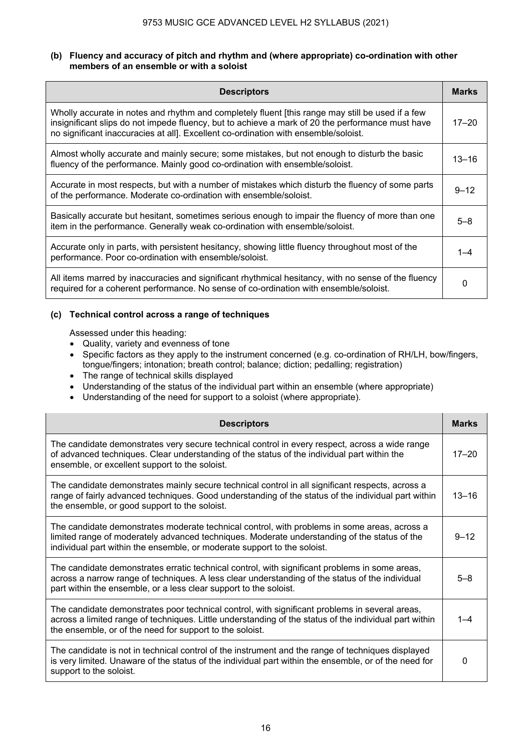## **(b) Fluency and accuracy of pitch and rhythm and (where appropriate) co-ordination with other members of an ensemble or with a soloist**

| <b>Descriptors</b>                                                                                                                                                                                                                                                                          | <b>Marks</b> |
|---------------------------------------------------------------------------------------------------------------------------------------------------------------------------------------------------------------------------------------------------------------------------------------------|--------------|
| Wholly accurate in notes and rhythm and completely fluent [this range may still be used if a few<br>insignificant slips do not impede fluency, but to achieve a mark of 20 the performance must have<br>no significant inaccuracies at all]. Excellent co-ordination with ensemble/soloist. | $17 - 20$    |
| Almost wholly accurate and mainly secure; some mistakes, but not enough to disturb the basic<br>fluency of the performance. Mainly good co-ordination with ensemble/soloist.                                                                                                                | $13 - 16$    |
| Accurate in most respects, but with a number of mistakes which disturb the fluency of some parts<br>of the performance. Moderate co-ordination with ensemble/soloist.                                                                                                                       | $9 - 12$     |
| Basically accurate but hesitant, sometimes serious enough to impair the fluency of more than one<br>item in the performance. Generally weak co-ordination with ensemble/soloist.                                                                                                            | $5 - 8$      |
| Accurate only in parts, with persistent hesitancy, showing little fluency throughout most of the<br>performance. Poor co-ordination with ensemble/soloist.                                                                                                                                  | $1 - 4$      |
| All items marred by inaccuracies and significant rhythmical hesitancy, with no sense of the fluency<br>required for a coherent performance. No sense of co-ordination with ensemble/soloist.                                                                                                | 0            |

## **(c) Technical control across a range of techniques**

Assessed under this heading:

- Quality, variety and evenness of tone
- Specific factors as they apply to the instrument concerned (e.g. co-ordination of RH/LH, bow/fingers, tongue/fingers; intonation; breath control; balance; diction; pedalling; registration)
- The range of technical skills displayed
- Understanding of the status of the individual part within an ensemble (where appropriate)
- Understanding of the need for support to a soloist (where appropriate).

| <b>Descriptors</b>                                                                                                                                                                                                                                                       | <b>Marks</b> |
|--------------------------------------------------------------------------------------------------------------------------------------------------------------------------------------------------------------------------------------------------------------------------|--------------|
| The candidate demonstrates very secure technical control in every respect, across a wide range<br>of advanced techniques. Clear understanding of the status of the individual part within the<br>ensemble, or excellent support to the soloist.                          | $17 - 20$    |
| The candidate demonstrates mainly secure technical control in all significant respects, across a<br>range of fairly advanced techniques. Good understanding of the status of the individual part within<br>the ensemble, or good support to the soloist.                 | $13 - 16$    |
| The candidate demonstrates moderate technical control, with problems in some areas, across a<br>limited range of moderately advanced techniques. Moderate understanding of the status of the<br>individual part within the ensemble, or moderate support to the soloist. | $9 - 12$     |
| The candidate demonstrates erratic technical control, with significant problems in some areas,<br>across a narrow range of techniques. A less clear understanding of the status of the individual<br>part within the ensemble, or a less clear support to the soloist.   | $5 - 8$      |
| The candidate demonstrates poor technical control, with significant problems in several areas,<br>across a limited range of techniques. Little understanding of the status of the individual part within<br>the ensemble, or of the need for support to the soloist.     |              |
| The candidate is not in technical control of the instrument and the range of techniques displayed<br>is very limited. Unaware of the status of the individual part within the ensemble, or of the need for<br>support to the soloist.                                    |              |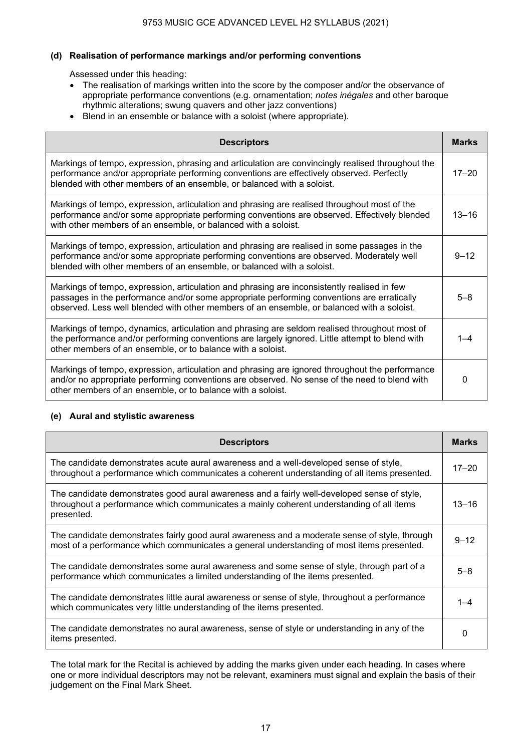## **(d) Realisation of performance markings and/or performing conventions**

Assessed under this heading:

- The realisation of markings written into the score by the composer and/or the observance of appropriate performance conventions (e.g. ornamentation; *notes inégales* and other baroque rhythmic alterations; swung quavers and other jazz conventions)
- Blend in an ensemble or balance with a soloist (where appropriate).

| <b>Descriptors</b>                                                                                                                                                                                                                                                                      | <b>Marks</b> |
|-----------------------------------------------------------------------------------------------------------------------------------------------------------------------------------------------------------------------------------------------------------------------------------------|--------------|
| Markings of tempo, expression, phrasing and articulation are convincingly realised throughout the<br>performance and/or appropriate performing conventions are effectively observed. Perfectly<br>blended with other members of an ensemble, or balanced with a soloist.                | $17 - 20$    |
| Markings of tempo, expression, articulation and phrasing are realised throughout most of the<br>performance and/or some appropriate performing conventions are observed. Effectively blended<br>with other members of an ensemble, or balanced with a soloist.                          | $13 - 16$    |
| Markings of tempo, expression, articulation and phrasing are realised in some passages in the<br>performance and/or some appropriate performing conventions are observed. Moderately well<br>blended with other members of an ensemble, or balanced with a soloist.                     | $9 - 12$     |
| Markings of tempo, expression, articulation and phrasing are inconsistently realised in few<br>passages in the performance and/or some appropriate performing conventions are erratically<br>observed. Less well blended with other members of an ensemble, or balanced with a soloist. | $5 - 8$      |
| Markings of tempo, dynamics, articulation and phrasing are seldom realised throughout most of<br>the performance and/or performing conventions are largely ignored. Little attempt to blend with<br>other members of an ensemble, or to balance with a soloist.                         |              |
| Markings of tempo, expression, articulation and phrasing are ignored throughout the performance<br>and/or no appropriate performing conventions are observed. No sense of the need to blend with<br>other members of an ensemble, or to balance with a soloist.                         | 0            |

## **(e) Aural and stylistic awareness**

| <b>Descriptors</b>                                                                                                                                                                                    | <b>Marks</b> |
|-------------------------------------------------------------------------------------------------------------------------------------------------------------------------------------------------------|--------------|
| The candidate demonstrates acute aural awareness and a well-developed sense of style,<br>throughout a performance which communicates a coherent understanding of all items presented.                 | $17 - 20$    |
| The candidate demonstrates good aural awareness and a fairly well-developed sense of style,<br>throughout a performance which communicates a mainly coherent understanding of all items<br>presented. | $13 - 16$    |
| The candidate demonstrates fairly good aural awareness and a moderate sense of style, through<br>most of a performance which communicates a general understanding of most items presented.            | $9 - 12$     |
| The candidate demonstrates some aural awareness and some sense of style, through part of a<br>performance which communicates a limited understanding of the items presented.                          | $5 - 8$      |
| The candidate demonstrates little aural awareness or sense of style, throughout a performance<br>which communicates very little understanding of the items presented.                                 |              |
| The candidate demonstrates no aural awareness, sense of style or understanding in any of the<br>items presented.                                                                                      | 0            |

The total mark for the Recital is achieved by adding the marks given under each heading. In cases where one or more individual descriptors may not be relevant, examiners must signal and explain the basis of their judgement on the Final Mark Sheet.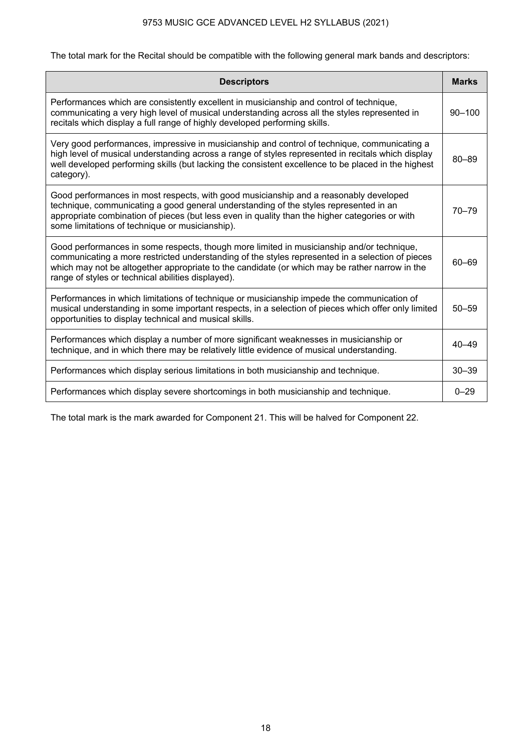The total mark for the Recital should be compatible with the following general mark bands and descriptors:

| <b>Descriptors</b>                                                                                                                                                                                                                                                                                                                                    | <b>Marks</b> |
|-------------------------------------------------------------------------------------------------------------------------------------------------------------------------------------------------------------------------------------------------------------------------------------------------------------------------------------------------------|--------------|
| Performances which are consistently excellent in musicianship and control of technique,<br>communicating a very high level of musical understanding across all the styles represented in<br>recitals which display a full range of highly developed performing skills.                                                                                | $90 - 100$   |
| Very good performances, impressive in musicianship and control of technique, communicating a<br>high level of musical understanding across a range of styles represented in recitals which display<br>well developed performing skills (but lacking the consistent excellence to be placed in the highest<br>category).                               | $80 - 89$    |
| Good performances in most respects, with good musicianship and a reasonably developed<br>technique, communicating a good general understanding of the styles represented in an<br>appropriate combination of pieces (but less even in quality than the higher categories or with<br>some limitations of technique or musicianship).                   | $70 - 79$    |
| Good performances in some respects, though more limited in musicianship and/or technique,<br>communicating a more restricted understanding of the styles represented in a selection of pieces<br>which may not be altogether appropriate to the candidate (or which may be rather narrow in the<br>range of styles or technical abilities displayed). | 60-69        |
| Performances in which limitations of technique or musicianship impede the communication of<br>musical understanding in some important respects, in a selection of pieces which offer only limited<br>opportunities to display technical and musical skills.                                                                                           | $50 - 59$    |
| Performances which display a number of more significant weaknesses in musicianship or<br>technique, and in which there may be relatively little evidence of musical understanding.                                                                                                                                                                    | $40 - 49$    |
| Performances which display serious limitations in both musicianship and technique.                                                                                                                                                                                                                                                                    | $30 - 39$    |
| Performances which display severe shortcomings in both musicianship and technique.                                                                                                                                                                                                                                                                    | $0 - 29$     |

The total mark is the mark awarded for Component 21. This will be halved for Component 22.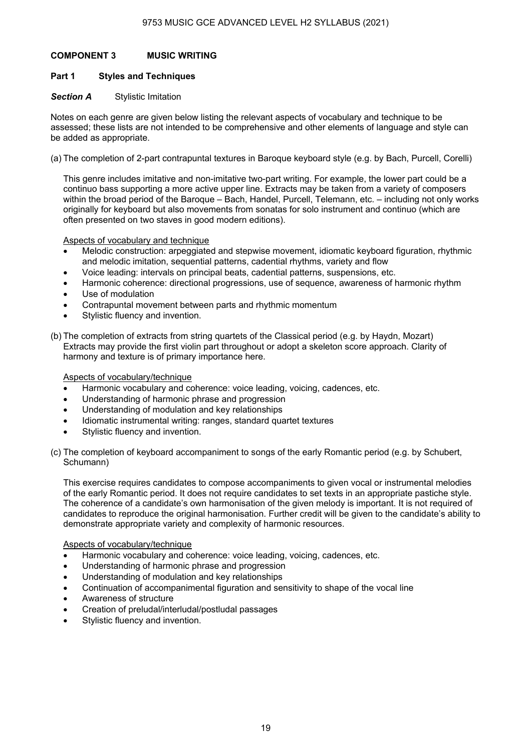## **COMPONENT 3 MUSIC WRITING**

## **Part 1 Styles and Techniques**

## **Section A** Stylistic Imitation

Notes on each genre are given below listing the relevant aspects of vocabulary and technique to be assessed; these lists are not intended to be comprehensive and other elements of language and style can be added as appropriate.

(a) The completion of 2-part contrapuntal textures in Baroque keyboard style (e.g. by Bach, Purcell, Corelli)

This genre includes imitative and non-imitative two-part writing. For example, the lower part could be a continuo bass supporting a more active upper line. Extracts may be taken from a variety of composers within the broad period of the Baroque – Bach, Handel, Purcell, Telemann, etc. – including not only works originally for keyboard but also movements from sonatas for solo instrument and continuo (which are often presented on two staves in good modern editions).

#### Aspects of vocabulary and technique

- Melodic construction: arpeggiated and stepwise movement, idiomatic keyboard figuration, rhythmic and melodic imitation, sequential patterns, cadential rhythms, variety and flow
- Voice leading: intervals on principal beats, cadential patterns, suspensions, etc.
- Harmonic coherence: directional progressions, use of sequence, awareness of harmonic rhythm Use of modulation
- Contrapuntal movement between parts and rhythmic momentum
- Stylistic fluency and invention.
- (b) The completion of extracts from string quartets of the Classical period (e.g. by Haydn, Mozart) Extracts may provide the first violin part throughout or adopt a skeleton score approach. Clarity of harmony and texture is of primary importance here.

#### Aspects of vocabulary/technique

- Harmonic vocabulary and coherence: voice leading, voicing, cadences, etc.
- Understanding of harmonic phrase and progression
- Understanding of modulation and key relationships
- Idiomatic instrumental writing: ranges, standard quartet textures
- Stylistic fluency and invention.
- (c) The completion of keyboard accompaniment to songs of the early Romantic period (e.g. by Schubert, Schumann)

This exercise requires candidates to compose accompaniments to given vocal or instrumental melodies of the early Romantic period. It does not require candidates to set texts in an appropriate pastiche style. The coherence of a candidate's own harmonisation of the given melody is important. It is not required of candidates to reproduce the original harmonisation. Further credit will be given to the candidate's ability to demonstrate appropriate variety and complexity of harmonic resources.

#### Aspects of vocabulary/technique

- Harmonic vocabulary and coherence: voice leading, voicing, cadences, etc.
- Understanding of harmonic phrase and progression
- Understanding of modulation and key relationships
- Continuation of accompanimental figuration and sensitivity to shape of the vocal line
- Awareness of structure
- Creation of preludal/interludal/postludal passages
- Stvlistic fluency and invention.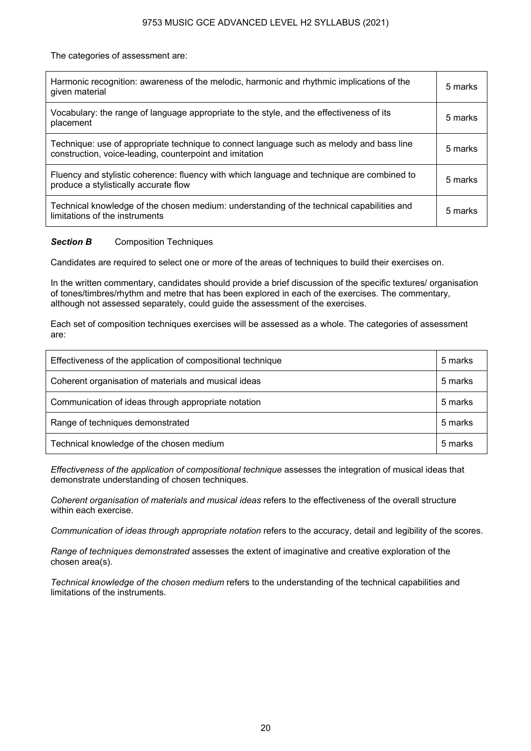The categories of assessment are:

| Harmonic recognition: awareness of the melodic, harmonic and rhythmic implications of the<br>given material                                         | 5 marks |
|-----------------------------------------------------------------------------------------------------------------------------------------------------|---------|
| Vocabulary: the range of language appropriate to the style, and the effectiveness of its<br>placement                                               | 5 marks |
| Technique: use of appropriate technique to connect language such as melody and bass line<br>construction, voice-leading, counterpoint and imitation | 5 marks |
| Fluency and stylistic coherence: fluency with which language and technique are combined to<br>produce a stylistically accurate flow                 | 5 marks |
| Technical knowledge of the chosen medium: understanding of the technical capabilities and<br>limitations of the instruments                         | 5 marks |

## **Section B** Composition Techniques

Candidates are required to select one or more of the areas of techniques to build their exercises on.

In the written commentary, candidates should provide a brief discussion of the specific textures/ organisation of tones/timbres/rhythm and metre that has been explored in each of the exercises. The commentary, although not assessed separately, could guide the assessment of the exercises.

Each set of composition techniques exercises will be assessed as a whole. The categories of assessment are:

| Effectiveness of the application of compositional technique | 5 marks |
|-------------------------------------------------------------|---------|
| Coherent organisation of materials and musical ideas        | 5 marks |
| Communication of ideas through appropriate notation         | 5 marks |
| Range of techniques demonstrated                            | 5 marks |
| Technical knowledge of the chosen medium                    | 5 marks |

*Effectiveness of the application of compositional technique* assesses the integration of musical ideas that demonstrate understanding of chosen techniques.

*Coherent organisation of materials and musical ideas* refers to the effectiveness of the overall structure within each exercise.

*Communication of ideas through appropriate notation* refers to the accuracy, detail and legibility of the scores.

*Range of techniques demonstrated* assesses the extent of imaginative and creative exploration of the chosen area(s).

*Technical knowledge of the chosen medium* refers to the understanding of the technical capabilities and limitations of the instruments.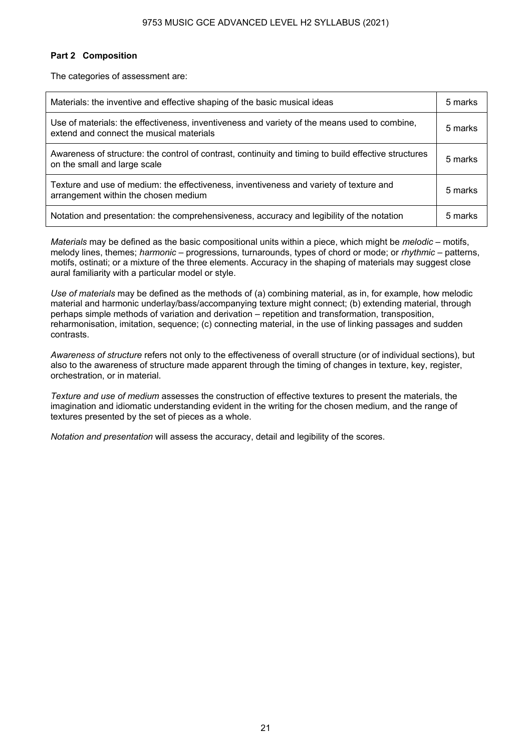## **Part 2 Composition**

The categories of assessment are:

| Materials: the inventive and effective shaping of the basic musical ideas                                                                | 5 marks |
|------------------------------------------------------------------------------------------------------------------------------------------|---------|
| Use of materials: the effectiveness, inventiveness and variety of the means used to combine,<br>extend and connect the musical materials | 5 marks |
| Awareness of structure: the control of contrast, continuity and timing to build effective structures<br>on the small and large scale     | 5 marks |
| Texture and use of medium: the effectiveness, inventiveness and variety of texture and<br>arrangement within the chosen medium           | 5 marks |
| Notation and presentation: the comprehensiveness, accuracy and legibility of the notation                                                | 5 marks |

*Materials* may be defined as the basic compositional units within a piece, which might be *melodic* – motifs, melody lines, themes; *harmonic* – progressions, turnarounds, types of chord or mode; or *rhythmic* – patterns, motifs, ostinati; or a mixture of the three elements. Accuracy in the shaping of materials may suggest close aural familiarity with a particular model or style.

*Use of materials* may be defined as the methods of (a) combining material, as in, for example, how melodic material and harmonic underlay/bass/accompanying texture might connect; (b) extending material, through perhaps simple methods of variation and derivation – repetition and transformation, transposition, reharmonisation, imitation, sequence; (c) connecting material, in the use of linking passages and sudden contrasts.

*Awareness of structure* refers not only to the effectiveness of overall structure (or of individual sections), but also to the awareness of structure made apparent through the timing of changes in texture, key, register, orchestration, or in material.

*Texture and use of medium* assesses the construction of effective textures to present the materials, the imagination and idiomatic understanding evident in the writing for the chosen medium, and the range of textures presented by the set of pieces as a whole.

*Notation and presentation* will assess the accuracy, detail and legibility of the scores.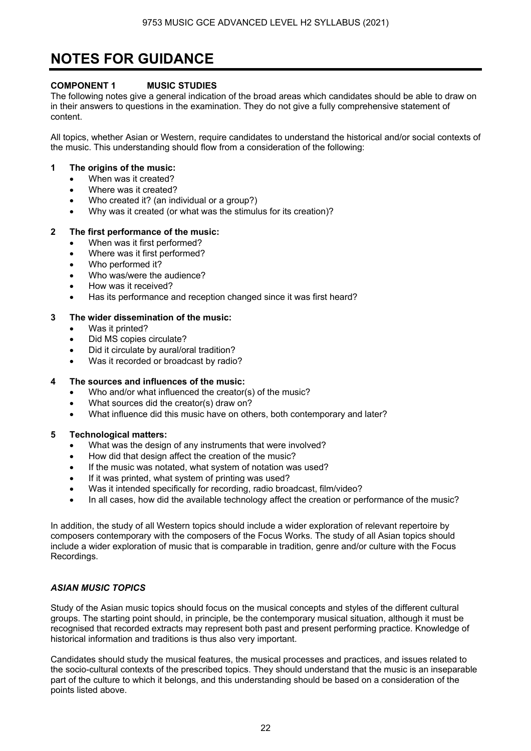# **NOTES FOR GUIDANCE**

## **COMPONENT 1 MUSIC STUDIES**

The following notes give a general indication of the broad areas which candidates should be able to draw on in their answers to questions in the examination. They do not give a fully comprehensive statement of content.

All topics, whether Asian or Western, require candidates to understand the historical and/or social contexts of the music. This understanding should flow from a consideration of the following:

## **1 The origins of the music:**

- When was it created?
- Where was it created?
- Who created it? (an individual or a group?)
- Why was it created (or what was the stimulus for its creation)?

## **2 The first performance of the music:**

- When was it first performed?
- Where was it first performed?
- Who performed it?
- Who was/were the audience?
- How was it received?
- Has its performance and reception changed since it was first heard?

## **3 The wider dissemination of the music:**

- Was it printed?
- Did MS copies circulate?
- Did it circulate by aural/oral tradition?
- Was it recorded or broadcast by radio?

## **4 The sources and influences of the music:**

- Who and/or what influenced the creator(s) of the music?
- What sources did the creator(s) draw on?
- What influence did this music have on others, both contemporary and later?

## **5 Technological matters:**

- What was the design of any instruments that were involved?
- How did that design affect the creation of the music?
- If the music was notated, what system of notation was used?
- If it was printed, what system of printing was used?
- Was it intended specifically for recording, radio broadcast, film/video?
- In all cases, how did the available technology affect the creation or performance of the music?

In addition, the study of all Western topics should include a wider exploration of relevant repertoire by composers contemporary with the composers of the Focus Works. The study of all Asian topics should include a wider exploration of music that is comparable in tradition, genre and/or culture with the Focus Recordings.

## *ASIAN MUSIC TOPICS*

Study of the Asian music topics should focus on the musical concepts and styles of the different cultural groups. The starting point should, in principle, be the contemporary musical situation, although it must be recognised that recorded extracts may represent both past and present performing practice. Knowledge of historical information and traditions is thus also very important.

Candidates should study the musical features, the musical processes and practices, and issues related to the socio-cultural contexts of the prescribed topics. They should understand that the music is an inseparable part of the culture to which it belongs, and this understanding should be based on a consideration of the points listed above.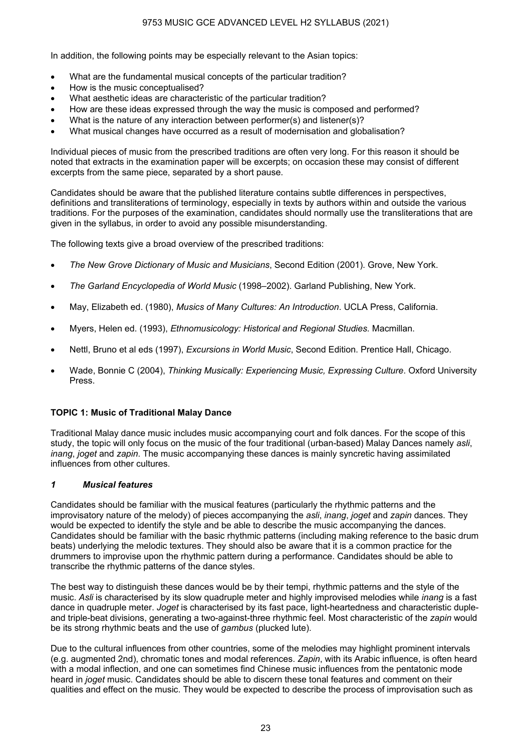In addition, the following points may be especially relevant to the Asian topics:

- What are the fundamental musical concepts of the particular tradition?
- How is the music conceptualised?
- What aesthetic ideas are characteristic of the particular tradition?
- How are these ideas expressed through the way the music is composed and performed?
- What is the nature of any interaction between performer(s) and listener(s)?
- What musical changes have occurred as a result of modernisation and globalisation?

Individual pieces of music from the prescribed traditions are often very long. For this reason it should be noted that extracts in the examination paper will be excerpts; on occasion these may consist of different excerpts from the same piece, separated by a short pause.

Candidates should be aware that the published literature contains subtle differences in perspectives, definitions and transliterations of terminology, especially in texts by authors within and outside the various traditions. For the purposes of the examination, candidates should normally use the transliterations that are given in the syllabus, in order to avoid any possible misunderstanding.

The following texts give a broad overview of the prescribed traditions:

- *The New Grove Dictionary of Music and Musicians*, Second Edition (2001). Grove, New York.
- *The Garland Encyclopedia of World Music* (1998–2002). Garland Publishing, New York.
- May, Elizabeth ed. (1980), *Musics of Many Cultures: An Introduction*. UCLA Press, California.
- Myers, Helen ed. (1993), *Ethnomusicology: Historical and Regional Studies.* Macmillan.
- Nettl, Bruno et al eds (1997), *Excursions in World Music*, Second Edition. Prentice Hall, Chicago.
- Wade, Bonnie C (2004), *Thinking Musically: Experiencing Music, Expressing Culture*. Oxford University Press.

#### **TOPIC 1: Music of Traditional Malay Dance**

Traditional Malay dance music includes music accompanying court and folk dances. For the scope of this study, the topic will only focus on the music of the four traditional (urban-based) Malay Dances namely *asli*, *inang*, *joget* and *zapin*. The music accompanying these dances is mainly syncretic having assimilated influences from other cultures.

#### *1 Musical features*

Candidates should be familiar with the musical features (particularly the rhythmic patterns and the improvisatory nature of the melody) of pieces accompanying the *asli*, *inang*, *joget* and *zapin* dances. They would be expected to identify the style and be able to describe the music accompanying the dances. Candidates should be familiar with the basic rhythmic patterns (including making reference to the basic drum beats) underlying the melodic textures. They should also be aware that it is a common practice for the drummers to improvise upon the rhythmic pattern during a performance. Candidates should be able to transcribe the rhythmic patterns of the dance styles.

The best way to distinguish these dances would be by their tempi, rhythmic patterns and the style of the music. *Asli* is characterised by its slow quadruple meter and highly improvised melodies while *inang* is a fast dance in quadruple meter. *Joget* is characterised by its fast pace, light-heartedness and characteristic dupleand triple-beat divisions, generating a two-against-three rhythmic feel. Most characteristic of the *zapin* would be its strong rhythmic beats and the use of *gambus* (plucked lute).

Due to the cultural influences from other countries, some of the melodies may highlight prominent intervals (e.g. augmented 2nd), chromatic tones and modal references. *Zapin*, with its Arabic influence, is often heard with a modal inflection, and one can sometimes find Chinese music influences from the pentatonic mode heard in *joget* music. Candidates should be able to discern these tonal features and comment on their qualities and effect on the music. They would be expected to describe the process of improvisation such as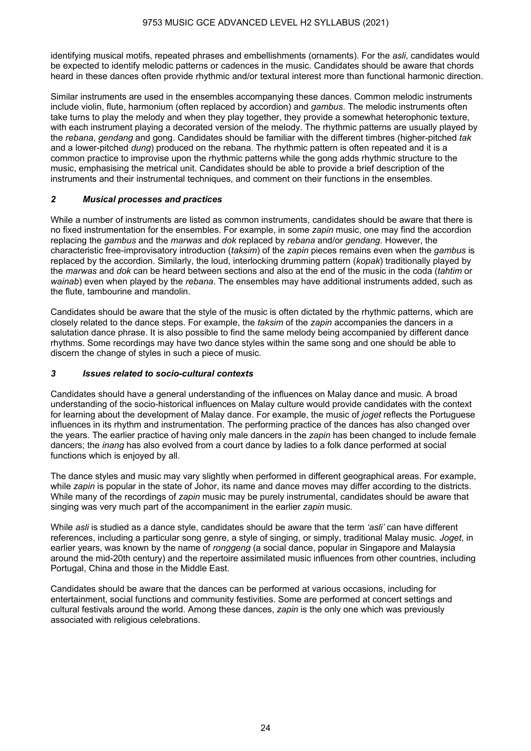identifying musical motifs, repeated phrases and embellishments (ornaments). For the *asli*, candidates would be expected to identify melodic patterns or cadences in the music. Candidates should be aware that chords heard in these dances often provide rhythmic and/or textural interest more than functional harmonic direction.

Similar instruments are used in the ensembles accompanying these dances. Common melodic instruments include violin, flute, harmonium (often replaced by accordion) and *gambus*. The melodic instruments often take turns to play the melody and when they play together, they provide a somewhat heterophonic texture, with each instrument playing a decorated version of the melody. The rhythmic patterns are usually played by the *rebana*, *gendang* and gong. Candidates should be familiar with the different timbres (higher-pitched *tak* and a lower-pitched *dung*) produced on the rebana. The rhythmic pattern is often repeated and it is a common practice to improvise upon the rhythmic patterns while the gong adds rhythmic structure to the music, emphasising the metrical unit. Candidates should be able to provide a brief description of the instruments and their instrumental techniques, and comment on their functions in the ensembles.

## *2 Musical processes and practices*

While a number of instruments are listed as common instruments, candidates should be aware that there is no fixed instrumentation for the ensembles. For example, in some *zapin* music, one may find the accordion replacing the *gambus* and the *marwas* and *dok* replaced by *rebana* and/or *gendang*. However, the characteristic free-improvisatory introduction (*taksim*) of the *zapin* pieces remains even when the *gambus* is replaced by the accordion. Similarly, the loud, interlocking drumming pattern (*kopak*) traditionally played by the *marwas* and *dok* can be heard between sections and also at the end of the music in the coda (*tahtim* or *wainab*) even when played by the *rebana*. The ensembles may have additional instruments added, such as the flute, tambourine and mandolin.

Candidates should be aware that the style of the music is often dictated by the rhythmic patterns, which are closely related to the dance steps. For example, the *taksim* of the *zapin* accompanies the dancers in a salutation dance phrase. It is also possible to find the same melody being accompanied by different dance rhythms. Some recordings may have two dance styles within the same song and one should be able to discern the change of styles in such a piece of music.

## *3 Issues related to socio-cultural contexts*

Candidates should have a general understanding of the influences on Malay dance and music. A broad understanding of the socio-historical influences on Malay culture would provide candidates with the context for learning about the development of Malay dance. For example, the music of *joget* reflects the Portuguese influences in its rhythm and instrumentation. The performing practice of the dances has also changed over the years. The earlier practice of having only male dancers in the *zapin* has been changed to include female dancers; the *inang* has also evolved from a court dance by ladies to a folk dance performed at social functions which is enjoyed by all.

The dance styles and music may vary slightly when performed in different geographical areas. For example, while *zapin* is popular in the state of Johor, its name and dance moves may differ according to the districts. While many of the recordings of *zapin* music may be purely instrumental, candidates should be aware that singing was very much part of the accompaniment in the earlier *zapin* music.

While *asli* is studied as a dance style, candidates should be aware that the term *'asli'* can have different references, including a particular song genre, a style of singing, or simply, traditional Malay music. *Joget*, in earlier years, was known by the name of *ronggeng* (a social dance, popular in Singapore and Malaysia around the mid-20th century) and the repertoire assimilated music influences from other countries, including Portugal, China and those in the Middle East.

Candidates should be aware that the dances can be performed at various occasions, including for entertainment, social functions and community festivities. Some are performed at concert settings and cultural festivals around the world. Among these dances, *zapin* is the only one which was previously associated with religious celebrations.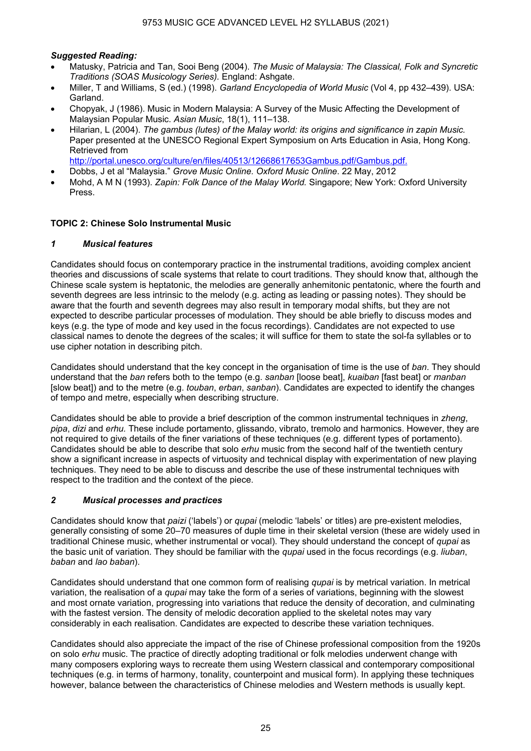## *Suggested Reading:*

- Matusky, Patricia and Tan, Sooi Beng (2004). *The Music of Malaysia: The Classical, Folk and Syncretic Traditions (SOAS Musicology Series).* England: Ashgate.
- Miller, T and Williams, S (ed.) (1998). *Garland Encyclopedia of World Music* (Vol 4, pp 432–439). USA: Garland.
- Chopyak, J (1986). Music in Modern Malaysia: A Survey of the Music Affecting the Development of Malaysian Popular Music. *Asian Music*, 18(1), 111–138.
- Hilarian, L (2004). *The gambus (lutes) of the Malay world: its origins and significance in zapin Music.* Paper presented at the UNESCO Regional Expert Symposium on Arts Education in Asia, Hong Kong. Retrieved from

http://portal.unesco.org/culture/en/files/40513/12668617653Gambus.pdf/Gambus.pdf.

- Dobbs, J et al "Malaysia." *Grove Music Online. Oxford Music Online*. 22 May, 2012
- Mohd, A M N (1993). *Zapin: Folk Dance of the Malay World.* Singapore; New York: Oxford University Press.

## **TOPIC 2: Chinese Solo Instrumental Music**

#### *1 Musical features*

Candidates should focus on contemporary practice in the instrumental traditions, avoiding complex ancient theories and discussions of scale systems that relate to court traditions. They should know that, although the Chinese scale system is heptatonic, the melodies are generally anhemitonic pentatonic, where the fourth and seventh degrees are less intrinsic to the melody (e.g. acting as leading or passing notes). They should be aware that the fourth and seventh degrees may also result in temporary modal shifts, but they are not expected to describe particular processes of modulation. They should be able briefly to discuss modes and keys (e.g. the type of mode and key used in the focus recordings). Candidates are not expected to use classical names to denote the degrees of the scales; it will suffice for them to state the sol-fa syllables or to use cipher notation in describing pitch.

Candidates should understand that the key concept in the organisation of time is the use of *ban*. They should understand that the *ban* refers both to the tempo (e.g. *sanban* [loose beat], *kuaiban* [fast beat] or *manban*  [slow beat]) and to the metre (e.g. *touban*, *erban*, *sanban*). Candidates are expected to identify the changes of tempo and metre, especially when describing structure.

Candidates should be able to provide a brief description of the common instrumental techniques in *zheng*, *pipa*, *dizi* and *erhu.* These include portamento, glissando, vibrato, tremolo and harmonics. However, they are not required to give details of the finer variations of these techniques (e.g. different types of portamento). Candidates should be able to describe that solo *erhu* music from the second half of the twentieth century show a significant increase in aspects of virtuosity and technical display with experimentation of new playing techniques. They need to be able to discuss and describe the use of these instrumental techniques with respect to the tradition and the context of the piece.

## *2 Musical processes and practices*

Candidates should know that *paizi* ('labels') or *qupai* (melodic 'labels' or titles) are pre-existent melodies, generally consisting of some 20–70 measures of duple time in their skeletal version (these are widely used in traditional Chinese music, whether instrumental or vocal). They should understand the concept of *qupai* as the basic unit of variation. They should be familiar with the *qupai* used in the focus recordings (e.g. *liuban*, *baban* and *lao baban*).

Candidates should understand that one common form of realising *qupai* is by metrical variation. In metrical variation, the realisation of a *qupai* may take the form of a series of variations, beginning with the slowest and most ornate variation, progressing into variations that reduce the density of decoration, and culminating with the fastest version. The density of melodic decoration applied to the skeletal notes may vary considerably in each realisation. Candidates are expected to describe these variation techniques.

Candidates should also appreciate the impact of the rise of Chinese professional composition from the 1920s on solo *erhu* music. The practice of directly adopting traditional or folk melodies underwent change with many composers exploring ways to recreate them using Western classical and contemporary compositional techniques (e.g. in terms of harmony, tonality, counterpoint and musical form). In applying these techniques however, balance between the characteristics of Chinese melodies and Western methods is usually kept.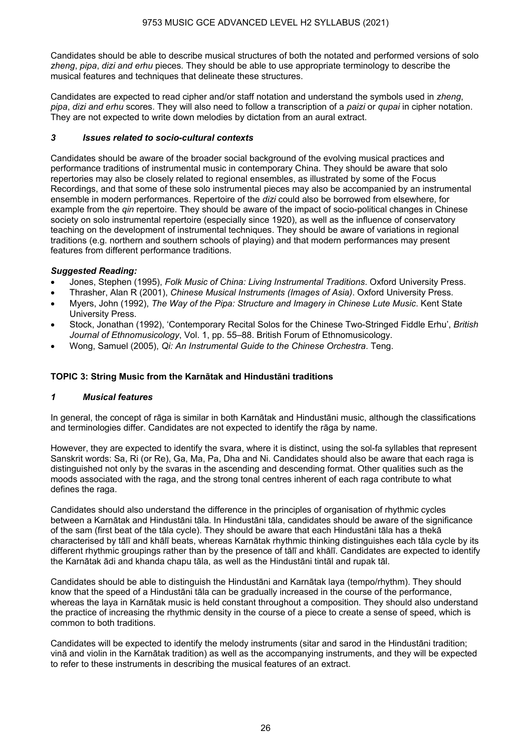Candidates should be able to describe musical structures of both the notated and performed versions of solo *zheng*, *pipa*, *dizi and erhu* pieces*.* They should be able to use appropriate terminology to describe the musical features and techniques that delineate these structures.

Candidates are expected to read cipher and/or staff notation and understand the symbols used in *zheng*, *pipa*, *dizi and erhu* scores. They will also need to follow a transcription of a *paizi* or *qupai* in cipher notation. They are not expected to write down melodies by dictation from an aural extract.

## *3 Issues related to socio-cultural contexts*

Candidates should be aware of the broader social background of the evolving musical practices and performance traditions of instrumental music in contemporary China. They should be aware that solo repertories may also be closely related to regional ensembles, as illustrated by some of the Focus Recordings, and that some of these solo instrumental pieces may also be accompanied by an instrumental ensemble in modern performances. Repertoire of the *dizi* could also be borrowed from elsewhere, for example from the *qin* repertoire. They should be aware of the impact of socio-political changes in Chinese society on solo instrumental repertoire (especially since 1920), as well as the influence of conservatory teaching on the development of instrumental techniques. They should be aware of variations in regional traditions (e.g. northern and southern schools of playing) and that modern performances may present features from different performance traditions.

## *Suggested Reading:*

- Jones, Stephen (1995), *Folk Music of China: Living Instrumental Traditions*. Oxford University Press.
- Thrasher, Alan R (2001), *Chinese Musical Instruments (Images of Asia)*. Oxford University Press.
- Myers, John (1992), *The Way of the Pipa: Structure and Imagery in Chinese Lute Music*. Kent State University Press.
- Stock, Jonathan (1992), 'Contemporary Recital Solos for the Chinese Two-Stringed Fiddle Erhu', *British Journal of Ethnomusicology*, Vol. 1, pp. 55–88. British Forum of Ethnomusicology.
- Wong, Samuel (2005), *Qi: An Instrumental Guide to the Chinese Orchestra*. Teng.

## **TOPIC 3: String Music from the Karnātak and Hindustāni traditions**

## *1 Musical features*

In general, the concept of rāga is similar in both Karnātak and Hindustāni music, although the classifications and terminologies differ. Candidates are not expected to identify the rāga by name.

However, they are expected to identify the svara, where it is distinct, using the sol-fa syllables that represent Sanskrit words: Sa, Ri (or Re), Ga, Ma, Pa, Dha and Ni. Candidates should also be aware that each raga is distinguished not only by the svaras in the ascending and descending format. Other qualities such as the moods associated with the raga, and the strong tonal centres inherent of each raga contribute to what defines the raga.

Candidates should also understand the difference in the principles of organisation of rhythmic cycles between a Karnātak and Hindustāni tāla. In Hindustāni tāla, candidates should be aware of the significance of the sam (first beat of the tāla cycle). They should be aware that each Hindustāni tāla has a thekā characterised by tālī and khālī beats, whereas Karnātak rhythmic thinking distinguishes each tāla cycle by its different rhythmic groupings rather than by the presence of tālī and khālī. Candidates are expected to identify the Karnātak ādi and khanda chapu tāla, as well as the Hindustāni tintāl and rupak tāl.

Candidates should be able to distinguish the Hindustāni and Karnātak laya (tempo/rhythm). They should know that the speed of a Hindustāni tāla can be gradually increased in the course of the performance, whereas the laya in Karnātak music is held constant throughout a composition. They should also understand the practice of increasing the rhythmic density in the course of a piece to create a sense of speed, which is common to both traditions.

Candidates will be expected to identify the melody instruments (sitar and sarod in the Hindustāni tradition; vinā and violin in the Karnātak tradition) as well as the accompanying instruments, and they will be expected to refer to these instruments in describing the musical features of an extract.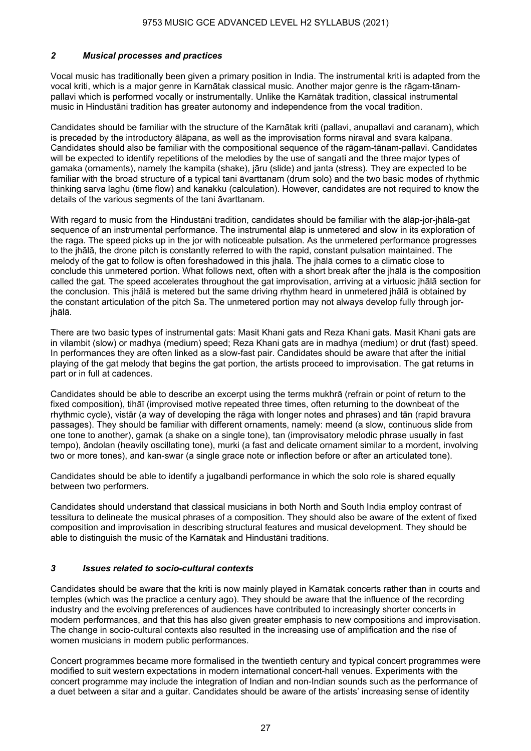## *2 Musical processes and practices*

Vocal music has traditionally been given a primary position in India. The instrumental kriti is adapted from the vocal kriti, which is a major genre in Karnātak classical music. Another major genre is the rāgam-tānampallavi which is performed vocally or instrumentally. Unlike the Karnātak tradition, classical instrumental music in Hindustāni tradition has greater autonomy and independence from the vocal tradition.

Candidates should be familiar with the structure of the Karnātak kriti (pallavi, anupallavi and caranam), which is preceded by the introductory ālāpana, as well as the improvisation forms niraval and svara kalpana. Candidates should also be familiar with the compositional sequence of the rāgam-tānam-pallavi. Candidates will be expected to identify repetitions of the melodies by the use of sangati and the three major types of gamaka (ornaments), namely the kampita (shake), jāru (slide) and janta (stress). They are expected to be familiar with the broad structure of a typical tani āvarttanam (drum solo) and the two basic modes of rhythmic thinking sarva laghu (time flow) and kanakku (calculation). However, candidates are not required to know the details of the various segments of the tani āvarttanam.

With regard to music from the Hindustāni tradition, candidates should be familiar with the ālāp-jor-jhālā-gat sequence of an instrumental performance. The instrumental ālāp is unmetered and slow in its exploration of the raga. The speed picks up in the jor with noticeable pulsation. As the unmetered performance progresses to the jhālā, the drone pitch is constantly referred to with the rapid, constant pulsation maintained. The melody of the gat to follow is often foreshadowed in this jhālā. The jhālā comes to a climatic close to conclude this unmetered portion. What follows next, often with a short break after the jhālā is the composition called the gat. The speed accelerates throughout the gat improvisation, arriving at a virtuosic jhālā section for the conclusion. This jhālā is metered but the same driving rhythm heard in unmetered jhālā is obtained by the constant articulation of the pitch Sa. The unmetered portion may not always develop fully through jorjhālā.

There are two basic types of instrumental gats: Masit Khani gats and Reza Khani gats. Masit Khani gats are in vilambit (slow) or madhya (medium) speed; Reza Khani gats are in madhya (medium) or drut (fast) speed. In performances they are often linked as a slow-fast pair. Candidates should be aware that after the initial playing of the gat melody that begins the gat portion, the artists proceed to improvisation. The gat returns in part or in full at cadences.

Candidates should be able to describe an excerpt using the terms mukhrā (refrain or point of return to the fixed composition), tihāī (improvised motive repeated three times, often returning to the downbeat of the rhythmic cycle), vistār (a way of developing the rāga with longer notes and phrases) and tān (rapid bravura passages). They should be familiar with different ornaments, namely: meend (a slow, continuous slide from one tone to another), gamak (a shake on a single tone), tan (improvisatory melodic phrase usually in fast tempo), āndolan (heavily oscillating tone), murki (a fast and delicate ornament similar to a mordent, involving two or more tones), and kan-swar (a single grace note or inflection before or after an articulated tone).

Candidates should be able to identify a jugalbandi performance in which the solo role is shared equally between two performers.

Candidates should understand that classical musicians in both North and South India employ contrast of tessitura to delineate the musical phrases of a composition. They should also be aware of the extent of fixed composition and improvisation in describing structural features and musical development. They should be able to distinguish the music of the Karnātak and Hindustāni traditions.

## *3 Issues related to socio-cultural contexts*

Candidates should be aware that the kriti is now mainly played in Karnātak concerts rather than in courts and temples (which was the practice a century ago). They should be aware that the influence of the recording industry and the evolving preferences of audiences have contributed to increasingly shorter concerts in modern performances, and that this has also given greater emphasis to new compositions and improvisation. The change in socio-cultural contexts also resulted in the increasing use of amplification and the rise of women musicians in modern public performances.

Concert programmes became more formalised in the twentieth century and typical concert programmes were modified to suit western expectations in modern international concert-hall venues. Experiments with the concert programme may include the integration of Indian and non-Indian sounds such as the performance of a duet between a sitar and a guitar. Candidates should be aware of the artists' increasing sense of identity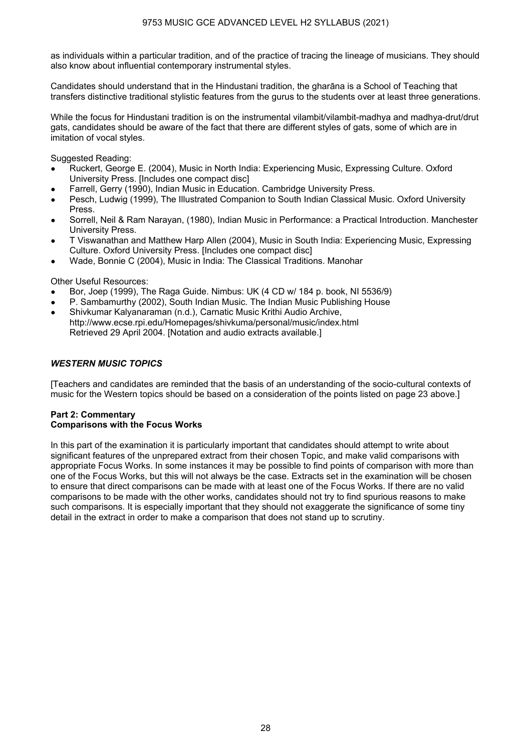as individuals within a particular tradition, and of the practice of tracing the lineage of musicians. They should also know about influential contemporary instrumental styles.

Candidates should understand that in the Hindustani tradition, the gharāna is a School of Teaching that transfers distinctive traditional stylistic features from the gurus to the students over at least three generations.

While the focus for Hindustani tradition is on the instrumental vilambit/vilambit-madhya and madhya-drut/drut gats, candidates should be aware of the fact that there are different styles of gats, some of which are in imitation of vocal styles.

Suggested Reading:

- Ruckert, George E. (2004), Music in North India: Experiencing Music, Expressing Culture. Oxford University Press. [Includes one compact disc]
- Farrell, Gerry (1990), Indian Music in Education. Cambridge University Press.
- Pesch, Ludwig (1999), The Illustrated Companion to South Indian Classical Music. Oxford University Press.
- Sorrell, Neil & Ram Narayan, (1980), Indian Music in Performance: a Practical Introduction. Manchester University Press.
- T Viswanathan and Matthew Harp Allen (2004), Music in South India: Experiencing Music, Expressing Culture. Oxford University Press. [Includes one compact disc]
- Wade, Bonnie C (2004), Music in India: The Classical Traditions. Manohar

Other Useful Resources:

- Bor, Joep (1999), The Raga Guide. Nimbus: UK (4 CD w/ 184 p. book, NI 5536/9)
- P. Sambamurthy (2002), South Indian Music. The Indian Music Publishing House
- Shivkumar Kalyanaraman (n.d.), Carnatic Music Krithi Audio Archive, http://www.ecse.rpi.edu/Homepages/shivkuma/personal/music/index.html Retrieved 29 April 2004. [Notation and audio extracts available.]

## *WESTERN MUSIC TOPICS*

[Teachers and candidates are reminded that the basis of an understanding of the socio-cultural contexts of music for the Western topics should be based on a consideration of the points listed on page 23 above.]

#### **Part 2: Commentary Comparisons with the Focus Works**

In this part of the examination it is particularly important that candidates should attempt to write about significant features of the unprepared extract from their chosen Topic, and make valid comparisons with appropriate Focus Works. In some instances it may be possible to find points of comparison with more than one of the Focus Works, but this will not always be the case. Extracts set in the examination will be chosen to ensure that direct comparisons can be made with at least one of the Focus Works. If there are no valid comparisons to be made with the other works, candidates should not try to find spurious reasons to make such comparisons. It is especially important that they should not exaggerate the significance of some tiny detail in the extract in order to make a comparison that does not stand up to scrutiny.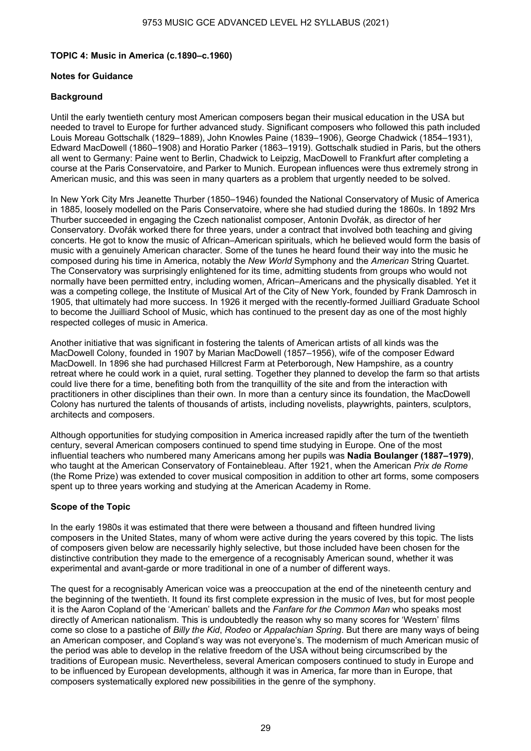## **TOPIC 4: Music in America (c.1890–c.1960)**

## **Notes for Guidance**

## **Background**

Until the early twentieth century most American composers began their musical education in the USA but needed to travel to Europe for further advanced study. Significant composers who followed this path included Louis Moreau Gottschalk (1829–1889), John Knowles Paine (1839–1906), George Chadwick (1854–1931), Edward MacDowell (1860–1908) and Horatio Parker (1863–1919). Gottschalk studied in Paris, but the others all went to Germany: Paine went to Berlin, Chadwick to Leipzig, MacDowell to Frankfurt after completing a course at the Paris Conservatoire, and Parker to Munich. European influences were thus extremely strong in American music, and this was seen in many quarters as a problem that urgently needed to be solved.

In New York City Mrs Jeanette Thurber (1850–1946) founded the National Conservatory of Music of America in 1885, loosely modelled on the Paris Conservatoire, where she had studied during the 1860s. In 1892 Mrs Thurber succeeded in engaging the Czech nationalist composer, Antonin Dvořák, as director of her Conservatory. Dvořák worked there for three years, under a contract that involved both teaching and giving concerts. He got to know the music of African–American spirituals, which he believed would form the basis of music with a genuinely American character. Some of the tunes he heard found their way into the music he composed during his time in America, notably the *New World* Symphony and the *American* String Quartet. The Conservatory was surprisingly enlightened for its time, admitting students from groups who would not normally have been permitted entry, including women, African–Americans and the physically disabled. Yet it was a competing college, the Institute of Musical Art of the City of New York, founded by Frank Damrosch in 1905, that ultimately had more success. In 1926 it merged with the recently-formed Juilliard Graduate School to become the Juilliard School of Music, which has continued to the present day as one of the most highly respected colleges of music in America.

Another initiative that was significant in fostering the talents of American artists of all kinds was the MacDowell Colony, founded in 1907 by Marian MacDowell (1857–1956), wife of the composer Edward MacDowell. In 1896 she had purchased Hillcrest Farm at Peterborough, New Hampshire, as a country retreat where he could work in a quiet, rural setting. Together they planned to develop the farm so that artists could live there for a time, benefiting both from the tranquillity of the site and from the interaction with practitioners in other disciplines than their own. In more than a century since its foundation, the MacDowell Colony has nurtured the talents of thousands of artists, including novelists, playwrights, painters, sculptors, architects and composers.

Although opportunities for studying composition in America increased rapidly after the turn of the twentieth century, several American composers continued to spend time studying in Europe. One of the most influential teachers who numbered many Americans among her pupils was **Nadia Boulanger (1887–1979)**, who taught at the American Conservatory of Fontainebleau. After 1921, when the American *Prix de Rome* (the Rome Prize) was extended to cover musical composition in addition to other art forms, some composers spent up to three years working and studying at the American Academy in Rome.

## **Scope of the Topic**

In the early 1980s it was estimated that there were between a thousand and fifteen hundred living composers in the United States, many of whom were active during the years covered by this topic. The lists of composers given below are necessarily highly selective, but those included have been chosen for the distinctive contribution they made to the emergence of a recognisably American sound, whether it was experimental and avant-garde or more traditional in one of a number of different ways.

The quest for a recognisably American voice was a preoccupation at the end of the nineteenth century and the beginning of the twentieth. It found its first complete expression in the music of Ives, but for most people it is the Aaron Copland of the 'American' ballets and the *Fanfare for the Common Man* who speaks most directly of American nationalism. This is undoubtedly the reason why so many scores for 'Western' films come so close to a pastiche of *Billy the Kid*, *Rodeo* or *Appalachian Spring*. But there are many ways of being an American composer, and Copland's way was not everyone's. The modernism of much American music of the period was able to develop in the relative freedom of the USA without being circumscribed by the traditions of European music. Nevertheless, several American composers continued to study in Europe and to be influenced by European developments, although it was in America, far more than in Europe, that composers systematically explored new possibilities in the genre of the symphony.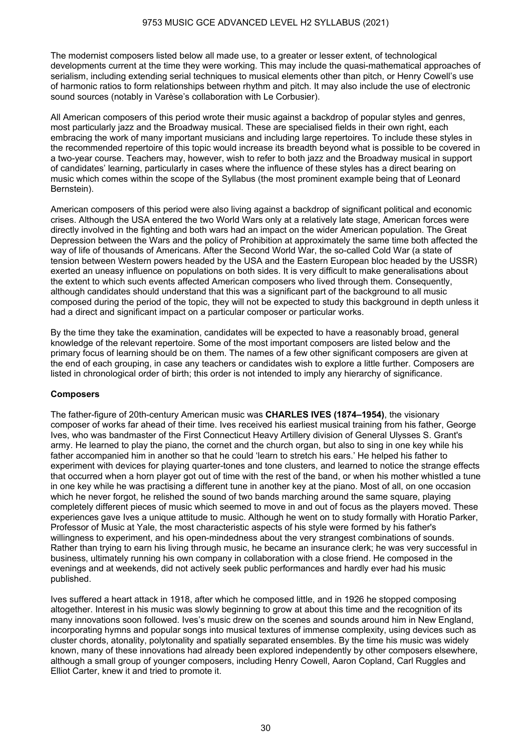The modernist composers listed below all made use, to a greater or lesser extent, of technological developments current at the time they were working. This may include the quasi-mathematical approaches of serialism, including extending serial techniques to musical elements other than pitch, or Henry Cowell's use of harmonic ratios to form relationships between rhythm and pitch. It may also include the use of electronic sound sources (notably in Varèse's collaboration with Le Corbusier).

All American composers of this period wrote their music against a backdrop of popular styles and genres, most particularly jazz and the Broadway musical. These are specialised fields in their own right, each embracing the work of many important musicians and including large repertoires. To include these styles in the recommended repertoire of this topic would increase its breadth beyond what is possible to be covered in a two-year course. Teachers may, however, wish to refer to both jazz and the Broadway musical in support of candidates' learning, particularly in cases where the influence of these styles has a direct bearing on music which comes within the scope of the Syllabus (the most prominent example being that of Leonard Bernstein).

American composers of this period were also living against a backdrop of significant political and economic crises. Although the USA entered the two World Wars only at a relatively late stage, American forces were directly involved in the fighting and both wars had an impact on the wider American population. The Great Depression between the Wars and the policy of Prohibition at approximately the same time both affected the way of life of thousands of Americans. After the Second World War, the so-called Cold War (a state of tension between Western powers headed by the USA and the Eastern European bloc headed by the USSR) exerted an uneasy influence on populations on both sides. It is very difficult to make generalisations about the extent to which such events affected American composers who lived through them. Consequently, although candidates should understand that this was a significant part of the background to all music composed during the period of the topic, they will not be expected to study this background in depth unless it had a direct and significant impact on a particular composer or particular works.

By the time they take the examination, candidates will be expected to have a reasonably broad, general knowledge of the relevant repertoire. Some of the most important composers are listed below and the primary focus of learning should be on them. The names of a few other significant composers are given at the end of each grouping, in case any teachers or candidates wish to explore a little further. Composers are listed in chronological order of birth; this order is not intended to imply any hierarchy of significance.

## **Composers**

The father-figure of 20th-century American music was **CHARLES IVES (1874–1954)**, the visionary composer of works far ahead of their time. Ives received his earliest musical training from his father, George Ives, who was bandmaster of the First Connecticut Heavy Artillery division of General Ulysses S. Grant's army. He learned to play the piano, the cornet and the church organ, but also to sing in one key while his father accompanied him in another so that he could 'learn to stretch his ears.' He helped his father to experiment with devices for playing quarter-tones and tone clusters, and learned to notice the strange effects that occurred when a horn player got out of time with the rest of the band, or when his mother whistled a tune in one key while he was practising a different tune in another key at the piano. Most of all, on one occasion which he never forgot, he relished the sound of two bands marching around the same square, playing completely different pieces of music which seemed to move in and out of focus as the players moved. These experiences gave Ives a unique attitude to music. Although he went on to study formally with Horatio Parker, Professor of Music at Yale, the most characteristic aspects of his style were formed by his father's willingness to experiment, and his open-mindedness about the very strangest combinations of sounds. Rather than trying to earn his living through music, he became an insurance clerk; he was very successful in business, ultimately running his own company in collaboration with a close friend. He composed in the evenings and at weekends, did not actively seek public performances and hardly ever had his music published.

Ives suffered a heart attack in 1918, after which he composed little, and in 1926 he stopped composing altogether. Interest in his music was slowly beginning to grow at about this time and the recognition of its many innovations soon followed. Ives's music drew on the scenes and sounds around him in New England, incorporating hymns and popular songs into musical textures of immense complexity, using devices such as cluster chords, atonality, polytonality and spatially separated ensembles. By the time his music was widely known, many of these innovations had already been explored independently by other composers elsewhere, although a small group of younger composers, including Henry Cowell, Aaron Copland, Carl Ruggles and Elliot Carter, knew it and tried to promote it.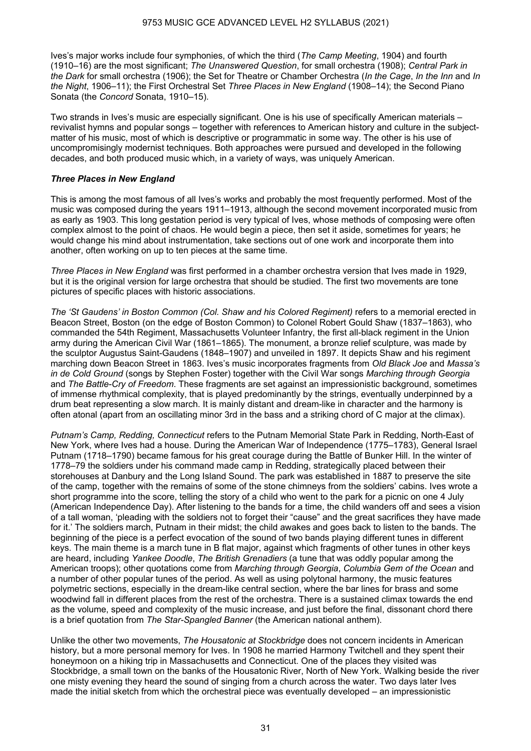Ives's major works include four symphonies, of which the third (*The Camp Meeting*, 1904) and fourth (1910–16) are the most significant; *The Unanswered Question*, for small orchestra (1908); *Central Park in the Dark* for small orchestra (1906); the Set for Theatre or Chamber Orchestra (*In the Cage*, *In the Inn* and *In the Night*, 1906–11); the First Orchestral Set *Three Places in New England* (1908–14); the Second Piano Sonata (the *Concord* Sonata, 1910–15).

Two strands in Ives's music are especially significant. One is his use of specifically American materials – revivalist hymns and popular songs – together with references to American history and culture in the subjectmatter of his music, most of which is descriptive or programmatic in some way. The other is his use of uncompromisingly modernist techniques. Both approaches were pursued and developed in the following decades, and both produced music which, in a variety of ways, was uniquely American.

## *Three Places in New England*

This is among the most famous of all Ives's works and probably the most frequently performed. Most of the music was composed during the years 1911–1913, although the second movement incorporated music from as early as 1903. This long gestation period is very typical of Ives, whose methods of composing were often complex almost to the point of chaos. He would begin a piece, then set it aside, sometimes for years; he would change his mind about instrumentation, take sections out of one work and incorporate them into another, often working on up to ten pieces at the same time.

*Three Places in New England* was first performed in a chamber orchestra version that Ives made in 1929, but it is the original version for large orchestra that should be studied. The first two movements are tone pictures of specific places with historic associations.

*The 'St Gaudens' in Boston Common (Col. Shaw and his Colored Regiment)* refers to a memorial erected in Beacon Street, Boston (on the edge of Boston Common) to Colonel Robert Gould Shaw (1837–1863), who commanded the 54th Regiment, Massachusetts Volunteer Infantry, the first all-black regiment in the Union army during the American Civil War (1861–1865). The monument, a bronze relief sculpture, was made by the sculptor Augustus Saint-Gaudens (1848–1907) and unveiled in 1897. It depicts Shaw and his regiment marching down Beacon Street in 1863. Ives's music incorporates fragments from *Old Black Joe* and *Massa's in de Cold Ground* (songs by Stephen Foster) together with the Civil War songs *Marching through Georgia* and *The Battle-Cry of Freedom*. These fragments are set against an impressionistic background, sometimes of immense rhythmical complexity, that is played predominantly by the strings, eventually underpinned by a drum beat representing a slow march. It is mainly distant and dream-like in character and the harmony is often atonal (apart from an oscillating minor 3rd in the bass and a striking chord of C major at the climax).

*Putnam's Camp, Redding, Connecticut* refers to the Putnam Memorial State Park in Redding, North-East of New York, where Ives had a house. During the American War of Independence (1775–1783), General Israel Putnam (1718–1790) became famous for his great courage during the Battle of Bunker Hill. In the winter of 1778–79 the soldiers under his command made camp in Redding, strategically placed between their storehouses at Danbury and the Long Island Sound. The park was established in 1887 to preserve the site of the camp, together with the remains of some of the stone chimneys from the soldiers' cabins. Ives wrote a short programme into the score, telling the story of a child who went to the park for a picnic on one 4 July (American Independence Day). After listening to the bands for a time, the child wanders off and sees a vision of a tall woman, 'pleading with the soldiers not to forget their "cause" and the great sacrifices they have made for it.' The soldiers march, Putnam in their midst; the child awakes and goes back to listen to the bands. The beginning of the piece is a perfect evocation of the sound of two bands playing different tunes in different keys. The main theme is a march tune in B flat major, against which fragments of other tunes in other keys are heard, including *Yankee Doodle*, *The British Grenadiers* (a tune that was oddly popular among the American troops); other quotations come from *Marching through Georgia*, *Columbia Gem of the Ocean* and a number of other popular tunes of the period. As well as using polytonal harmony, the music features polymetric sections, especially in the dream-like central section, where the bar lines for brass and some woodwind fall in different places from the rest of the orchestra. There is a sustained climax towards the end as the volume, speed and complexity of the music increase, and just before the final, dissonant chord there is a brief quotation from *The Star-Spangled Banner* (the American national anthem).

Unlike the other two movements, *The Housatonic at Stockbridge* does not concern incidents in American history, but a more personal memory for Ives. In 1908 he married Harmony Twitchell and they spent their honeymoon on a hiking trip in Massachusetts and Connecticut. One of the places they visited was Stockbridge, a small town on the banks of the Housatonic River, North of New York. Walking beside the river one misty evening they heard the sound of singing from a church across the water. Two days later Ives made the initial sketch from which the orchestral piece was eventually developed – an impressionistic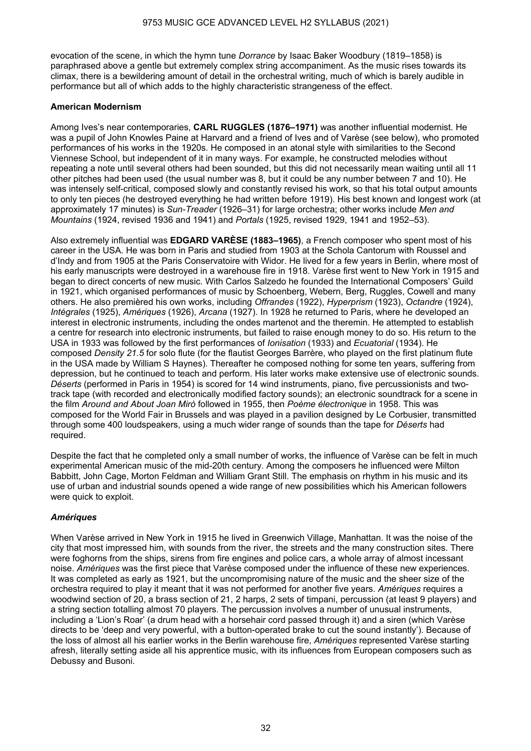evocation of the scene, in which the hymn tune *Dorrance* by Isaac Baker Woodbury (1819–1858) is paraphrased above a gentle but extremely complex string accompaniment. As the music rises towards its climax, there is a bewildering amount of detail in the orchestral writing, much of which is barely audible in performance but all of which adds to the highly characteristic strangeness of the effect.

## **American Modernism**

Among Ives's near contemporaries, **CARL RUGGLES (1876–1971)** was another influential modernist. He was a pupil of John Knowles Paine at Harvard and a friend of Ives and of Varèse (see below), who promoted performances of his works in the 1920s. He composed in an atonal style with similarities to the Second Viennese School, but independent of it in many ways. For example, he constructed melodies without repeating a note until several others had been sounded, but this did not necessarily mean waiting until all 11 other pitches had been used (the usual number was 8, but it could be any number between 7 and 10). He was intensely self-critical, composed slowly and constantly revised his work, so that his total output amounts to only ten pieces (he destroyed everything he had written before 1919). His best known and longest work (at approximately 17 minutes) is *Sun-Treader* (1926–31) for large orchestra; other works include *Men and Mountains* (1924, revised 1936 and 1941) and *Portals* (1925, revised 1929, 1941 and 1952–53).

Also extremely influential was **EDGARD VARÈSE (1883–1965)**, a French composer who spent most of his career in the USA. He was born in Paris and studied from 1903 at the Schola Cantorum with Roussel and d'Indy and from 1905 at the Paris Conservatoire with Widor. He lived for a few years in Berlin, where most of his early manuscripts were destroyed in a warehouse fire in 1918. Varèse first went to New York in 1915 and began to direct concerts of new music. With Carlos Salzedo he founded the International Composers' Guild in 1921, which organised performances of music by Schoenberg, Webern, Berg, Ruggles, Cowell and many others. He also premièred his own works, including *Offrandes* (1922), *Hyperprism* (1923), *Octandre* (1924), *Intégrales* (1925), *Amériques* (1926), *Arcana* (1927). In 1928 he returned to Paris, where he developed an interest in electronic instruments, including the ondes martenot and the theremin. He attempted to establish a centre for research into electronic instruments, but failed to raise enough money to do so. His return to the USA in 1933 was followed by the first performances of *Ionisation* (1933) and *Ecuatorial* (1934). He composed *Density 21.5* for solo flute (for the flautist Georges Barrère, who played on the first platinum flute in the USA made by William S Haynes). Thereafter he composed nothing for some ten years, suffering from depression, but he continued to teach and perform. His later works make extensive use of electronic sounds. *Déserts* (performed in Paris in 1954) is scored for 14 wind instruments, piano, five percussionists and twotrack tape (with recorded and electronically modified factory sounds); an electronic soundtrack for a scene in the film *Around and About Joan Mirò* followed in 1955, then *Poème électronique* in 1958. This was composed for the World Fair in Brussels and was played in a pavilion designed by Le Corbusier, transmitted through some 400 loudspeakers, using a much wider range of sounds than the tape for *Déserts* had required.

Despite the fact that he completed only a small number of works, the influence of Varèse can be felt in much experimental American music of the mid-20th century. Among the composers he influenced were Milton Babbitt, John Cage, Morton Feldman and William Grant Still. The emphasis on rhythm in his music and its use of urban and industrial sounds opened a wide range of new possibilities which his American followers were quick to exploit.

## *Amériques*

When Varèse arrived in New York in 1915 he lived in Greenwich Village, Manhattan. It was the noise of the city that most impressed him, with sounds from the river, the streets and the many construction sites. There were foghorns from the ships, sirens from fire engines and police cars, a whole array of almost incessant noise. *Amériques* was the first piece that Varèse composed under the influence of these new experiences. It was completed as early as 1921, but the uncompromising nature of the music and the sheer size of the orchestra required to play it meant that it was not performed for another five years. *Amériques* requires a woodwind section of 20, a brass section of 21, 2 harps, 2 sets of timpani, percussion (at least 9 players) and a string section totalling almost 70 players. The percussion involves a number of unusual instruments, including a 'Lion's Roar' (a drum head with a horsehair cord passed through it) and a siren (which Varèse directs to be 'deep and very powerful, with a button-operated brake to cut the sound instantly'). Because of the loss of almost all his earlier works in the Berlin warehouse fire, *Amériques* represented Varèse starting afresh, literally setting aside all his apprentice music, with its influences from European composers such as Debussy and Busoni.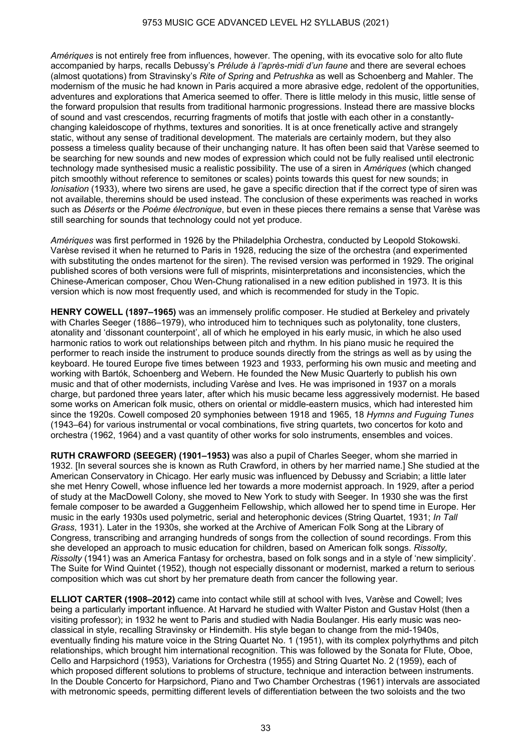*Amériques* is not entirely free from influences, however. The opening, with its evocative solo for alto flute accompanied by harps, recalls Debussy's *Prélude à l'après-midi d'un faune* and there are several echoes (almost quotations) from Stravinsky's *Rite of Spring* and *Petrushka* as well as Schoenberg and Mahler. The modernism of the music he had known in Paris acquired a more abrasive edge, redolent of the opportunities, adventures and explorations that America seemed to offer. There is little melody in this music, little sense of the forward propulsion that results from traditional harmonic progressions. Instead there are massive blocks of sound and vast crescendos, recurring fragments of motifs that jostle with each other in a constantlychanging kaleidoscope of rhythms, textures and sonorities. It is at once frenetically active and strangely static, without any sense of traditional development. The materials are certainly modern, but they also possess a timeless quality because of their unchanging nature. It has often been said that Varèse seemed to be searching for new sounds and new modes of expression which could not be fully realised until electronic technology made synthesised music a realistic possibility. The use of a siren in *Amériques* (which changed pitch smoothly without reference to semitones or scales) points towards this quest for new sounds; in *Ionisation* (1933), where two sirens are used, he gave a specific direction that if the correct type of siren was not available, theremins should be used instead. The conclusion of these experiments was reached in works such as *Déserts* or the *Poème électronique*, but even in these pieces there remains a sense that Varèse was still searching for sounds that technology could not yet produce.

*Amériques* was first performed in 1926 by the Philadelphia Orchestra, conducted by Leopold Stokowski. Varèse revised it when he returned to Paris in 1928, reducing the size of the orchestra (and experimented with substituting the ondes martenot for the siren). The revised version was performed in 1929. The original published scores of both versions were full of misprints, misinterpretations and inconsistencies, which the Chinese-American composer, Chou Wen-Chung rationalised in a new edition published in 1973. It is this version which is now most frequently used, and which is recommended for study in the Topic.

**HENRY COWELL (1897–1965)** was an immensely prolific composer. He studied at Berkeley and privately with Charles Seeger (1886–1979), who introduced him to techniques such as polytonality, tone clusters, atonality and 'dissonant counterpoint', all of which he employed in his early music, in which he also used harmonic ratios to work out relationships between pitch and rhythm. In his piano music he required the performer to reach inside the instrument to produce sounds directly from the strings as well as by using the keyboard. He toured Europe five times between 1923 and 1933, performing his own music and meeting and working with Bartók, Schoenberg and Webern. He founded the New Music Quarterly to publish his own music and that of other modernists, including Varèse and Ives. He was imprisoned in 1937 on a morals charge, but pardoned three years later, after which his music became less aggressively modernist. He based some works on American folk music, others on oriental or middle-eastern musics, which had interested him since the 1920s. Cowell composed 20 symphonies between 1918 and 1965, 18 *Hymns and Fuguing Tunes* (1943–64) for various instrumental or vocal combinations, five string quartets, two concertos for koto and orchestra (1962, 1964) and a vast quantity of other works for solo instruments, ensembles and voices.

**RUTH CRAWFORD (SEEGER) (1901–1953)** was also a pupil of Charles Seeger, whom she married in 1932. [In several sources she is known as Ruth Crawford, in others by her married name.] She studied at the American Conservatory in Chicago. Her early music was influenced by Debussy and Scriabin; a little later she met Henry Cowell, whose influence led her towards a more modernist approach. In 1929, after a period of study at the MacDowell Colony, she moved to New York to study with Seeger. In 1930 she was the first female composer to be awarded a Guggenheim Fellowship, which allowed her to spend time in Europe. Her music in the early 1930s used polymetric, serial and heterophonic devices (String Quartet, 1931; *In Tall Grass*, 1931). Later in the 1930s, she worked at the Archive of American Folk Song at the Library of Congress, transcribing and arranging hundreds of songs from the collection of sound recordings. From this she developed an approach to music education for children, based on American folk songs. *Rissolty, Rissolty* (1941) was an America Fantasy for orchestra, based on folk songs and in a style of 'new simplicity'. The Suite for Wind Quintet (1952), though not especially dissonant or modernist, marked a return to serious composition which was cut short by her premature death from cancer the following year.

**ELLIOT CARTER (1908–2012)** came into contact while still at school with Ives, Varèse and Cowell; Ives being a particularly important influence. At Harvard he studied with Walter Piston and Gustav Holst (then a visiting professor); in 1932 he went to Paris and studied with Nadia Boulanger. His early music was neoclassical in style, recalling Stravinsky or Hindemith. His style began to change from the mid-1940s, eventually finding his mature voice in the String Quartet No. 1 (1951), with its complex polyrhythms and pitch relationships, which brought him international recognition. This was followed by the Sonata for Flute, Oboe, Cello and Harpsichord (1953), Variations for Orchestra (1955) and String Quartet No. 2 (1959), each of which proposed different solutions to problems of structure, technique and interaction between instruments. In the Double Concerto for Harpsichord, Piano and Two Chamber Orchestras (1961) intervals are associated with metronomic speeds, permitting different levels of differentiation between the two soloists and the two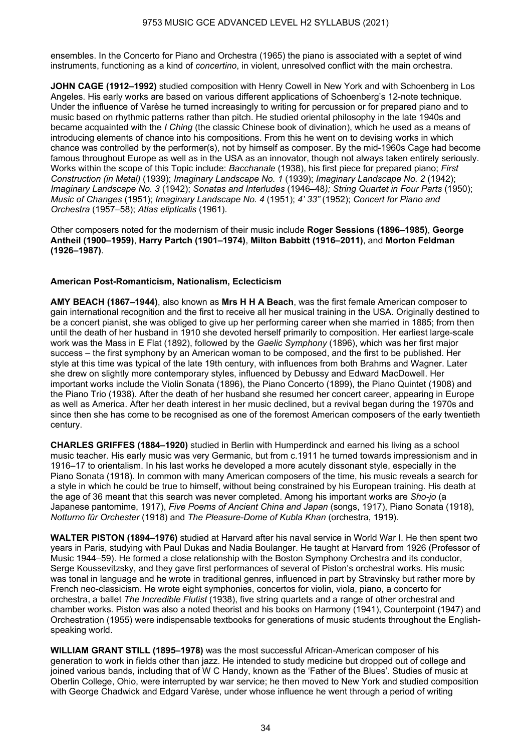ensembles. In the Concerto for Piano and Orchestra (1965) the piano is associated with a septet of wind instruments, functioning as a kind of *concertino*, in violent, unresolved conflict with the main orchestra.

**JOHN CAGE (1912–1992)** studied composition with Henry Cowell in New York and with Schoenberg in Los Angeles. His early works are based on various different applications of Schoenberg's 12-note technique. Under the influence of Varèse he turned increasingly to writing for percussion or for prepared piano and to music based on rhythmic patterns rather than pitch. He studied oriental philosophy in the late 1940s and became acquainted with the *I Ching* (the classic Chinese book of divination), which he used as a means of introducing elements of chance into his compositions. From this he went on to devising works in which chance was controlled by the performer(s), not by himself as composer. By the mid-1960s Cage had become famous throughout Europe as well as in the USA as an innovator, though not always taken entirely seriously. Works within the scope of this Topic include: *Bacchanale* (1938), his first piece for prepared piano; *First Construction (in Metal)* (1939); *Imaginary Landscape No. 1* (1939); *Imaginary Landscape No. 2* (1942); *Imaginary Landscape No. 3* (1942); *Sonatas and Interludes* (1946–48*); String Quartet in Four Parts* (1950); *Music of Changes* (1951); *Imaginary Landscape No. 4* (1951); *4' 33"* (1952); *Concert for Piano and Orchestra* (1957–58); *Atlas elipticalis* (1961).

Other composers noted for the modernism of their music include **Roger Sessions (1896–1985)**, **George Antheil (1900–1959)**, **Harry Partch (1901–1974)**, **Milton Babbitt (1916–2011)**, and **Morton Feldman (1926–1987)**.

## **American Post-Romanticism, Nationalism, Eclecticism**

**AMY BEACH (1867–1944)**, also known as **Mrs H H A Beach**, was the first female American composer to gain international recognition and the first to receive all her musical training in the USA. Originally destined to be a concert pianist, she was obliged to give up her performing career when she married in 1885; from then until the death of her husband in 1910 she devoted herself primarily to composition. Her earliest large-scale work was the Mass in E Flat (1892), followed by the *Gaelic Symphony* (1896), which was her first major success – the first symphony by an American woman to be composed, and the first to be published. Her style at this time was typical of the late 19th century, with influences from both Brahms and Wagner. Later she drew on slightly more contemporary styles, influenced by Debussy and Edward MacDowell. Her important works include the Violin Sonata (1896), the Piano Concerto (1899), the Piano Quintet (1908) and the Piano Trio (1938). After the death of her husband she resumed her concert career, appearing in Europe as well as America. After her death interest in her music declined, but a revival began during the 1970s and since then she has come to be recognised as one of the foremost American composers of the early twentieth century.

**CHARLES GRIFFES (1884–1920)** studied in Berlin with Humperdinck and earned his living as a school music teacher. His early music was very Germanic, but from c.1911 he turned towards impressionism and in 1916–17 to orientalism. In his last works he developed a more acutely dissonant style, especially in the Piano Sonata (1918). In common with many American composers of the time, his music reveals a search for a style in which he could be true to himself, without being constrained by his European training. His death at the age of 36 meant that this search was never completed. Among his important works are *Sho-jo* (a Japanese pantomime, 1917), *Five Poems of Ancient China and Japan* (songs, 1917), Piano Sonata (1918), *Notturno für Orchester* (1918) and *The Pleasure-Dome of Kubla Khan* (orchestra, 1919).

**WALTER PISTON (1894–1976)** studied at Harvard after his naval service in World War I. He then spent two years in Paris, studying with Paul Dukas and Nadia Boulanger. He taught at Harvard from 1926 (Professor of Music 1944–59). He formed a close relationship with the Boston Symphony Orchestra and its conductor, Serge Koussevitzsky, and they gave first performances of several of Piston's orchestral works. His music was tonal in language and he wrote in traditional genres, influenced in part by Stravinsky but rather more by French neo-classicism. He wrote eight symphonies, concertos for violin, viola, piano, a concerto for orchestra, a ballet *The Incredible Flutist* (1938), five string quartets and a range of other orchestral and chamber works. Piston was also a noted theorist and his books on Harmony (1941), Counterpoint (1947) and Orchestration (1955) were indispensable textbooks for generations of music students throughout the Englishspeaking world.

**WILLIAM GRANT STILL (1895–1978)** was the most successful African-American composer of his generation to work in fields other than jazz. He intended to study medicine but dropped out of college and joined various bands, including that of W C Handy, known as the 'Father of the Blues'. Studies of music at Oberlin College, Ohio, were interrupted by war service; he then moved to New York and studied composition with George Chadwick and Edgard Varèse, under whose influence he went through a period of writing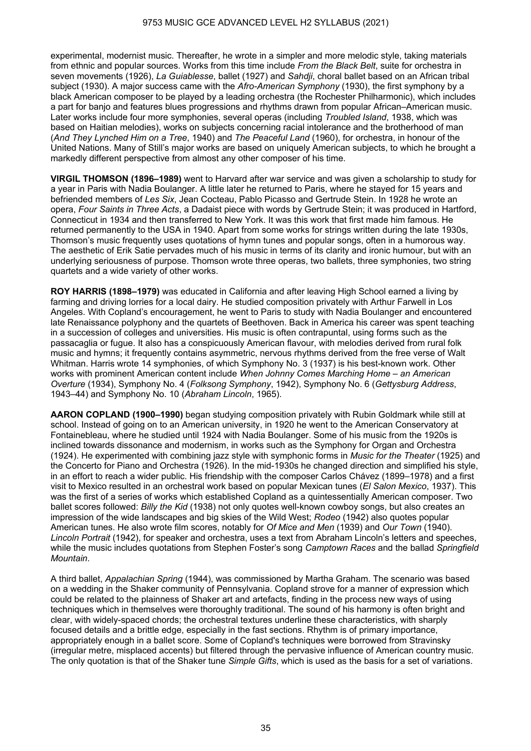experimental, modernist music. Thereafter, he wrote in a simpler and more melodic style, taking materials from ethnic and popular sources. Works from this time include *From the Black Belt*, suite for orchestra in seven movements (1926), *La Guiablesse*, ballet (1927) and *Sahdji*, choral ballet based on an African tribal subject (1930). A major success came with the *Afro-American Symphony* (1930), the first symphony by a black American composer to be played by a leading orchestra (the Rochester Philharmonic), which includes a part for banjo and features blues progressions and rhythms drawn from popular African–American music. Later works include four more symphonies, several operas (including *Troubled Island*, 1938, which was based on Haitian melodies), works on subjects concerning racial intolerance and the brotherhood of man (*And They Lynched Him on a Tree*, 1940) and *The Peaceful Land* (1960), for orchestra, in honour of the United Nations. Many of Still's major works are based on uniquely American subjects, to which he brought a markedly different perspective from almost any other composer of his time.

**VIRGIL THOMSON (1896–1989)** went to Harvard after war service and was given a scholarship to study for a year in Paris with Nadia Boulanger. A little later he returned to Paris, where he stayed for 15 years and befriended members of *Les Six*, Jean Cocteau, Pablo Picasso and Gertrude Stein. In 1928 he wrote an opera, *Four Saints in Three Acts*, a Dadaist piece with words by Gertrude Stein; it was produced in Hartford, Connecticut in 1934 and then transferred to New York. It was this work that first made him famous. He returned permanently to the USA in 1940. Apart from some works for strings written during the late 1930s, Thomson's music frequently uses quotations of hymn tunes and popular songs, often in a humorous way. The aesthetic of Erik Satie pervades much of his music in terms of its clarity and ironic humour, but with an underlying seriousness of purpose. Thomson wrote three operas, two ballets, three symphonies, two string quartets and a wide variety of other works.

**ROY HARRIS (1898–1979)** was educated in California and after leaving High School earned a living by farming and driving lorries for a local dairy. He studied composition privately with Arthur Farwell in Los Angeles. With Copland's encouragement, he went to Paris to study with Nadia Boulanger and encountered late Renaissance polyphony and the quartets of Beethoven. Back in America his career was spent teaching in a succession of colleges and universities. His music is often contrapuntal, using forms such as the passacaglia or fugue. It also has a conspicuously American flavour, with melodies derived from rural folk music and hymns; it frequently contains asymmetric, nervous rhythms derived from the free verse of Walt Whitman. Harris wrote 14 symphonies, of which Symphony No. 3 (1937) is his best-known work. Other works with prominent American content include *When Johnny Comes Marching Home – an American Overture* (1934), Symphony No. 4 (*Folksong Symphony*, 1942), Symphony No. 6 (*Gettysburg Address*, 1943–44) and Symphony No. 10 (*Abraham Lincoln*, 1965).

**AARON COPLAND (1900–1990)** began studying composition privately with Rubin Goldmark while still at school. Instead of going on to an American university, in 1920 he went to the American Conservatory at Fontainebleau, where he studied until 1924 with Nadia Boulanger. Some of his music from the 1920s is inclined towards dissonance and modernism, in works such as the Symphony for Organ and Orchestra (1924). He experimented with combining jazz style with symphonic forms in *Music for the Theater* (1925) and the Concerto for Piano and Orchestra (1926). In the mid-1930s he changed direction and simplified his style, in an effort to reach a wider public. His friendship with the composer Carlos Chávez (1899–1978) and a first visit to Mexico resulted in an orchestral work based on popular Mexican tunes (*El Salon Mexico*, 1937). This was the first of a series of works which established Copland as a quintessentially American composer. Two ballet scores followed: *Billy the Kid* (1938) not only quotes well-known cowboy songs, but also creates an impression of the wide landscapes and big skies of the Wild West; *Rodeo* (1942) also quotes popular American tunes. He also wrote film scores, notably for *Of Mice and Men* (1939) and *Our Town* (1940). *Lincoln Portrait* (1942), for speaker and orchestra, uses a text from Abraham Lincoln's letters and speeches, while the music includes quotations from Stephen Foster's song *Camptown Races* and the ballad *Springfield Mountain*.

A third ballet, *Appalachian Spring* (1944), was commissioned by Martha Graham. The scenario was based on a wedding in the Shaker community of Pennsylvania. Copland strove for a manner of expression which could be related to the plainness of Shaker art and artefacts, finding in the process new ways of using techniques which in themselves were thoroughly traditional. The sound of his harmony is often bright and clear, with widely-spaced chords; the orchestral textures underline these characteristics, with sharply focused details and a brittle edge, especially in the fast sections. Rhythm is of primary importance, appropriately enough in a ballet score. Some of Copland's techniques were borrowed from Stravinsky (irregular metre, misplaced accents) but filtered through the pervasive influence of American country music. The only quotation is that of the Shaker tune *Simple Gifts*, which is used as the basis for a set of variations.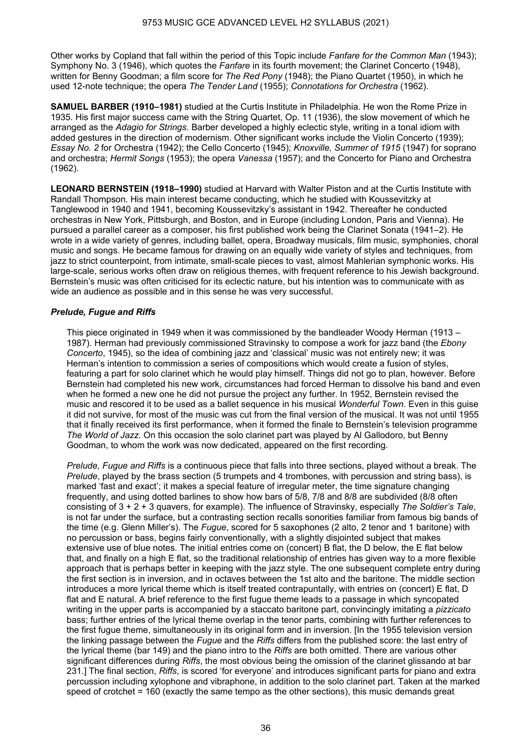Other works by Copland that fall within the period of this Topic include *Fanfare for the Common Man* (1943); Symphony No. 3 (1946), which quotes the *Fanfare* in its fourth movement; the Clarinet Concerto (1948), written for Benny Goodman; a film score for *The Red Pony* (1948); the Piano Quartet (1950), in which he used 12-note technique; the opera *The Tender Land* (1955); *Connotations for Orchestra* (1962).

**SAMUEL BARBER (1910–1981)** studied at the Curtis Institute in Philadelphia. He won the Rome Prize in 1935. His first major success came with the String Quartet, Op. 11 (1936), the slow movement of which he arranged as the *Adagio for Strings*. Barber developed a highly eclectic style, writing in a tonal idiom with added gestures in the direction of modernism. Other significant works include the Violin Concerto (1939); *Essay No. 2* for Orchestra (1942); the Cello Concerto (1945); *Knoxville, Summer of 1915* (1947) for soprano and orchestra; *Hermit Songs* (1953); the opera *Vanessa* (1957); and the Concerto for Piano and Orchestra (1962).

**LEONARD BERNSTEIN (1918–1990)** studied at Harvard with Walter Piston and at the Curtis Institute with Randall Thompson. His main interest became conducting, which he studied with Koussevitzky at Tanglewood in 1940 and 1941, becoming Koussevitzky's assistant in 1942. Thereafter he conducted orchestras in New York, Pittsburgh, and Boston, and in Europe (including London, Paris and Vienna). He pursued a parallel career as a composer, his first published work being the Clarinet Sonata (1941–2). He wrote in a wide variety of genres, including ballet, opera, Broadway musicals, film music, symphonies, choral music and songs. He became famous for drawing on an equally wide variety of styles and techniques, from jazz to strict counterpoint, from intimate, small-scale pieces to vast, almost Mahlerian symphonic works. His large-scale, serious works often draw on religious themes, with frequent reference to his Jewish background. Bernstein's music was often criticised for its eclectic nature, but his intention was to communicate with as wide an audience as possible and in this sense he was very successful.

## *Prelude, Fugue and Riffs*

This piece originated in 1949 when it was commissioned by the bandleader Woody Herman (1913 – 1987). Herman had previously commissioned Stravinsky to compose a work for jazz band (the *Ebony Concerto*, 1945), so the idea of combining jazz and 'classical' music was not entirely new; it was Herman's intention to commission a series of compositions which would create a fusion of styles, featuring a part for solo clarinet which he would play himself. Things did not go to plan, however. Before Bernstein had completed his new work, circumstances had forced Herman to dissolve his band and even when he formed a new one he did not pursue the project any further. In 1952, Bernstein revised the music and rescored it to be used as a ballet sequence in his musical *Wonderful Town*. Even in this guise it did not survive, for most of the music was cut from the final version of the musical. It was not until 1955 that it finally received its first performance, when it formed the finale to Bernstein's television programme *The World of Jazz*. On this occasion the solo clarinet part was played by Al Gallodoro, but Benny Goodman, to whom the work was now dedicated, appeared on the first recording.

*Prelude, Fugue and Riffs* is a continuous piece that falls into three sections, played without a break. The *Prelude*, played by the brass section (5 trumpets and 4 trombones, with percussion and string bass), is marked 'fast and exact'; it makes a special feature of irregular meter, the time signature changing frequently, and using dotted barlines to show how bars of 5/8, 7/8 and 8/8 are subdivided (8/8 often consisting of 3 + 2 + 3 quavers, for example). The influence of Stravinsky, especially *The Soldier's Tale*, is not far under the surface, but a contrasting section recalls sonorities familiar from famous big bands of the time (e.g. Glenn Miller's). The *Fugue*, scored for 5 saxophones (2 alto, 2 tenor and 1 baritone) with no percussion or bass, begins fairly conventionally, with a slightly disjointed subject that makes extensive use of blue notes. The initial entries come on (concert) B flat, the D below, the E flat below that, and finally on a high E flat, so the traditional relationship of entries has given way to a more flexible approach that is perhaps better in keeping with the jazz style. The one subsequent complete entry during the first section is in inversion, and in octaves between the 1st alto and the baritone. The middle section introduces a more lyrical theme which is itself treated contrapuntally, with entries on (concert) E flat, D flat and E natural. A brief reference to the first fugue theme leads to a passage in which syncopated writing in the upper parts is accompanied by a staccato baritone part, convincingly imitating a *pizzicato* bass; further entries of the lyrical theme overlap in the tenor parts, combining with further references to the first fugue theme, simultaneously in its original form and in inversion. [In the 1955 television version the linking passage between the *Fugue* and the *Riffs* differs from the published score: the last entry of the lyrical theme (bar 149) and the piano intro to the *Riffs* are both omitted. There are various other significant differences during *Riffs*, the most obvious being the omission of the clarinet glissando at bar 231.] The final section, *Riffs*, is scored 'for everyone' and introduces significant parts for piano and extra percussion including xylophone and vibraphone, in addition to the solo clarinet part. Taken at the marked speed of crotchet = 160 (exactly the same tempo as the other sections), this music demands great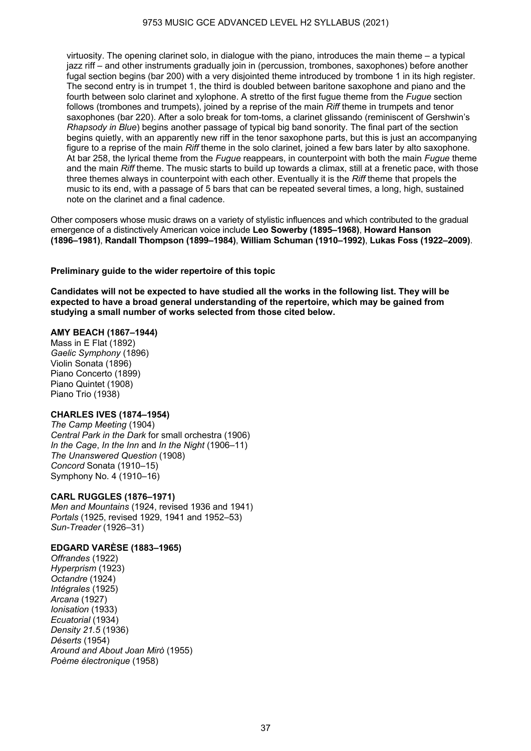virtuosity. The opening clarinet solo, in dialogue with the piano, introduces the main theme – a typical jazz riff – and other instruments gradually join in (percussion, trombones, saxophones) before another fugal section begins (bar 200) with a very disjointed theme introduced by trombone 1 in its high register. The second entry is in trumpet 1, the third is doubled between baritone saxophone and piano and the fourth between solo clarinet and xylophone. A stretto of the first fugue theme from the *Fugue* section follows (trombones and trumpets), joined by a reprise of the main *Riff* theme in trumpets and tenor saxophones (bar 220). After a solo break for tom-toms, a clarinet glissando (reminiscent of Gershwin's *Rhapsody in Blue*) begins another passage of typical big band sonority. The final part of the section begins quietly, with an apparently new riff in the tenor saxophone parts, but this is just an accompanying figure to a reprise of the main *Riff* theme in the solo clarinet, joined a few bars later by alto saxophone. At bar 258, the lyrical theme from the *Fugue* reappears, in counterpoint with both the main *Fugue* theme and the main *Riff* theme. The music starts to build up towards a climax, still at a frenetic pace, with those three themes always in counterpoint with each other. Eventually it is the *Riff* theme that propels the music to its end, with a passage of 5 bars that can be repeated several times, a long, high, sustained note on the clarinet and a final cadence.

Other composers whose music draws on a variety of stylistic influences and which contributed to the gradual emergence of a distinctively American voice include **Leo Sowerby (1895–1968)**, **Howard Hanson (1896–1981)**, **Randall Thompson (1899–1984)**, **William Schuman (1910–1992)**, **Lukas Foss (1922–2009)**.

#### **Preliminary guide to the wider repertoire of this topic**

**Candidates will not be expected to have studied all the works in the following list. They will be expected to have a broad general understanding of the repertoire, which may be gained from studying a small number of works selected from those cited below.** 

#### **AMY BEACH (1867–1944)**

Mass in E Flat (1892) *Gaelic Symphony* (1896) Violin Sonata (1896) Piano Concerto (1899) Piano Quintet (1908) Piano Trio (1938)

## **CHARLES IVES (1874–1954)**

*The Camp Meeting* (1904) *Central Park in the Dark* for small orchestra (1906) *In the Cage*, *In the Inn* and *In the Night* (1906–11) *The Unanswered Question* (1908) *Concord* Sonata (1910–15) Symphony No. 4 (1910–16)

## **CARL RUGGLES (1876–1971)**

*Men and Mountains* (1924, revised 1936 and 1941) *Portals* (1925, revised 1929, 1941 and 1952–53) *Sun-Treader* (1926–31)

## **EDGARD VARÈSE (1883–1965)**

*Offrandes* (1922) *Hyperprism* (1923) *Octandre* (1924) *Intégrales* (1925) *Arcana* (1927) *Ionisation* (1933) *Ecuatorial* (1934) *Density 21.5* (1936) *Déserts* (1954) *Around and About Joan Mirò* (1955) *Poème électronique* (1958)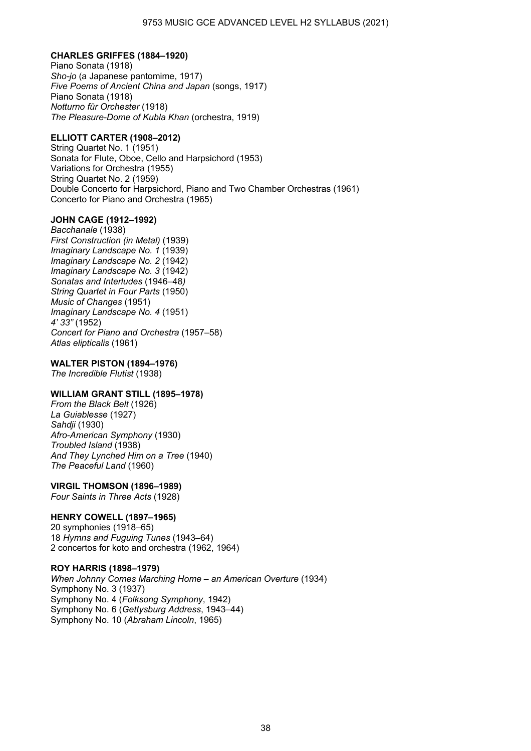## **CHARLES GRIFFES (1884–1920)**

Piano Sonata (1918) *Sho-jo* (a Japanese pantomime, 1917) *Five Poems of Ancient China and Japan* (songs, 1917) Piano Sonata (1918) *Notturno für Orchester* (1918) *The Pleasure-Dome of Kubla Khan* (orchestra, 1919)

## **ELLIOTT CARTER (1908–2012)**

String Quartet No. 1 (1951) Sonata for Flute, Oboe, Cello and Harpsichord (1953) Variations for Orchestra (1955) String Quartet No. 2 (1959) Double Concerto for Harpsichord, Piano and Two Chamber Orchestras (1961) Concerto for Piano and Orchestra (1965)

## **JOHN CAGE (1912–1992)**

*Bacchanale* (1938) *First Construction (in Metal)* (1939) *Imaginary Landscape No. 1* (1939) *Imaginary Landscape No. 2* (1942) *Imaginary Landscape No. 3* (1942) *Sonatas and Interludes* (1946–48*) String Quartet in Four Parts* (1950) *Music of Changes* (1951) *Imaginary Landscape No. 4* (1951) *4' 33"* (1952) *Concert for Piano and Orchestra* (1957–58) *Atlas elipticalis* (1961)

## **WALTER PISTON (1894–1976)**

*The Incredible Flutist* (1938)

## **WILLIAM GRANT STILL (1895–1978)**

*From the Black Belt* (1926) *La Guiablesse* (1927) *Sahdji* (1930) *Afro-American Symphony* (1930) *Troubled Island* (1938) *And They Lynched Him on a Tree* (1940) *The Peaceful Land* (1960)

## **VIRGIL THOMSON (1896–1989)**

*Four Saints in Three Acts* (1928)

## **HENRY COWELL (1897–1965)**

20 symphonies (1918–65) 18 *Hymns and Fuguing Tunes* (1943–64) 2 concertos for koto and orchestra (1962, 1964)

#### **ROY HARRIS (1898–1979)**

*When Johnny Comes Marching Home – an American Overture* (1934) Symphony No. 3 (1937) Symphony No. 4 (*Folksong Symphony*, 1942) Symphony No. 6 (*Gettysburg Address*, 1943–44) Symphony No. 10 (*Abraham Lincoln*, 1965)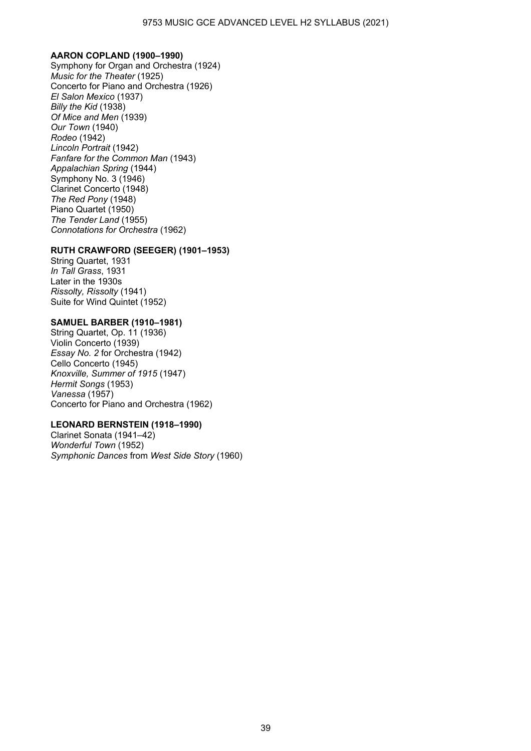#### **AARON COPLAND (1900–1990)**

Symphony for Organ and Orchestra (1924) *Music for the Theater* (1925) Concerto for Piano and Orchestra (1926) *El Salon Mexico* (1937) *Billy the Kid* (1938) *Of Mice and Men* (1939) *Our Town* (1940) *Rodeo* (1942) *Lincoln Portrait* (1942) *Fanfare for the Common Man* (1943) *Appalachian Spring* (1944) Symphony No. 3 (1946) Clarinet Concerto (1948) *The Red Pony* (1948) Piano Quartet (1950) *The Tender Land* (1955) *Connotations for Orchestra* (1962)

#### **RUTH CRAWFORD (SEEGER) (1901–1953)**

String Quartet, 1931 *In Tall Grass*, 1931 Later in the 1930s *Rissolty, Rissolty* (1941) Suite for Wind Quintet (1952)

#### **SAMUEL BARBER (1910–1981)**

String Quartet, Op. 11 (1936) Violin Concerto (1939) *Essay No. 2* for Orchestra (1942) Cello Concerto (1945) *Knoxville, Summer of 1915* (1947) *Hermit Songs* (1953) *Vanessa* (1957) Concerto for Piano and Orchestra (1962)

## **LEONARD BERNSTEIN (1918–1990)**

Clarinet Sonata (1941–42) *Wonderful Town* (1952) *Symphonic Dances* from *West Side Story* (1960)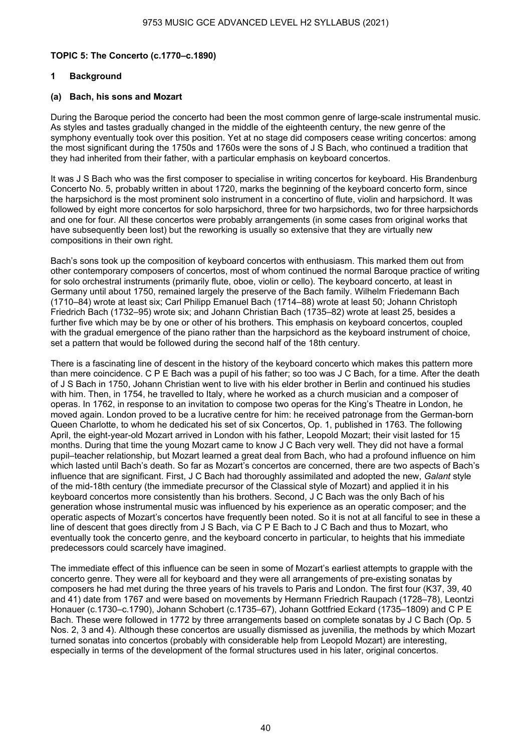## **TOPIC 5: The Concerto (c.1770–c.1890)**

## **1 Background**

## **(a) Bach, his sons and Mozart**

During the Baroque period the concerto had been the most common genre of large-scale instrumental music. As styles and tastes gradually changed in the middle of the eighteenth century, the new genre of the symphony eventually took over this position. Yet at no stage did composers cease writing concertos: among the most significant during the 1750s and 1760s were the sons of J S Bach, who continued a tradition that they had inherited from their father, with a particular emphasis on keyboard concertos.

It was J S Bach who was the first composer to specialise in writing concertos for keyboard. His Brandenburg Concerto No. 5, probably written in about 1720, marks the beginning of the keyboard concerto form, since the harpsichord is the most prominent solo instrument in a concertino of flute, violin and harpsichord. It was followed by eight more concertos for solo harpsichord, three for two harpsichords, two for three harpsichords and one for four. All these concertos were probably arrangements (in some cases from original works that have subsequently been lost) but the reworking is usually so extensive that they are virtually new compositions in their own right.

Bach's sons took up the composition of keyboard concertos with enthusiasm. This marked them out from other contemporary composers of concertos, most of whom continued the normal Baroque practice of writing for solo orchestral instruments (primarily flute, oboe, violin or cello). The keyboard concerto, at least in Germany until about 1750, remained largely the preserve of the Bach family. Wilhelm Friedemann Bach (1710–84) wrote at least six; Carl Philipp Emanuel Bach (1714–88) wrote at least 50; Johann Christoph Friedrich Bach (1732–95) wrote six; and Johann Christian Bach (1735–82) wrote at least 25, besides a further five which may be by one or other of his brothers. This emphasis on keyboard concertos, coupled with the gradual emergence of the piano rather than the harpsichord as the keyboard instrument of choice, set a pattern that would be followed during the second half of the 18th century.

There is a fascinating line of descent in the history of the keyboard concerto which makes this pattern more than mere coincidence. C P E Bach was a pupil of his father; so too was J C Bach, for a time. After the death of J S Bach in 1750, Johann Christian went to live with his elder brother in Berlin and continued his studies with him. Then, in 1754, he travelled to Italy, where he worked as a church musician and a composer of operas. In 1762, in response to an invitation to compose two operas for the King's Theatre in London, he moved again. London proved to be a lucrative centre for him: he received patronage from the German-born Queen Charlotte, to whom he dedicated his set of six Concertos, Op. 1, published in 1763. The following April, the eight-year-old Mozart arrived in London with his father, Leopold Mozart; their visit lasted for 15 months. During that time the young Mozart came to know J C Bach very well. They did not have a formal pupil–teacher relationship, but Mozart learned a great deal from Bach, who had a profound influence on him which lasted until Bach's death. So far as Mozart's concertos are concerned, there are two aspects of Bach's influence that are significant. First, J C Bach had thoroughly assimilated and adopted the new, *Galant* style of the mid-18th century (the immediate precursor of the Classical style of Mozart) and applied it in his keyboard concertos more consistently than his brothers. Second, J C Bach was the only Bach of his generation whose instrumental music was influenced by his experience as an operatic composer; and the operatic aspects of Mozart's concertos have frequently been noted. So it is not at all fanciful to see in these a line of descent that goes directly from J S Bach, via C P E Bach to J C Bach and thus to Mozart, who eventually took the concerto genre, and the keyboard concerto in particular, to heights that his immediate predecessors could scarcely have imagined.

The immediate effect of this influence can be seen in some of Mozart's earliest attempts to grapple with the concerto genre. They were all for keyboard and they were all arrangements of pre-existing sonatas by composers he had met during the three years of his travels to Paris and London. The first four (K37, 39, 40 and 41) date from 1767 and were based on movements by Hermann Friedrich Raupach (1728–78), Leontzi Honauer (c.1730–c.1790), Johann Schobert (c.1735–67), Johann Gottfried Eckard (1735–1809) and C P E Bach. These were followed in 1772 by three arrangements based on complete sonatas by J C Bach (Op. 5 Nos. 2, 3 and 4). Although these concertos are usually dismissed as juvenilia, the methods by which Mozart turned sonatas into concertos (probably with considerable help from Leopold Mozart) are interesting, especially in terms of the development of the formal structures used in his later, original concertos.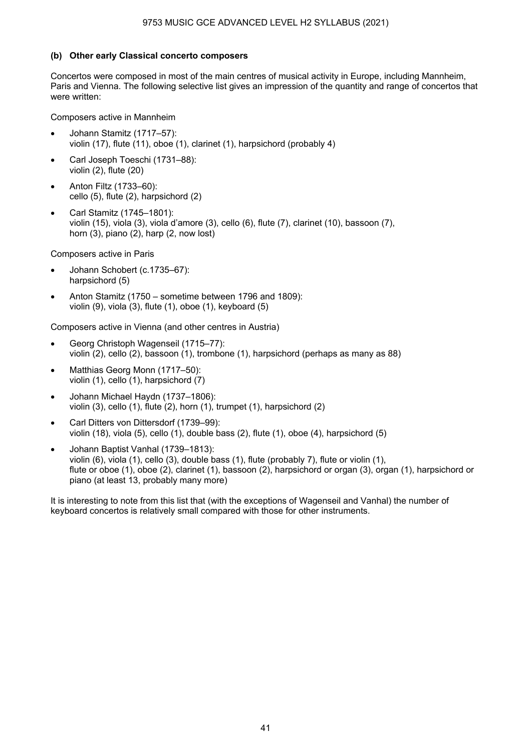## **(b) Other early Classical concerto composers**

Concertos were composed in most of the main centres of musical activity in Europe, including Mannheim, Paris and Vienna. The following selective list gives an impression of the quantity and range of concertos that were written:

Composers active in Mannheim

- Johann Stamitz (1717–57): violin (17), flute (11), oboe (1), clarinet (1), harpsichord (probably 4)
- Carl Joseph Toeschi (1731-88): violin (2), flute (20)
- Anton Filtz (1733–60): cello (5), flute (2), harpsichord (2)
- Carl Stamitz (1745–1801): violin (15), viola (3), viola d'amore (3), cello (6), flute (7), clarinet (10), bassoon (7), horn (3), piano (2), harp (2, now lost)

Composers active in Paris

- Johann Schobert (c.1735-67): harpsichord (5)
- Anton Stamitz (1750 sometime between 1796 and 1809): violin (9), viola (3), flute (1), oboe (1), keyboard (5)

Composers active in Vienna (and other centres in Austria)

- Georg Christoph Wagenseil (1715–77): violin (2), cello (2), bassoon (1), trombone (1), harpsichord (perhaps as many as 88)
- Matthias Georg Monn (1717-50): violin (1), cello (1), harpsichord (7)
- Johann Michael Haydn (1737–1806): violin (3), cello (1), flute (2), horn (1), trumpet (1), harpsichord (2)
- Carl Ditters von Dittersdorf (1739–99): violin (18), viola (5), cello (1), double bass (2), flute (1), oboe (4), harpsichord (5)
- Johann Baptist Vanhal (1739–1813): violin (6), viola (1), cello (3), double bass (1), flute (probably 7), flute or violin (1), flute or oboe (1), oboe (2), clarinet (1), bassoon (2), harpsichord or organ (3), organ (1), harpsichord or piano (at least 13, probably many more)

It is interesting to note from this list that (with the exceptions of Wagenseil and Vanhal) the number of keyboard concertos is relatively small compared with those for other instruments.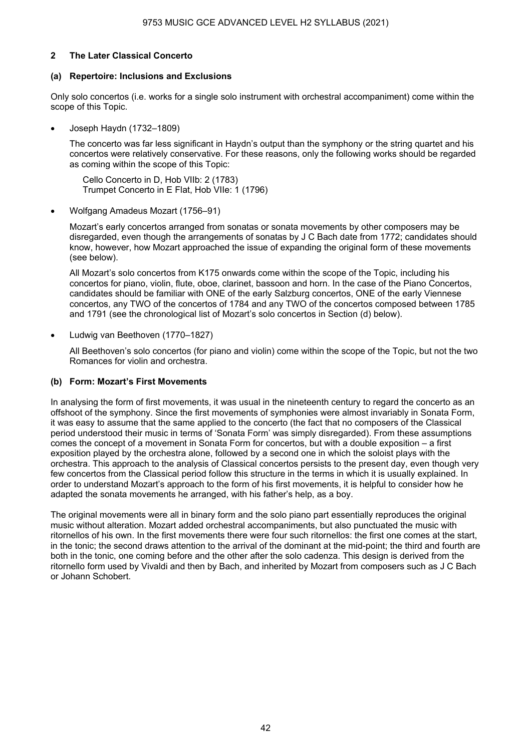## **2 The Later Classical Concerto**

#### **(a) Repertoire: Inclusions and Exclusions**

Only solo concertos (i.e. works for a single solo instrument with orchestral accompaniment) come within the scope of this Topic.

• Joseph Haydn (1732–1809)

The concerto was far less significant in Haydn's output than the symphony or the string quartet and his concertos were relatively conservative. For these reasons, only the following works should be regarded as coming within the scope of this Topic:

Cello Concerto in D, Hob VIIb: 2 (1783) Trumpet Concerto in E Flat, Hob VIIe: 1 (1796)

• Wolfgang Amadeus Mozart (1756–91)

Mozart's early concertos arranged from sonatas or sonata movements by other composers may be disregarded, even though the arrangements of sonatas by J C Bach date from 1772; candidates should know, however, how Mozart approached the issue of expanding the original form of these movements (see below).

All Mozart's solo concertos from K175 onwards come within the scope of the Topic, including his concertos for piano, violin, flute, oboe, clarinet, bassoon and horn. In the case of the Piano Concertos, candidates should be familiar with ONE of the early Salzburg concertos, ONE of the early Viennese concertos, any TWO of the concertos of 1784 and any TWO of the concertos composed between 1785 and 1791 (see the chronological list of Mozart's solo concertos in Section (d) below).

• Ludwig van Beethoven (1770–1827)

 All Beethoven's solo concertos (for piano and violin) come within the scope of the Topic, but not the two Romances for violin and orchestra.

## **(b) Form: Mozart's First Movements**

In analysing the form of first movements, it was usual in the nineteenth century to regard the concerto as an offshoot of the symphony. Since the first movements of symphonies were almost invariably in Sonata Form, it was easy to assume that the same applied to the concerto (the fact that no composers of the Classical period understood their music in terms of 'Sonata Form' was simply disregarded). From these assumptions comes the concept of a movement in Sonata Form for concertos, but with a double exposition – a first exposition played by the orchestra alone, followed by a second one in which the soloist plays with the orchestra. This approach to the analysis of Classical concertos persists to the present day, even though very few concertos from the Classical period follow this structure in the terms in which it is usually explained. In order to understand Mozart's approach to the form of his first movements, it is helpful to consider how he adapted the sonata movements he arranged, with his father's help, as a boy.

The original movements were all in binary form and the solo piano part essentially reproduces the original music without alteration. Mozart added orchestral accompaniments, but also punctuated the music with ritornellos of his own. In the first movements there were four such ritornellos: the first one comes at the start, in the tonic; the second draws attention to the arrival of the dominant at the mid-point; the third and fourth are both in the tonic, one coming before and the other after the solo cadenza. This design is derived from the ritornello form used by Vivaldi and then by Bach, and inherited by Mozart from composers such as J C Bach or Johann Schobert.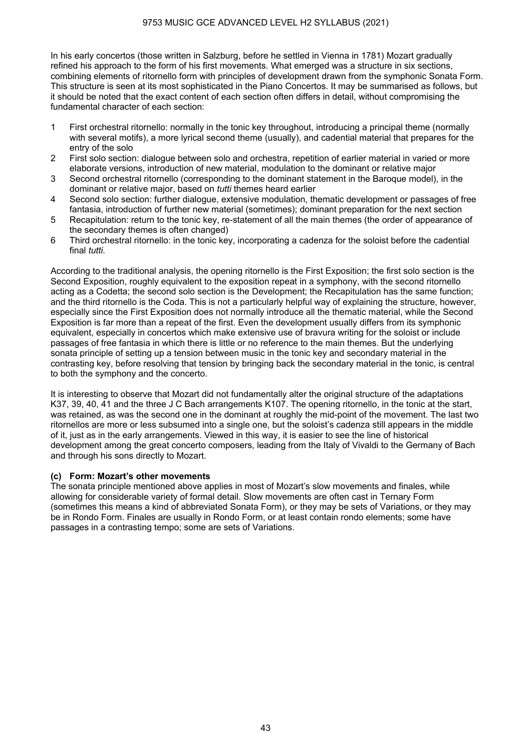In his early concertos (those written in Salzburg, before he settled in Vienna in 1781) Mozart gradually refined his approach to the form of his first movements. What emerged was a structure in six sections. combining elements of ritornello form with principles of development drawn from the symphonic Sonata Form. This structure is seen at its most sophisticated in the Piano Concertos. It may be summarised as follows, but it should be noted that the exact content of each section often differs in detail, without compromising the fundamental character of each section:

- 1 First orchestral ritornello: normally in the tonic key throughout, introducing a principal theme (normally with several motifs), a more lyrical second theme (usually), and cadential material that prepares for the entry of the solo
- 2 First solo section: dialogue between solo and orchestra, repetition of earlier material in varied or more elaborate versions, introduction of new material, modulation to the dominant or relative major
- 3 Second orchestral ritornello (corresponding to the dominant statement in the Baroque model), in the dominant or relative major, based on *tutti* themes heard earlier
- 4 Second solo section: further dialogue, extensive modulation, thematic development or passages of free fantasia, introduction of further new material (sometimes); dominant preparation for the next section
- 5 Recapitulation: return to the tonic key, re-statement of all the main themes (the order of appearance of the secondary themes is often changed)
- 6 Third orchestral ritornello: in the tonic key, incorporating a cadenza for the soloist before the cadential final *tutti*.

According to the traditional analysis, the opening ritornello is the First Exposition; the first solo section is the Second Exposition, roughly equivalent to the exposition repeat in a symphony, with the second ritornello acting as a Codetta; the second solo section is the Development; the Recapitulation has the same function; and the third ritornello is the Coda. This is not a particularly helpful way of explaining the structure, however, especially since the First Exposition does not normally introduce all the thematic material, while the Second Exposition is far more than a repeat of the first. Even the development usually differs from its symphonic equivalent, especially in concertos which make extensive use of bravura writing for the soloist or include passages of free fantasia in which there is little or no reference to the main themes. But the underlying sonata principle of setting up a tension between music in the tonic key and secondary material in the contrasting key, before resolving that tension by bringing back the secondary material in the tonic, is central to both the symphony and the concerto.

It is interesting to observe that Mozart did not fundamentally alter the original structure of the adaptations K37, 39, 40, 41 and the three J C Bach arrangements K107. The opening ritornello, in the tonic at the start, was retained, as was the second one in the dominant at roughly the mid-point of the movement. The last two ritornellos are more or less subsumed into a single one, but the soloist's cadenza still appears in the middle of it, just as in the early arrangements. Viewed in this way, it is easier to see the line of historical development among the great concerto composers, leading from the Italy of Vivaldi to the Germany of Bach and through his sons directly to Mozart.

## **(c) Form: Mozart's other movements**

The sonata principle mentioned above applies in most of Mozart's slow movements and finales, while allowing for considerable variety of formal detail. Slow movements are often cast in Ternary Form (sometimes this means a kind of abbreviated Sonata Form), or they may be sets of Variations, or they may be in Rondo Form. Finales are usually in Rondo Form, or at least contain rondo elements; some have passages in a contrasting tempo; some are sets of Variations.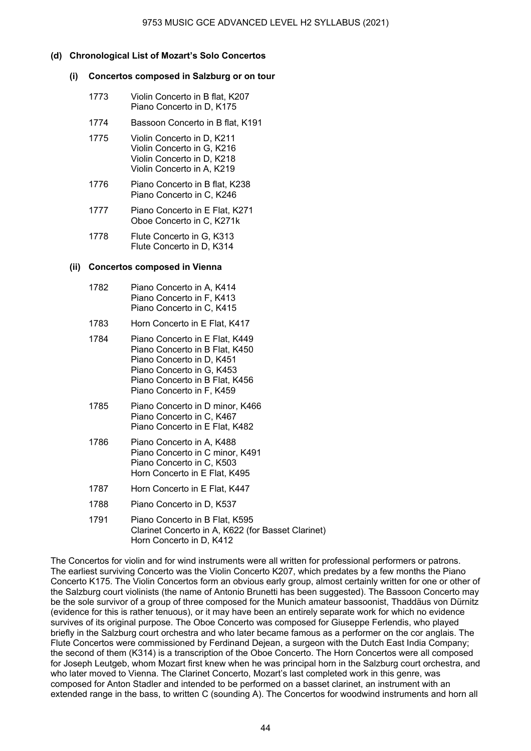## **(d) Chronological List of Mozart's Solo Concertos**

#### **(i) Concertos composed in Salzburg or on tour**

- 1773 Violin Concerto in B flat, K207 Piano Concerto in D, K175
- 1774 Bassoon Concerto in B flat, K191
- 1775 Violin Concerto in D, K211 Violin Concerto in G, K216 Violin Concerto in D, K218 Violin Concerto in A, K219
- 1776 Piano Concerto in B flat, K238 Piano Concerto in C, K246
- 1777 Piano Concerto in E Flat, K271 Oboe Concerto in C, K271k
- 1778 Flute Concerto in G, K313 Flute Concerto in D, K314

#### **(ii) Concertos composed in Vienna**

- 1782 Piano Concerto in A, K414 Piano Concerto in F, K413 Piano Concerto in C, K415
- 1783 Horn Concerto in E Flat, K417
- 1784 Piano Concerto in E Flat, K449 Piano Concerto in B Flat, K450 Piano Concerto in D, K451 Piano Concerto in G, K453 Piano Concerto in B Flat, K456 Piano Concerto in F, K459
- 1785 Piano Concerto in D minor, K466 Piano Concerto in C, K467 Piano Concerto in E Flat, K482
- 1786 Piano Concerto in A, K488 Piano Concerto in C minor, K491 Piano Concerto in C, K503 Horn Concerto in E Flat, K495
- 1787 Horn Concerto in E Flat, K447
- 1788 Piano Concerto in D, K537
- 1791 Piano Concerto in B Flat, K595 Clarinet Concerto in A, K622 (for Basset Clarinet) Horn Concerto in D, K412

The Concertos for violin and for wind instruments were all written for professional performers or patrons. The earliest surviving Concerto was the Violin Concerto K207, which predates by a few months the Piano Concerto K175. The Violin Concertos form an obvious early group, almost certainly written for one or other of the Salzburg court violinists (the name of Antonio Brunetti has been suggested). The Bassoon Concerto may be the sole survivor of a group of three composed for the Munich amateur bassoonist, Thaddäus von Dürnitz (evidence for this is rather tenuous), or it may have been an entirely separate work for which no evidence survives of its original purpose. The Oboe Concerto was composed for Giuseppe Ferlendis, who played briefly in the Salzburg court orchestra and who later became famous as a performer on the cor anglais. The Flute Concertos were commissioned by Ferdinand Dejean, a surgeon with the Dutch East India Company; the second of them (K314) is a transcription of the Oboe Concerto. The Horn Concertos were all composed for Joseph Leutgeb, whom Mozart first knew when he was principal horn in the Salzburg court orchestra, and who later moved to Vienna. The Clarinet Concerto, Mozart's last completed work in this genre, was composed for Anton Stadler and intended to be performed on a basset clarinet, an instrument with an extended range in the bass, to written C (sounding A). The Concertos for woodwind instruments and horn all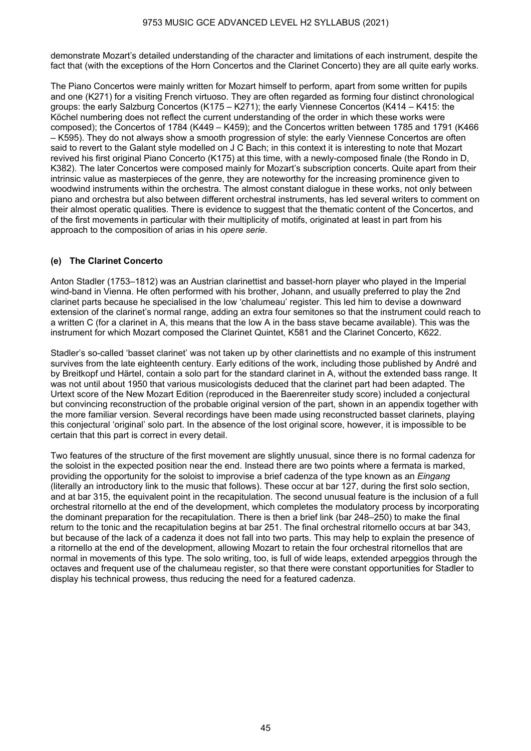demonstrate Mozart's detailed understanding of the character and limitations of each instrument, despite the fact that (with the exceptions of the Horn Concertos and the Clarinet Concerto) they are all quite early works.

The Piano Concertos were mainly written for Mozart himself to perform, apart from some written for pupils and one (K271) for a visiting French virtuoso. They are often regarded as forming four distinct chronological groups: the early Salzburg Concertos (K175 – K271); the early Viennese Concertos (K414 – K415: the Köchel numbering does not reflect the current understanding of the order in which these works were composed); the Concertos of 1784 (K449 – K459); and the Concertos written between 1785 and 1791 (K466 – K595). They do not always show a smooth progression of style: the early Viennese Concertos are often said to revert to the Galant style modelled on J C Bach; in this context it is interesting to note that Mozart revived his first original Piano Concerto (K175) at this time, with a newly-composed finale (the Rondo in D, K382). The later Concertos were composed mainly for Mozart's subscription concerts. Quite apart from their intrinsic value as masterpieces of the genre, they are noteworthy for the increasing prominence given to woodwind instruments within the orchestra. The almost constant dialogue in these works, not only between piano and orchestra but also between different orchestral instruments, has led several writers to comment on their almost operatic qualities. There is evidence to suggest that the thematic content of the Concertos, and of the first movements in particular with their multiplicity of motifs, originated at least in part from his approach to the composition of arias in his *opere serie*.

## **(e) The Clarinet Concerto**

Anton Stadler (1753–1812) was an Austrian clarinettist and basset-horn player who played in the Imperial wind-band in Vienna. He often performed with his brother, Johann, and usually preferred to play the 2nd clarinet parts because he specialised in the low 'chalumeau' register. This led him to devise a downward extension of the clarinet's normal range, adding an extra four semitones so that the instrument could reach to a written C (for a clarinet in A, this means that the low A in the bass stave became available). This was the instrument for which Mozart composed the Clarinet Quintet, K581 and the Clarinet Concerto, K622.

Stadler's so-called 'basset clarinet' was not taken up by other clarinettists and no example of this instrument survives from the late eighteenth century. Early editions of the work, including those published by André and by Breitkopf und Härtel, contain a solo part for the standard clarinet in A, without the extended bass range. It was not until about 1950 that various musicologists deduced that the clarinet part had been adapted. The Urtext score of the New Mozart Edition (reproduced in the Baerenreiter study score) included a conjectural but convincing reconstruction of the probable original version of the part, shown in an appendix together with the more familiar version. Several recordings have been made using reconstructed basset clarinets, playing this conjectural 'original' solo part. In the absence of the lost original score, however, it is impossible to be certain that this part is correct in every detail.

Two features of the structure of the first movement are slightly unusual, since there is no formal cadenza for the soloist in the expected position near the end. Instead there are two points where a fermata is marked, providing the opportunity for the soloist to improvise a brief cadenza of the type known as an *Eingang* (literally an introductory link to the music that follows). These occur at bar 127, during the first solo section, and at bar 315, the equivalent point in the recapitulation. The second unusual feature is the inclusion of a full orchestral ritornello at the end of the development, which completes the modulatory process by incorporating the dominant preparation for the recapitulation. There is then a brief link (bar 248–250) to make the final return to the tonic and the recapitulation begins at bar 251. The final orchestral ritornello occurs at bar 343, but because of the lack of a cadenza it does not fall into two parts. This may help to explain the presence of a ritornello at the end of the development, allowing Mozart to retain the four orchestral ritornellos that are normal in movements of this type. The solo writing, too, is full of wide leaps, extended arpeggios through the octaves and frequent use of the chalumeau register, so that there were constant opportunities for Stadler to display his technical prowess, thus reducing the need for a featured cadenza.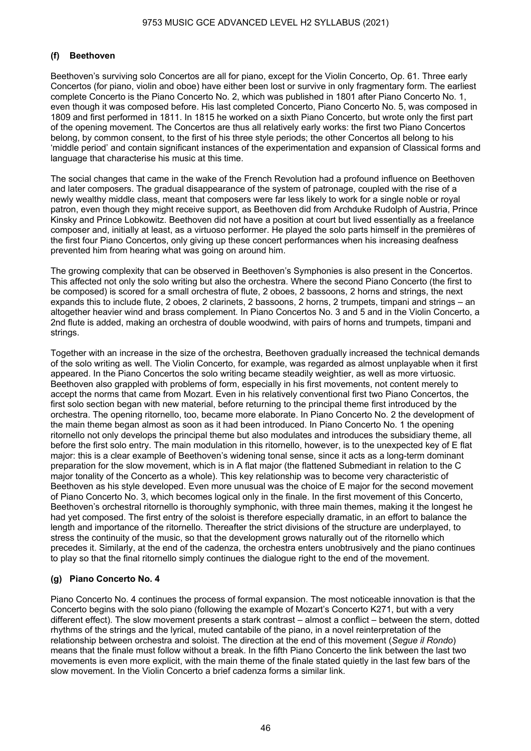## **(f) Beethoven**

Beethoven's surviving solo Concertos are all for piano, except for the Violin Concerto, Op. 61. Three early Concertos (for piano, violin and oboe) have either been lost or survive in only fragmentary form. The earliest complete Concerto is the Piano Concerto No. 2, which was published in 1801 after Piano Concerto No. 1, even though it was composed before. His last completed Concerto, Piano Concerto No. 5, was composed in 1809 and first performed in 1811. In 1815 he worked on a sixth Piano Concerto, but wrote only the first part of the opening movement. The Concertos are thus all relatively early works: the first two Piano Concertos belong, by common consent, to the first of his three style periods; the other Concertos all belong to his 'middle period' and contain significant instances of the experimentation and expansion of Classical forms and language that characterise his music at this time.

The social changes that came in the wake of the French Revolution had a profound influence on Beethoven and later composers. The gradual disappearance of the system of patronage, coupled with the rise of a newly wealthy middle class, meant that composers were far less likely to work for a single noble or royal patron, even though they might receive support, as Beethoven did from Archduke Rudolph of Austria, Prince Kinsky and Prince Lobkowitz. Beethoven did not have a position at court but lived essentially as a freelance composer and, initially at least, as a virtuoso performer. He played the solo parts himself in the premières of the first four Piano Concertos, only giving up these concert performances when his increasing deafness prevented him from hearing what was going on around him.

The growing complexity that can be observed in Beethoven's Symphonies is also present in the Concertos. This affected not only the solo writing but also the orchestra. Where the second Piano Concerto (the first to be composed) is scored for a small orchestra of flute, 2 oboes, 2 bassoons, 2 horns and strings, the next expands this to include flute, 2 oboes, 2 clarinets, 2 bassoons, 2 horns, 2 trumpets, timpani and strings – an altogether heavier wind and brass complement. In Piano Concertos No. 3 and 5 and in the Violin Concerto, a 2nd flute is added, making an orchestra of double woodwind, with pairs of horns and trumpets, timpani and strings.

Together with an increase in the size of the orchestra, Beethoven gradually increased the technical demands of the solo writing as well. The Violin Concerto, for example, was regarded as almost unplayable when it first appeared. In the Piano Concertos the solo writing became steadily weightier, as well as more virtuosic. Beethoven also grappled with problems of form, especially in his first movements, not content merely to accept the norms that came from Mozart. Even in his relatively conventional first two Piano Concertos, the first solo section began with new material, before returning to the principal theme first introduced by the orchestra. The opening ritornello, too, became more elaborate. In Piano Concerto No. 2 the development of the main theme began almost as soon as it had been introduced. In Piano Concerto No. 1 the opening ritornello not only develops the principal theme but also modulates and introduces the subsidiary theme, all before the first solo entry. The main modulation in this ritornello, however, is to the unexpected key of E flat major: this is a clear example of Beethoven's widening tonal sense, since it acts as a long-term dominant preparation for the slow movement, which is in A flat major (the flattened Submediant in relation to the C major tonality of the Concerto as a whole). This key relationship was to become very characteristic of Beethoven as his style developed. Even more unusual was the choice of E major for the second movement of Piano Concerto No. 3, which becomes logical only in the finale. In the first movement of this Concerto, Beethoven's orchestral ritornello is thoroughly symphonic, with three main themes, making it the longest he had yet composed. The first entry of the soloist is therefore especially dramatic, in an effort to balance the length and importance of the ritornello. Thereafter the strict divisions of the structure are underplayed, to stress the continuity of the music, so that the development grows naturally out of the ritornello which precedes it. Similarly, at the end of the cadenza, the orchestra enters unobtrusively and the piano continues to play so that the final ritornello simply continues the dialogue right to the end of the movement.

## **(g) Piano Concerto No. 4**

Piano Concerto No. 4 continues the process of formal expansion. The most noticeable innovation is that the Concerto begins with the solo piano (following the example of Mozart's Concerto K271, but with a very different effect). The slow movement presents a stark contrast – almost a conflict – between the stern, dotted rhythms of the strings and the lyrical, muted cantabile of the piano, in a novel reinterpretation of the relationship between orchestra and soloist. The direction at the end of this movement (*Segue il Rondo*) means that the finale must follow without a break. In the fifth Piano Concerto the link between the last two movements is even more explicit, with the main theme of the finale stated quietly in the last few bars of the slow movement. In the Violin Concerto a brief cadenza forms a similar link.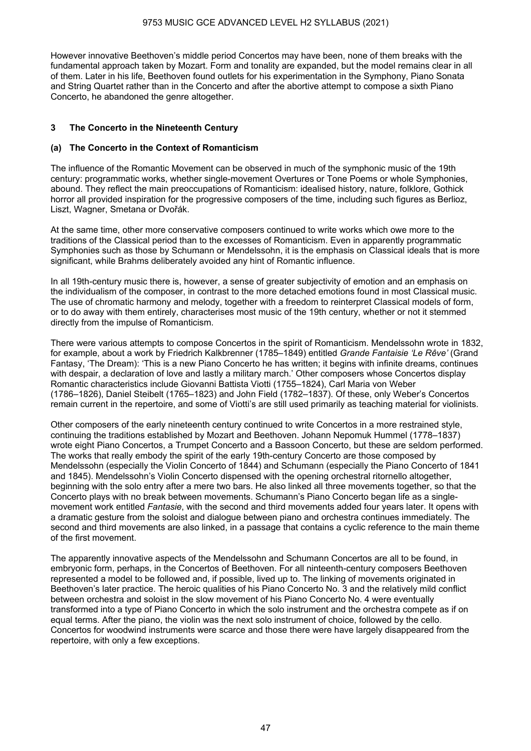However innovative Beethoven's middle period Concertos may have been, none of them breaks with the fundamental approach taken by Mozart. Form and tonality are expanded, but the model remains clear in all of them. Later in his life, Beethoven found outlets for his experimentation in the Symphony, Piano Sonata and String Quartet rather than in the Concerto and after the abortive attempt to compose a sixth Piano Concerto, he abandoned the genre altogether.

## **3 The Concerto in the Nineteenth Century**

## **(a) The Concerto in the Context of Romanticism**

The influence of the Romantic Movement can be observed in much of the symphonic music of the 19th century: programmatic works, whether single-movement Overtures or Tone Poems or whole Symphonies, abound. They reflect the main preoccupations of Romanticism: idealised history, nature, folklore, Gothick horror all provided inspiration for the progressive composers of the time, including such figures as Berlioz, Liszt, Wagner, Smetana or Dvořák.

At the same time, other more conservative composers continued to write works which owe more to the traditions of the Classical period than to the excesses of Romanticism. Even in apparently programmatic Symphonies such as those by Schumann or Mendelssohn, it is the emphasis on Classical ideals that is more significant, while Brahms deliberately avoided any hint of Romantic influence.

In all 19th-century music there is, however, a sense of greater subjectivity of emotion and an emphasis on the individualism of the composer, in contrast to the more detached emotions found in most Classical music. The use of chromatic harmony and melody, together with a freedom to reinterpret Classical models of form, or to do away with them entirely, characterises most music of the 19th century, whether or not it stemmed directly from the impulse of Romanticism.

There were various attempts to compose Concertos in the spirit of Romanticism. Mendelssohn wrote in 1832, for example, about a work by Friedrich Kalkbrenner (1785–1849) entitled *Grande Fantaisie 'Le Rêve'* (Grand Fantasy, 'The Dream): 'This is a new Piano Concerto he has written; it begins with infinite dreams, continues with despair, a declaration of love and lastly a military march.' Other composers whose Concertos display Romantic characteristics include Giovanni Battista Viotti (1755–1824), Carl Maria von Weber (1786–1826), Daniel Steibelt (1765–1823) and John Field (1782–1837). Of these, only Weber's Concertos remain current in the repertoire, and some of Viotti's are still used primarily as teaching material for violinists.

Other composers of the early nineteenth century continued to write Concertos in a more restrained style, continuing the traditions established by Mozart and Beethoven. Johann Nepomuk Hummel (1778–1837) wrote eight Piano Concertos, a Trumpet Concerto and a Bassoon Concerto, but these are seldom performed. The works that really embody the spirit of the early 19th-century Concerto are those composed by Mendelssohn (especially the Violin Concerto of 1844) and Schumann (especially the Piano Concerto of 1841 and 1845). Mendelssohn's Violin Concerto dispensed with the opening orchestral ritornello altogether, beginning with the solo entry after a mere two bars. He also linked all three movements together, so that the Concerto plays with no break between movements. Schumann's Piano Concerto began life as a singlemovement work entitled *Fantasie*, with the second and third movements added four years later. It opens with a dramatic gesture from the soloist and dialogue between piano and orchestra continues immediately. The second and third movements are also linked, in a passage that contains a cyclic reference to the main theme of the first movement.

The apparently innovative aspects of the Mendelssohn and Schumann Concertos are all to be found, in embryonic form, perhaps, in the Concertos of Beethoven. For all ninteenth-century composers Beethoven represented a model to be followed and, if possible, lived up to. The linking of movements originated in Beethoven's later practice. The heroic qualities of his Piano Concerto No. 3 and the relatively mild conflict between orchestra and soloist in the slow movement of his Piano Concerto No. 4 were eventually transformed into a type of Piano Concerto in which the solo instrument and the orchestra compete as if on equal terms. After the piano, the violin was the next solo instrument of choice, followed by the cello. Concertos for woodwind instruments were scarce and those there were have largely disappeared from the repertoire, with only a few exceptions.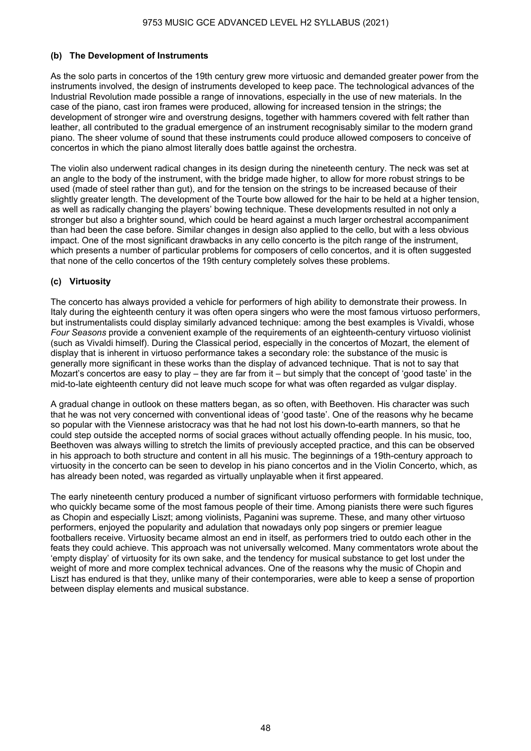## **(b) The Development of Instruments**

As the solo parts in concertos of the 19th century grew more virtuosic and demanded greater power from the instruments involved, the design of instruments developed to keep pace. The technological advances of the Industrial Revolution made possible a range of innovations, especially in the use of new materials. In the case of the piano, cast iron frames were produced, allowing for increased tension in the strings; the development of stronger wire and overstrung designs, together with hammers covered with felt rather than leather, all contributed to the gradual emergence of an instrument recognisably similar to the modern grand piano. The sheer volume of sound that these instruments could produce allowed composers to conceive of concertos in which the piano almost literally does battle against the orchestra.

The violin also underwent radical changes in its design during the nineteenth century. The neck was set at an angle to the body of the instrument, with the bridge made higher, to allow for more robust strings to be used (made of steel rather than gut), and for the tension on the strings to be increased because of their slightly greater length. The development of the Tourte bow allowed for the hair to be held at a higher tension, as well as radically changing the players' bowing technique. These developments resulted in not only a stronger but also a brighter sound, which could be heard against a much larger orchestral accompaniment than had been the case before. Similar changes in design also applied to the cello, but with a less obvious impact. One of the most significant drawbacks in any cello concerto is the pitch range of the instrument, which presents a number of particular problems for composers of cello concertos, and it is often suggested that none of the cello concertos of the 19th century completely solves these problems.

## **(c) Virtuosity**

The concerto has always provided a vehicle for performers of high ability to demonstrate their prowess. In Italy during the eighteenth century it was often opera singers who were the most famous virtuoso performers, but instrumentalists could display similarly advanced technique: among the best examples is Vivaldi, whose *Four Seasons* provide a convenient example of the requirements of an eighteenth-century virtuoso violinist (such as Vivaldi himself). During the Classical period, especially in the concertos of Mozart, the element of display that is inherent in virtuoso performance takes a secondary role: the substance of the music is generally more significant in these works than the display of advanced technique. That is not to say that Mozart's concertos are easy to play – they are far from it – but simply that the concept of 'good taste' in the mid-to-late eighteenth century did not leave much scope for what was often regarded as vulgar display.

A gradual change in outlook on these matters began, as so often, with Beethoven. His character was such that he was not very concerned with conventional ideas of 'good taste'. One of the reasons why he became so popular with the Viennese aristocracy was that he had not lost his down-to-earth manners, so that he could step outside the accepted norms of social graces without actually offending people. In his music, too, Beethoven was always willing to stretch the limits of previously accepted practice, and this can be observed in his approach to both structure and content in all his music. The beginnings of a 19th-century approach to virtuosity in the concerto can be seen to develop in his piano concertos and in the Violin Concerto, which, as has already been noted, was regarded as virtually unplayable when it first appeared.

The early nineteenth century produced a number of significant virtuoso performers with formidable technique, who quickly became some of the most famous people of their time. Among pianists there were such figures as Chopin and especially Liszt; among violinists, Paganini was supreme. These, and many other virtuoso performers, enjoyed the popularity and adulation that nowadays only pop singers or premier league footballers receive. Virtuosity became almost an end in itself, as performers tried to outdo each other in the feats they could achieve. This approach was not universally welcomed. Many commentators wrote about the 'empty display' of virtuosity for its own sake, and the tendency for musical substance to get lost under the weight of more and more complex technical advances. One of the reasons why the music of Chopin and Liszt has endured is that they, unlike many of their contemporaries, were able to keep a sense of proportion between display elements and musical substance.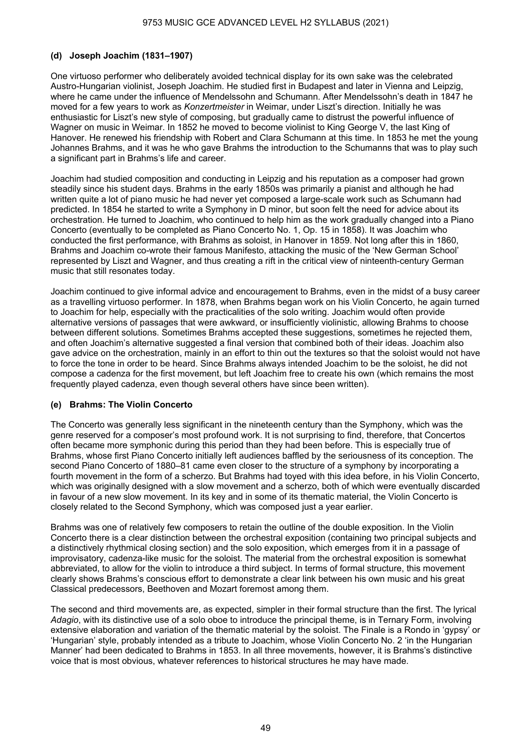## **(d) Joseph Joachim (1831–1907)**

One virtuoso performer who deliberately avoided technical display for its own sake was the celebrated Austro-Hungarian violinist, Joseph Joachim. He studied first in Budapest and later in Vienna and Leipzig, where he came under the influence of Mendelssohn and Schumann. After Mendelssohn's death in 1847 he moved for a few years to work as *Konzertmeister* in Weimar, under Liszt's direction. Initially he was enthusiastic for Liszt's new style of composing, but gradually came to distrust the powerful influence of Wagner on music in Weimar. In 1852 he moved to become violinist to King George V, the last King of Hanover. He renewed his friendship with Robert and Clara Schumann at this time. In 1853 he met the young Johannes Brahms, and it was he who gave Brahms the introduction to the Schumanns that was to play such a significant part in Brahms's life and career.

Joachim had studied composition and conducting in Leipzig and his reputation as a composer had grown steadily since his student days. Brahms in the early 1850s was primarily a pianist and although he had written quite a lot of piano music he had never yet composed a large-scale work such as Schumann had predicted. In 1854 he started to write a Symphony in D minor, but soon felt the need for advice about its orchestration. He turned to Joachim, who continued to help him as the work gradually changed into a Piano Concerto (eventually to be completed as Piano Concerto No. 1, Op. 15 in 1858). It was Joachim who conducted the first performance, with Brahms as soloist, in Hanover in 1859. Not long after this in 1860, Brahms and Joachim co-wrote their famous Manifesto, attacking the music of the 'New German School' represented by Liszt and Wagner, and thus creating a rift in the critical view of ninteenth-century German music that still resonates today.

Joachim continued to give informal advice and encouragement to Brahms, even in the midst of a busy career as a travelling virtuoso performer. In 1878, when Brahms began work on his Violin Concerto, he again turned to Joachim for help, especially with the practicalities of the solo writing. Joachim would often provide alternative versions of passages that were awkward, or insufficiently violinistic, allowing Brahms to choose between different solutions. Sometimes Brahms accepted these suggestions, sometimes he rejected them, and often Joachim's alternative suggested a final version that combined both of their ideas. Joachim also gave advice on the orchestration, mainly in an effort to thin out the textures so that the soloist would not have to force the tone in order to be heard. Since Brahms always intended Joachim to be the soloist, he did not compose a cadenza for the first movement, but left Joachim free to create his own (which remains the most frequently played cadenza, even though several others have since been written).

## **(e) Brahms: The Violin Concerto**

The Concerto was generally less significant in the nineteenth century than the Symphony, which was the genre reserved for a composer's most profound work. It is not surprising to find, therefore, that Concertos often became more symphonic during this period than they had been before. This is especially true of Brahms, whose first Piano Concerto initially left audiences baffled by the seriousness of its conception. The second Piano Concerto of 1880–81 came even closer to the structure of a symphony by incorporating a fourth movement in the form of a scherzo. But Brahms had toyed with this idea before, in his Violin Concerto, which was originally designed with a slow movement and a scherzo, both of which were eventually discarded in favour of a new slow movement. In its key and in some of its thematic material, the Violin Concerto is closely related to the Second Symphony, which was composed just a year earlier.

Brahms was one of relatively few composers to retain the outline of the double exposition. In the Violin Concerto there is a clear distinction between the orchestral exposition (containing two principal subjects and a distinctively rhythmical closing section) and the solo exposition, which emerges from it in a passage of improvisatory, cadenza-like music for the soloist. The material from the orchestral exposition is somewhat abbreviated, to allow for the violin to introduce a third subject. In terms of formal structure, this movement clearly shows Brahms's conscious effort to demonstrate a clear link between his own music and his great Classical predecessors, Beethoven and Mozart foremost among them.

The second and third movements are, as expected, simpler in their formal structure than the first. The lyrical *Adagio*, with its distinctive use of a solo oboe to introduce the principal theme, is in Ternary Form, involving extensive elaboration and variation of the thematic material by the soloist. The Finale is a Rondo in 'gypsy' or 'Hungarian' style, probably intended as a tribute to Joachim, whose Violin Concerto No. 2 'in the Hungarian Manner' had been dedicated to Brahms in 1853. In all three movements, however, it is Brahms's distinctive voice that is most obvious, whatever references to historical structures he may have made.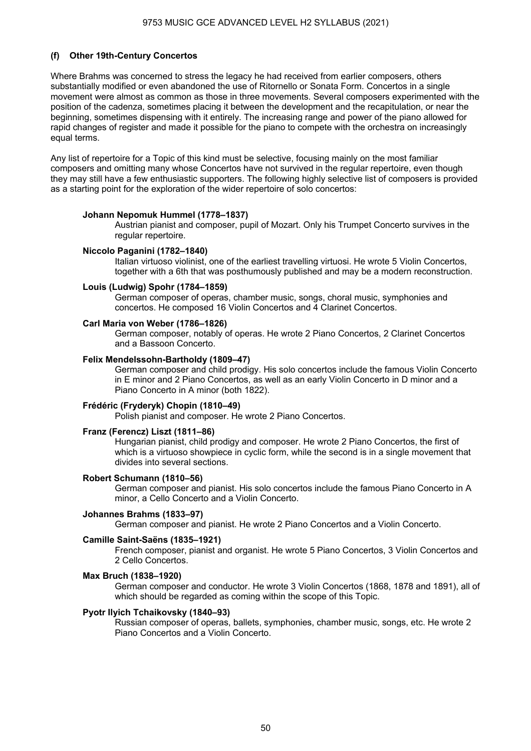## **(f) Other 19th-Century Concertos**

Where Brahms was concerned to stress the legacy he had received from earlier composers, others substantially modified or even abandoned the use of Ritornello or Sonata Form. Concertos in a single movement were almost as common as those in three movements. Several composers experimented with the position of the cadenza, sometimes placing it between the development and the recapitulation, or near the beginning, sometimes dispensing with it entirely. The increasing range and power of the piano allowed for rapid changes of register and made it possible for the piano to compete with the orchestra on increasingly equal terms.

Any list of repertoire for a Topic of this kind must be selective, focusing mainly on the most familiar composers and omitting many whose Concertos have not survived in the regular repertoire, even though they may still have a few enthusiastic supporters. The following highly selective list of composers is provided as a starting point for the exploration of the wider repertoire of solo concertos:

#### **Johann Nepomuk Hummel (1778–1837)**

Austrian pianist and composer, pupil of Mozart. Only his Trumpet Concerto survives in the regular repertoire.

#### **Niccolo Paganini (1782–1840)**

Italian virtuoso violinist, one of the earliest travelling virtuosi. He wrote 5 Violin Concertos, together with a 6th that was posthumously published and may be a modern reconstruction.

#### **Louis (Ludwig) Spohr (1784–1859)**

German composer of operas, chamber music, songs, choral music, symphonies and concertos. He composed 16 Violin Concertos and 4 Clarinet Concertos.

#### **Carl Maria von Weber (1786–1826)**

German composer, notably of operas. He wrote 2 Piano Concertos, 2 Clarinet Concertos and a Bassoon Concerto.

#### **Felix Mendelssohn-Bartholdy (1809–47)**

German composer and child prodigy. His solo concertos include the famous Violin Concerto in E minor and 2 Piano Concertos, as well as an early Violin Concerto in D minor and a Piano Concerto in A minor (both 1822).

## **Frédéric (Fryderyk) Chopin (1810–49)**

Polish pianist and composer. He wrote 2 Piano Concertos.

#### **Franz (Ferencz) Liszt (1811–86)**

Hungarian pianist, child prodigy and composer. He wrote 2 Piano Concertos, the first of which is a virtuoso showpiece in cyclic form, while the second is in a single movement that divides into several sections.

#### **Robert Schumann (1810–56)**

German composer and pianist. His solo concertos include the famous Piano Concerto in A minor, a Cello Concerto and a Violin Concerto.

#### **Johannes Brahms (1833–97)**

German composer and pianist. He wrote 2 Piano Concertos and a Violin Concerto.

#### **Camille Saint-Saëns (1835–1921)**

French composer, pianist and organist. He wrote 5 Piano Concertos, 3 Violin Concertos and 2 Cello Concertos.

#### **Max Bruch (1838–1920)**

German composer and conductor. He wrote 3 Violin Concertos (1868, 1878 and 1891), all of which should be regarded as coming within the scope of this Topic.

#### **Pyotr Ilyich Tchaikovsky (1840–93)**

Russian composer of operas, ballets, symphonies, chamber music, songs, etc. He wrote 2 Piano Concertos and a Violin Concerto.